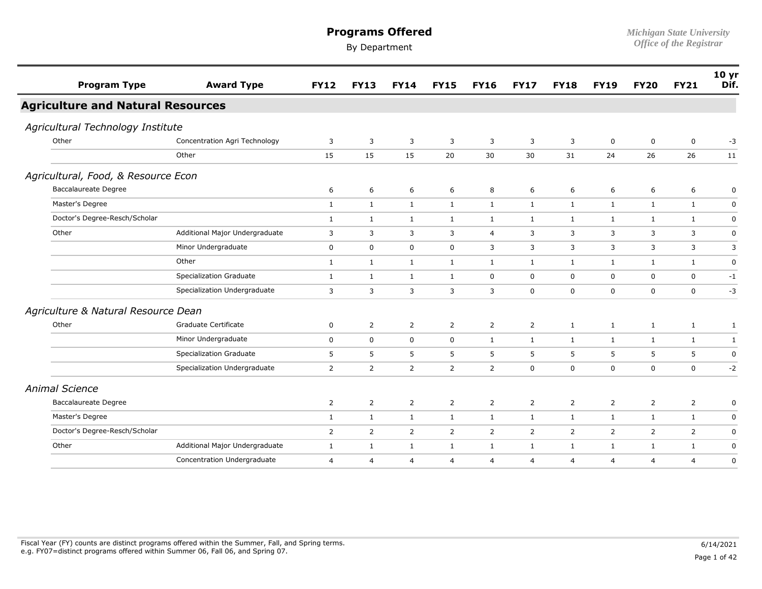| <b>Program Type</b>                      | <b>Award Type</b>              | <b>FY12</b>    | <b>FY13</b>    | <b>FY14</b>      | <b>FY15</b>    | <b>FY16</b>    | <b>FY17</b>    | <b>FY18</b>    | <b>FY19</b>    | <b>FY20</b>    | <b>FY21</b>    | 10 <sub>yr</sub><br>Dif. |
|------------------------------------------|--------------------------------|----------------|----------------|------------------|----------------|----------------|----------------|----------------|----------------|----------------|----------------|--------------------------|
| <b>Agriculture and Natural Resources</b> |                                |                |                |                  |                |                |                |                |                |                |                |                          |
| Agricultural Technology Institute        |                                |                |                |                  |                |                |                |                |                |                |                |                          |
| Other                                    | Concentration Agri Technology  | 3              | 3              | 3                | 3              | 3              | 3              | 3              | $\mathbf 0$    | $\mathbf 0$    | $\mathbf 0$    | $-3$                     |
|                                          | Other                          | 15             | 15             | 15               | 20             | 30             | 30             | 31             | 24             | 26             | 26             | 11                       |
| Agricultural, Food, & Resource Econ      |                                |                |                |                  |                |                |                |                |                |                |                |                          |
| <b>Baccalaureate Degree</b>              |                                | 6              | 6              | 6                | 6              | 8              | 6              | 6              | 6              | 6              | 6              | 0                        |
| Master's Degree                          |                                | $\mathbf{1}$   | $\mathbf{1}$   | $\mathbf{1}$     | 1              | $\mathbf{1}$   | 1              | $\mathbf{1}$   | $\mathbf{1}$   | $\mathbf{1}$   | 1              | 0                        |
| Doctor's Degree-Resch/Scholar            |                                | $\mathbf{1}$   | $\mathbf{1}$   | $\mathbf{1}$     | $\mathbf{1}$   | $\mathbf{1}$   | $\mathbf{1}$   | $\mathbf{1}$   | $\mathbf{1}$   | $\mathbf{1}$   | $\mathbf{1}$   | $\mathbf 0$              |
| Other                                    | Additional Major Undergraduate | 3              | 3              | 3                | 3              | $\overline{4}$ | 3              | 3              | 3              | 3              | 3              | 0                        |
|                                          | Minor Undergraduate            | $\mathbf 0$    | $\mathbf 0$    | $\mathbf 0$      | $\mathbf 0$    | 3              | 3              | 3              | 3              | 3              | 3              | 3                        |
|                                          | Other                          | 1              | $\mathbf{1}$   | 1                | 1              | $\mathbf{1}$   | $\mathbf{1}$   | $\mathbf{1}$   | 1              | 1              | $\mathbf{1}$   | $\mathbf 0$              |
|                                          | Specialization Graduate        | $\mathbf{1}$   | $\mathbf{1}$   | $\mathbf{1}$     | $\mathbf{1}$   | $\mathbf 0$    | 0              | 0              | $\mathbf 0$    | $\mathbf 0$    | $\mathbf 0$    | $-1$                     |
|                                          | Specialization Undergraduate   | 3              | 3              | 3                | 3              | 3              | $\mathbf 0$    | 0              | 0              | $\mathsf 0$    | 0              | $-3$                     |
| Agriculture & Natural Resource Dean      |                                |                |                |                  |                |                |                |                |                |                |                |                          |
| Other                                    | Graduate Certificate           | 0              | $\overline{2}$ | 2                | 2              | $\overline{2}$ | $\overline{2}$ | $\mathbf{1}$   | $\mathbf{1}$   | $\mathbf{1}$   | $\mathbf{1}$   | $\mathbf{1}$             |
|                                          | Minor Undergraduate            | $\mathbf 0$    | $\mathsf 0$    | $\boldsymbol{0}$ | $\mathbf 0$    | $\mathbf{1}$   | $\mathbf{1}$   | $\mathbf{1}$   | $\mathbf{1}$   | $\mathbf{1}$   | $\mathbf{1}$   | $\mathbf{1}$             |
|                                          | Specialization Graduate        | 5              | 5              | 5                | 5              | 5              | 5              | 5              | 5              | 5              | 5              | $\mathbf 0$              |
|                                          | Specialization Undergraduate   | 2              | $\overline{2}$ | 2                | 2              | 2              | 0              | $\mathbf 0$    | 0              | $\mathbf 0$    | $\mathbf 0$    | $-2$                     |
| <b>Animal Science</b>                    |                                |                |                |                  |                |                |                |                |                |                |                |                          |
| <b>Baccalaureate Degree</b>              |                                | $\overline{2}$ | $\overline{2}$ | $\overline{2}$   | $\overline{2}$ | $\overline{2}$ | $\overline{2}$ | $\overline{2}$ | $\overline{2}$ | $\overline{2}$ | $\overline{2}$ | 0                        |
| Master's Degree                          |                                | $\mathbf{1}$   | $\mathbf{1}$   | $\mathbf{1}$     | 1              | $\mathbf{1}$   | $\mathbf{1}$   | $\mathbf{1}$   | 1              | 1              | $\mathbf{1}$   | 0                        |
| Doctor's Degree-Resch/Scholar            |                                | $\overline{2}$ | $\overline{2}$ | $\overline{2}$   | $\overline{2}$ | $\overline{2}$ | $\overline{2}$ | $\overline{2}$ | $\overline{2}$ | $\overline{2}$ | $\overline{2}$ | $\mathbf 0$              |
| Other                                    | Additional Major Undergraduate | $\mathbf{1}$   | $\mathbf{1}$   | $\mathbf{1}$     | $\mathbf{1}$   | $\mathbf{1}$   | $\mathbf{1}$   | $\mathbf{1}$   | $\mathbf{1}$   | $\mathbf{1}$   | $\mathbf{1}$   | 0                        |
|                                          | Concentration Undergraduate    | $\overline{4}$ | 4              | $\overline{4}$   | $\overline{4}$ | $\overline{4}$ | $\overline{4}$ | $\overline{4}$ | 4              | $\overline{4}$ | $\overline{4}$ | 0                        |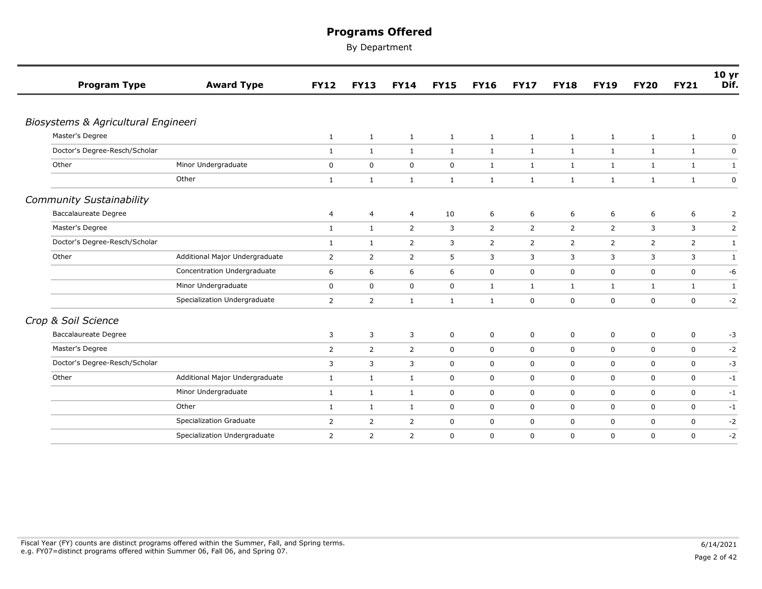| <b>Program Type</b>                 | <b>Award Type</b>              | <b>FY12</b>    | <b>FY13</b>    | <b>FY14</b>    | <b>FY15</b>  | <b>FY16</b>    | <b>FY17</b>    | <b>FY18</b>    | <b>FY19</b>    | <b>FY20</b>  | <b>FY21</b>             | 10 yr<br>Dif. |
|-------------------------------------|--------------------------------|----------------|----------------|----------------|--------------|----------------|----------------|----------------|----------------|--------------|-------------------------|---------------|
|                                     |                                |                |                |                |              |                |                |                |                |              |                         |               |
| Biosystems & Agricultural Engineeri |                                |                |                |                |              |                |                |                |                |              |                         |               |
| Master's Degree                     |                                | 1              | 1              | $\mathbf{1}$   | $\mathbf{1}$ | $\mathbf{1}$   | $\mathbf{1}$   | $\mathbf{1}$   | $\mathbf{1}$   | $\mathbf{1}$ | $\mathbf{1}$            | 0             |
| Doctor's Degree-Resch/Scholar       |                                | $\mathbf{1}$   | $\mathbf{1}$   | $\mathbf{1}$   | $\mathbf{1}$ | $\mathbf{1}$   | $\mathbf{1}$   | 1              | 1              | $\mathbf{1}$ | $\mathbf{1}$            | 0             |
| Other                               | Minor Undergraduate            | 0              | $\mathbf 0$    | $\mathbf 0$    | $\mathbf 0$  | $\mathbf{1}$   | $\mathbf{1}$   | $\mathbf{1}$   | $\mathbf{1}$   | $\mathbf{1}$ | $\mathbf{1}$            | $\mathbf{1}$  |
|                                     | Other                          | $\mathbf{1}$   | $\mathbf{1}$   | $\mathbf{1}$   | $\mathbf{1}$ | $\mathbf{1}$   | $\mathbf{1}$   | $\mathbf{1}$   | $\mathbf{1}$   | 1            | $\mathbf{1}$            | $\pmb{0}$     |
| <b>Community Sustainability</b>     |                                |                |                |                |              |                |                |                |                |              |                         |               |
| <b>Baccalaureate Degree</b>         |                                | 4              | $\overline{4}$ | $\overline{4}$ | 10           | 6              | 6              | 6              | 6              | 6            | 6                       | 2             |
| Master's Degree                     |                                | $\mathbf{1}$   | $\mathbf{1}$   | $\overline{2}$ | 3            | $\overline{2}$ | $\overline{2}$ | $\overline{2}$ | 2              | 3            | 3                       | $\mathsf{2}$  |
| Doctor's Degree-Resch/Scholar       |                                | $\mathbf{1}$   | 1              | $\overline{2}$ | 3            | $\overline{2}$ | $\overline{2}$ | $\overline{2}$ | $\overline{2}$ | 2            | $\overline{2}$          | $\mathbf{1}$  |
| Other                               | Additional Major Undergraduate | $\overline{2}$ | 2              | 2              | 5            | 3              | 3              | 3              | 3              | 3            | 3                       | 1             |
|                                     | Concentration Undergraduate    | 6              | 6              | 6              | 6            | $\mathbf 0$    | $\mathbf 0$    | 0              | $\mathbf 0$    | $\mathbf 0$  | $\mathsf{O}\phantom{0}$ | -6            |
|                                     | Minor Undergraduate            | 0              | $\mathbf 0$    | $\mathbf 0$    | $\mathbf 0$  | $\mathbf{1}$   | $\mathbf{1}$   | $\mathbf{1}$   | $\mathbf{1}$   | $\mathbf{1}$ | $\mathbf{1}$            | $\mathbf{1}$  |
|                                     | Specialization Undergraduate   | $\overline{2}$ | $\overline{2}$ | $\mathbf{1}$   | $\mathbf{1}$ | $\mathbf{1}$   | $\mathbf 0$    | $\mathbf 0$    | $\mathbf 0$    | $\mathbf 0$  | 0                       | $-2$          |
| Crop & Soil Science                 |                                |                |                |                |              |                |                |                |                |              |                         |               |
| <b>Baccalaureate Degree</b>         |                                | 3              | 3              | 3              | $\mathbf 0$  | 0              | 0              | 0              | $\mathbf 0$    | $\mathsf 0$  | $\mathsf{O}$            | $-3$          |
| Master's Degree                     |                                | 2              | $\overline{2}$ | $\overline{2}$ | $\mathbf 0$  | $\mathbf 0$    | 0              | 0              | $\mathbf 0$    | 0            | $\mathbf 0$             | $-2$          |
| Doctor's Degree-Resch/Scholar       |                                | 3              | 3              | 3              | $\mathbf 0$  | $\mathbf 0$    | 0              | 0              | $\mathbf 0$    | $\mathbf 0$  | 0                       | -3            |
| Other                               | Additional Major Undergraduate | 1              | 1              | 1              | $\mathbf 0$  | $\mathbf 0$    | $\mathbf 0$    | $\mathbf 0$    | $\mathbf 0$    | 0            | 0                       | $-1$          |
|                                     | Minor Undergraduate            | $\mathbf{1}$   | 1              | $\mathbf{1}$   | $\mathbf 0$  | 0              | 0              | 0              | $\mathbf 0$    | $\mathbf 0$  | $\mathsf{O}$            | $-1$          |
|                                     | Other                          | $\mathbf{1}$   | $\mathbf{1}$   | $\mathbf{1}$   | $\mathbf 0$  | $\mathbf 0$    | 0              | 0              | $\mathbf 0$    | $\mathbf 0$  | $\mathbf 0$             | $-1$          |
|                                     | Specialization Graduate        | $\overline{2}$ | $\overline{2}$ | $\overline{2}$ | $\mathbf 0$  | $\mathbf 0$    | $\mathbf 0$    | 0              | $\mathbf 0$    | $\mathbf 0$  | $\mathbf 0$             | $-2$          |
|                                     | Specialization Undergraduate   | $\overline{2}$ | $\overline{2}$ | $\overline{2}$ | $\mathbf 0$  | $\mathbf 0$    | 0              | 0              | $\mathbf 0$    | $\mathbf 0$  | 0                       | $-2$          |
|                                     |                                |                |                |                |              |                |                |                |                |              |                         |               |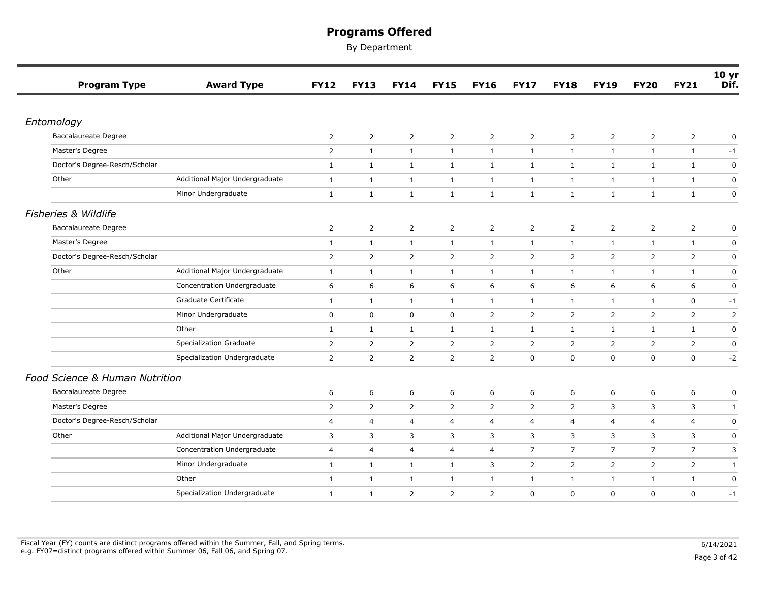| <b>Program Type</b>            | <b>Award Type</b>              | <b>FY12</b>    | <b>FY13</b>    | <b>FY14</b>    | <b>FY15</b>    | <b>FY16</b>    | <b>FY17</b>    | <b>FY18</b>    | <b>FY19</b>    | <b>FY20</b>    | <b>FY21</b>    | 10 <sub>yr</sub><br>Dif. |
|--------------------------------|--------------------------------|----------------|----------------|----------------|----------------|----------------|----------------|----------------|----------------|----------------|----------------|--------------------------|
|                                |                                |                |                |                |                |                |                |                |                |                |                |                          |
| Entomology                     |                                |                |                |                |                |                |                |                |                |                |                |                          |
| <b>Baccalaureate Degree</b>    |                                | $\overline{2}$ | $\overline{2}$ | $\overline{2}$ | $\overline{2}$ | 2              | $\overline{2}$ | $\overline{2}$ | 2              | $\overline{2}$ | $\overline{2}$ | 0                        |
| Master's Degree                |                                | $\overline{2}$ | $\mathbf{1}$   | $\mathbf{1}$   | $\mathbf{1}$   | $\mathbf{1}$   | $\mathbf{1}$   | $\mathbf{1}$   | $\mathbf{1}$   | $\mathbf{1}$   | $\mathbf{1}$   | $-1$                     |
| Doctor's Degree-Resch/Scholar  |                                | $\mathbf{1}$   | $\mathbf{1}$   | $\mathbf{1}$   | $\mathbf{1}$   | $\mathbf{1}$   | $\mathbf{1}$   | $\mathbf{1}$   | $\mathbf{1}$   | $\mathbf{1}$   | $\mathbf{1}$   | $\mathsf 0$              |
| Other                          | Additional Major Undergraduate | $\mathbf{1}$   | $\mathbf{1}$   | 1              | $\mathbf{1}$   | 1              | $\mathbf{1}$   | $\mathbf{1}$   | $\mathbf{1}$   | $\mathbf{1}$   | 1              | $\mathbf 0$              |
|                                | Minor Undergraduate            | $\mathbf{1}$   | $\mathbf{1}$   | $\mathbf{1}$   | $\mathbf{1}$   | 1              | $\mathbf{1}$   | $\mathbf{1}$   | $\mathbf{1}$   | $\mathbf{1}$   | $\mathbf{1}$   | $\mathbf 0$              |
| Fisheries & Wildlife           |                                |                |                |                |                |                |                |                |                |                |                |                          |
| Baccalaureate Degree           |                                | $\overline{2}$ | $\overline{2}$ | $\overline{2}$ | $\overline{2}$ | $\overline{2}$ | $\overline{2}$ | $\overline{2}$ | $\overline{2}$ | $\overline{2}$ | $\overline{2}$ | 0                        |
| Master's Degree                |                                | $\mathbf{1}$   | $\mathbf{1}$   | $\mathbf{1}$   | $\mathbf{1}$   | 1              | $\mathbf{1}$   | $\mathbf{1}$   | $\mathbf{1}$   | $\mathbf{1}$   | $\mathbf{1}$   | $\mathbf 0$              |
| Doctor's Degree-Resch/Scholar  |                                | $\overline{2}$ | $\overline{2}$ | $\overline{2}$ | $\overline{2}$ | $\overline{2}$ | $\overline{2}$ | $\overline{2}$ | $\overline{2}$ | $\overline{2}$ | $\overline{2}$ | 0                        |
| Other                          | Additional Major Undergraduate | $\mathbf{1}$   | $\mathbf{1}$   | $\mathbf{1}$   | $\mathbf{1}$   | 1              | $\mathbf{1}$   | $\mathbf{1}$   | 1              | $\mathbf{1}$   | $\mathbf{1}$   | $\boldsymbol{0}$         |
|                                | Concentration Undergraduate    | 6              | 6              | 6              | 6              | 6              | 6              | 6              | 6              | 6              | 6              | $\pmb{0}$                |
|                                | Graduate Certificate           | $\mathbf{1}$   | $\mathbf{1}$   | $\mathbf{1}$   | $\mathbf{1}$   | $\mathbf{1}$   | $\mathbf{1}$   | $\mathbf{1}$   | $\mathbf{1}$   | 1              | $\mathbf 0$    | $-1$                     |
|                                | Minor Undergraduate            | $\mathbf 0$    | $\mathbf 0$    | $\mathbf 0$    | 0              | $\overline{2}$ | $\overline{2}$ | $\overline{2}$ | 2              | 2              | $\overline{2}$ | 2                        |
|                                | Other                          | $\mathbf{1}$   | $\mathbf{1}$   | $\mathbf{1}$   | $\mathbf{1}$   | $\mathbf{1}$   | $\mathbf{1}$   | $\mathbf{1}$   | $\mathbf{1}$   | $\mathbf{1}$   | $\mathbf{1}$   | $\mathsf 0$              |
|                                | <b>Specialization Graduate</b> | $\overline{2}$ | $\overline{2}$ | 2              | $\overline{2}$ | $\overline{2}$ | $\overline{2}$ | 2              | 2              | $\overline{2}$ | $\overline{2}$ | $\mathbf 0$              |
|                                | Specialization Undergraduate   | $\overline{2}$ | 2              | $\overline{2}$ | $\overline{2}$ | $\overline{2}$ | $\mathbf 0$    | 0              | 0              | $\mathbf 0$    | $\mathbf 0$    | $-2$                     |
| Food Science & Human Nutrition |                                |                |                |                |                |                |                |                |                |                |                |                          |
| Baccalaureate Degree           |                                | 6              | 6              | 6              | 6              | 6              | 6              | 6              | 6              | 6              | 6              | $\pmb{0}$                |
| Master's Degree                |                                | $\overline{2}$ | $\overline{2}$ | $\overline{2}$ | $\overline{2}$ | $\overline{2}$ | $\overline{2}$ | $\overline{2}$ | 3              | 3              | 3              | $\mathbf{1}$             |
| Doctor's Degree-Resch/Scholar  |                                | $\overline{4}$ | 4              | $\overline{4}$ | $\overline{4}$ | $\overline{4}$ | 4              | $\overline{4}$ | $\overline{4}$ | $\overline{4}$ | $\overline{4}$ | $\pmb{0}$                |
| Other                          | Additional Major Undergraduate | 3              | 3              | 3              | 3              | 3              | 3              | 3              | 3              | 3              | 3              | $\pmb{0}$                |
|                                | Concentration Undergraduate    | $\overline{4}$ | $\overline{4}$ | $\overline{4}$ | 4              | $\overline{4}$ | $\overline{7}$ | $\overline{7}$ | $\overline{7}$ | $\overline{7}$ | $\overline{7}$ | 3                        |
|                                | Minor Undergraduate            | $\mathbf{1}$   | $\mathbf{1}$   | $\mathbf{1}$   | $\mathbf{1}$   | 3              | $\overline{2}$ | $\overline{2}$ | $\overline{2}$ | $\overline{2}$ | $\overline{2}$ | $\mathbf{1}$             |
|                                | Other                          | $\mathbf{1}$   | $\mathbf{1}$   | $\mathbf{1}$   | $\mathbf{1}$   | 1              | $\mathbf{1}$   | $\mathbf{1}$   | $\mathbf{1}$   | $\mathbf{1}$   | $\mathbf{1}$   | $\mathbf 0$              |
|                                | Specialization Undergraduate   | $\mathbf{1}$   | $\mathbf{1}$   | 2              | $\overline{2}$ | $\overline{2}$ | $\mathbf 0$    | $\mathbf 0$    | $\mathbf 0$    | $\mathbf 0$    | $\mathbf 0$    | $-1$                     |
|                                |                                |                |                |                |                |                |                |                |                |                |                |                          |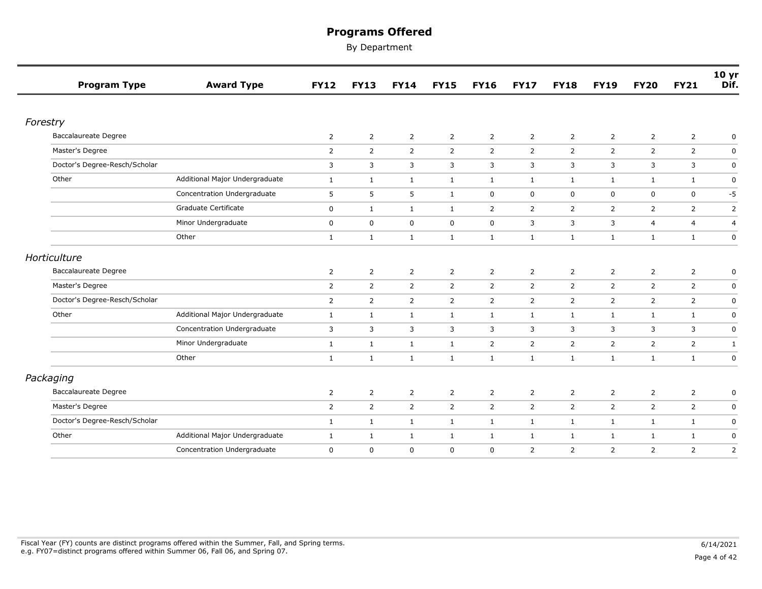|                 | <b>Program Type</b>           | <b>Award Type</b>              | <b>FY12</b>    | <b>FY13</b>    | <b>FY14</b>    | <b>FY15</b>    | <b>FY16</b>    | <b>FY17</b>    | <b>FY18</b>    | <b>FY19</b>    | <b>FY20</b>    | <b>FY21</b>    | 10 yr<br>Dif.  |
|-----------------|-------------------------------|--------------------------------|----------------|----------------|----------------|----------------|----------------|----------------|----------------|----------------|----------------|----------------|----------------|
|                 |                               |                                |                |                |                |                |                |                |                |                |                |                |                |
| Forestry        |                               |                                |                |                |                |                |                |                |                |                |                |                |                |
|                 | Baccalaureate Degree          |                                | $\overline{2}$ | $\overline{2}$ | $\overline{2}$ | $\overline{2}$ | $\overline{2}$ | $\overline{2}$ | $\overline{2}$ | $\overline{2}$ | $\overline{2}$ | $\overline{2}$ | 0              |
| Master's Degree |                               |                                | $\overline{2}$ | $\overline{2}$ | $\overline{2}$ | $\overline{2}$ | $\overline{2}$ | $\overline{2}$ | $\overline{2}$ | $\overline{2}$ | $\overline{2}$ | $\overline{2}$ | $\mathsf 0$    |
|                 | Doctor's Degree-Resch/Scholar |                                | 3              | 3              | 3              | 3              | 3              | 3              | 3              | 3              | 3              | 3              | $\pmb{0}$      |
| Other           |                               | Additional Major Undergraduate | $\mathbf{1}$   | $\mathbf{1}$   | $\mathbf{1}$   | $\mathbf{1}$   | $\mathbf{1}$   | $\mathbf{1}$   | $\mathbf{1}$   | $\mathbf{1}$   | $\mathbf{1}$   | $\mathbf{1}$   | $\mathbf 0$    |
|                 |                               | Concentration Undergraduate    | 5              | 5              | 5              | $\mathbf{1}$   | $\mathbf 0$    | $\mathbf 0$    | $\mathbf 0$    | $\mathbf 0$    | $\mathbf 0$    | $\mathbf 0$    | $-5$           |
|                 |                               | Graduate Certificate           | $\mathbf 0$    | $\mathbf{1}$   | $\mathbf{1}$   | $\mathbf{1}$   | $\overline{2}$ | $\overline{2}$ | $\overline{2}$ | 2              | $\overline{2}$ | $\overline{2}$ | $\overline{2}$ |
|                 |                               | Minor Undergraduate            | 0              | $\mathbf 0$    | $\mathbf 0$    | $\mathbf 0$    | $\mathbf 0$    | 3              | 3              | 3              | $\overline{4}$ | 4              | $\overline{a}$ |
|                 |                               | Other                          | $\mathbf{1}$   | $\mathbf{1}$   | $\mathbf{1}$   | $\mathbf{1}$   | $\mathbf{1}$   | $\mathbf{1}$   | $\mathbf{1}$   | $\mathbf{1}$   | $\mathbf{1}$   | $\mathbf{1}$   | $\mathbf 0$    |
| Horticulture    |                               |                                |                |                |                |                |                |                |                |                |                |                |                |
|                 | Baccalaureate Degree          |                                | $\overline{2}$ | $\overline{2}$ | $\overline{2}$ | $\overline{2}$ | $\overline{2}$ | $\overline{2}$ | $\overline{2}$ | $\overline{2}$ | $\overline{2}$ | $\overline{2}$ | 0              |
| Master's Degree |                               |                                | $\overline{2}$ | $\overline{2}$ | $\overline{2}$ | $\overline{2}$ | $\overline{2}$ | $\overline{2}$ | $\overline{2}$ | 2              | $\overline{2}$ | $\overline{2}$ | $\mathbf 0$    |
|                 | Doctor's Degree-Resch/Scholar |                                | $\overline{2}$ | $\overline{2}$ | $\overline{2}$ | $\overline{2}$ | $\overline{2}$ | $\overline{2}$ | $\overline{2}$ | 2              | $\overline{2}$ | $\overline{2}$ | $\pmb{0}$      |
| Other           |                               | Additional Major Undergraduate | $\mathbf{1}$   | $\mathbf{1}$   | $\mathbf{1}$   | $\mathbf{1}$   | $\mathbf{1}$   | $\mathbf{1}$   | 1              | $\mathbf{1}$   | 1              | $\mathbf{1}$   | $\mathbf 0$    |
|                 |                               | Concentration Undergraduate    | 3              | 3              | $\overline{3}$ | 3              | 3              | 3              | 3              | 3              | 3              | 3              | $\pmb{0}$      |
|                 |                               | Minor Undergraduate            | $\mathbf{1}$   | $\mathbf{1}$   | $\mathbf{1}$   | $\mathbf{1}$   | $\overline{2}$ | $\overline{2}$ | $\overline{2}$ | $\overline{2}$ | $\overline{2}$ | $\overline{2}$ | 1              |
|                 |                               | Other                          | $\mathbf{1}$   | $\mathbf{1}$   | $\mathbf{1}$   | $\mathbf{1}$   | $\mathbf{1}$   | $\mathbf{1}$   | $\mathbf{1}$   | $\mathbf{1}$   | $\mathbf{1}$   | $\mathbf{1}$   | $\pmb{0}$      |
| Packaging       |                               |                                |                |                |                |                |                |                |                |                |                |                |                |
|                 | <b>Baccalaureate Degree</b>   |                                | 2              | $\overline{2}$ | $\overline{2}$ | $\overline{2}$ | $\overline{2}$ | $\overline{2}$ | $\overline{2}$ | $\overline{2}$ | $\overline{2}$ | $\overline{2}$ | 0              |
| Master's Degree |                               |                                | $\overline{2}$ | $\overline{2}$ | $\overline{2}$ | $\overline{2}$ | $\overline{2}$ | $\overline{2}$ | $\overline{2}$ | $\overline{2}$ | $\overline{2}$ | 2              | $\mathbf 0$    |
|                 | Doctor's Degree-Resch/Scholar |                                | $\mathbf{1}$   | $\mathbf{1}$   | $\mathbf{1}$   | $\mathbf{1}$   | $\mathbf{1}$   | $\mathbf{1}$   | $\mathbf{1}$   | $\mathbf{1}$   | $\mathbf{1}$   | $\mathbf{1}$   | $\mathbf 0$    |
| Other           |                               | Additional Major Undergraduate | $\mathbf{1}$   | $\mathbf{1}$   | $\mathbf{1}$   | $\mathbf{1}$   | $\mathbf{1}$   | $\mathbf{1}$   | $\mathbf{1}$   | $\mathbf{1}$   | $\mathbf{1}$   | $\mathbf{1}$   | $\pmb{0}$      |
|                 |                               | Concentration Undergraduate    | $\mathbf 0$    | $\mathbf 0$    | $\mathbf 0$    | $\mathbf 0$    | $\mathbf 0$    | $\overline{2}$ | $\overline{2}$ | 2              | $\overline{2}$ | $\overline{2}$ | 2              |
|                 |                               |                                |                |                |                |                |                |                |                |                |                |                |                |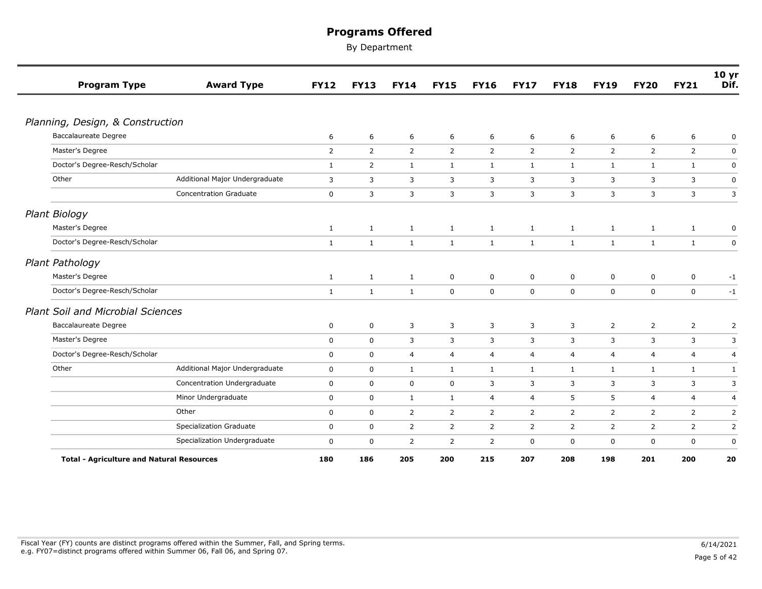| <b>Program Type</b>                              | <b>Award Type</b>              | <b>FY12</b>    | <b>FY13</b>    | <b>FY14</b>    | <b>FY15</b>    | <b>FY16</b>    | <b>FY17</b>    | <b>FY18</b>    | <b>FY19</b>    | <b>FY20</b>    | <b>FY21</b>    | 10 <sub>yr</sub><br>Dif. |
|--------------------------------------------------|--------------------------------|----------------|----------------|----------------|----------------|----------------|----------------|----------------|----------------|----------------|----------------|--------------------------|
|                                                  |                                |                |                |                |                |                |                |                |                |                |                |                          |
| Planning, Design, & Construction                 |                                |                |                |                |                |                |                |                |                |                |                |                          |
| <b>Baccalaureate Degree</b>                      |                                | 6              | 6              | 6              | 6              | 6              | 6              | 6              | 6              | 6              | 6              | 0                        |
| Master's Degree                                  |                                | $\overline{2}$ | $\overline{2}$ | 2              | 2              | $\overline{2}$ | 2              | $\overline{2}$ | 2              | $\overline{2}$ | $\overline{2}$ | $\mathbf 0$              |
| Doctor's Degree-Resch/Scholar                    |                                | $\mathbf{1}$   | $\overline{2}$ | $\mathbf{1}$   | $\mathbf{1}$   | $\mathbf{1}$   | $\mathbf{1}$   | $\mathbf{1}$   | $\mathbf{1}$   | 1              | 1              | $\mathbf 0$              |
| Other                                            | Additional Major Undergraduate | 3              | 3              | 3              | 3              | 3              | 3              | 3              | 3              | 3              | 3              | $\pmb{0}$                |
|                                                  | <b>Concentration Graduate</b>  | $\mathbf 0$    | 3              | 3              | 3              | 3              | 3              | 3              | 3              | 3              | 3              | 3                        |
| <b>Plant Biology</b>                             |                                |                |                |                |                |                |                |                |                |                |                |                          |
| Master's Degree                                  |                                | $\mathbf{1}$   | $\mathbf{1}$   | $\mathbf{1}$   | $\mathbf{1}$   | $\mathbf{1}$   | 1              | $\mathbf{1}$   | $\mathbf{1}$   | 1              | $\mathbf{1}$   | 0                        |
| Doctor's Degree-Resch/Scholar                    |                                | $\mathbf{1}$   | $\mathbf 1$    | $\mathbf{1}$   | $\mathbf{1}$   | $\mathbf{1}$   | $\mathbf{1}$   | $\mathbf{1}$   | $\mathbf{1}$   | $\mathbf{1}$   | $\mathbf{1}$   | $\mathsf 0$              |
| Plant Pathology                                  |                                |                |                |                |                |                |                |                |                |                |                |                          |
| Master's Degree                                  |                                | $\mathbf{1}$   | $\mathbf{1}$   | $\mathbf{1}$   | $\mathbf 0$    | $\mathbf 0$    | 0              | 0              | $\mathbf 0$    | 0              | 0              | $-1$                     |
| Doctor's Degree-Resch/Scholar                    |                                | $\mathbf{1}$   | $\mathbf{1}$   | $\mathbf{1}$   | $\mathbf 0$    | $\mathbf 0$    | $\mathbf 0$    | $\mathbf 0$    | $\mathbf 0$    | $\mathbf 0$    | $\mathbf 0$    | $-1$                     |
| <b>Plant Soil and Microbial Sciences</b>         |                                |                |                |                |                |                |                |                |                |                |                |                          |
| <b>Baccalaureate Degree</b>                      |                                | $\mathbf 0$    | $\mathsf 0$    | 3              | 3              | 3              | 3              | 3              | $\overline{2}$ | $\overline{2}$ | $\overline{2}$ | $\overline{2}$           |
| Master's Degree                                  |                                | $\mathbf 0$    | $\mathbf 0$    | 3              | 3              | 3              | 3              | 3              | 3              | 3              | 3              | 3                        |
| Doctor's Degree-Resch/Scholar                    |                                | $\mathbf 0$    | $\mathbf 0$    | 4              | $\overline{4}$ | $\overline{4}$ | 4              | 4              | $\overline{4}$ | $\overline{4}$ | $\overline{4}$ | 4                        |
| Other                                            | Additional Major Undergraduate | $\mathbf 0$    | $\mathbf 0$    | $\mathbf{1}$   | $\mathbf{1}$   | $\mathbf{1}$   | $\mathbf{1}$   | $\mathbf{1}$   | $\mathbf{1}$   | $\mathbf{1}$   | $\mathbf{1}$   | $\mathbf{1}$             |
|                                                  | Concentration Undergraduate    | 0              | $\mathbf 0$    | 0              | $\mathbf 0$    | 3              | 3              | 3              | 3              | 3              | 3              | 3                        |
|                                                  | Minor Undergraduate            | $\mathbf 0$    | $\mathbf 0$    | $\mathbf{1}$   | $\mathbf{1}$   | $\overline{4}$ | $\overline{4}$ | 5              | 5              | $\overline{4}$ | $\overline{4}$ | $\overline{a}$           |
|                                                  | Other                          | $\mathbf 0$    | $\mathbf 0$    | 2              | $\overline{2}$ | $\overline{2}$ | $\overline{2}$ | 2              | 2              | 2              | $\overline{2}$ | $\overline{2}$           |
|                                                  | <b>Specialization Graduate</b> | $\mathbf 0$    | $\mathbf 0$    | 2              | 2              | $\overline{2}$ | 2              | $\overline{2}$ | 2              | 2              | $\overline{2}$ | $\overline{2}$           |
|                                                  | Specialization Undergraduate   | $\mathbf 0$    | $\mathsf 0$    | $\overline{2}$ | 2              | $\overline{2}$ | $\pmb{0}$      | 0              | 0              | $\mathbf 0$    | 0              | $\pmb{0}$                |
| <b>Total - Agriculture and Natural Resources</b> |                                | 180            | 186            | 205            | 200            | 215            | 207            | 208            | 198            | 201            | 200            | 20                       |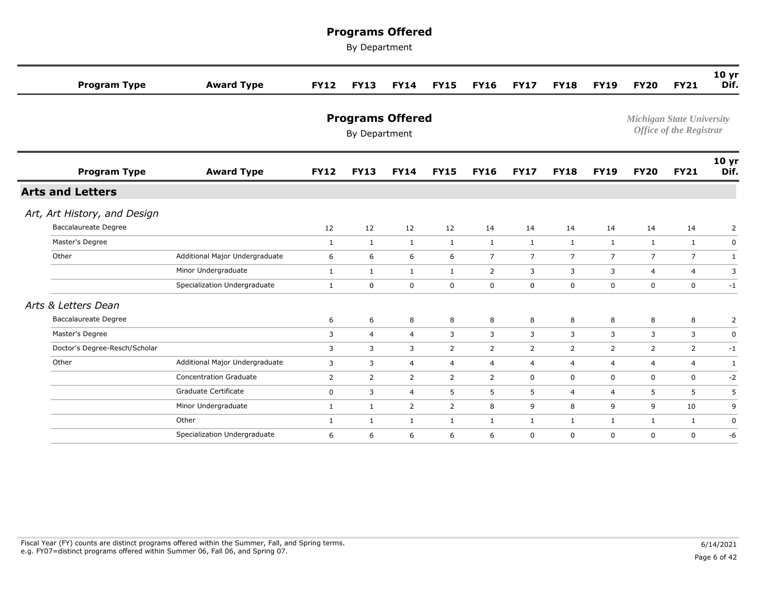| <b>Program Type</b>           | <b>Award Type</b>              | <b>FY12</b>  | <b>FY13</b>                              | <b>FY14</b>    | <b>FY15</b>    | <b>FY16</b>    | <b>FY17</b>    | <b>FY18</b>    | <b>FY19</b>    | <b>FY20</b>    | <b>FY21</b>                                                        | 10 <sub>yr</sub><br>Dif. |
|-------------------------------|--------------------------------|--------------|------------------------------------------|----------------|----------------|----------------|----------------|----------------|----------------|----------------|--------------------------------------------------------------------|--------------------------|
|                               |                                |              | <b>Programs Offered</b><br>By Department |                |                |                |                |                |                |                | <b>Michigan State University</b><br><b>Office of the Registrar</b> |                          |
| <b>Program Type</b>           | <b>Award Type</b>              | <b>FY12</b>  | <b>FY13</b>                              | <b>FY14</b>    | <b>FY15</b>    | <b>FY16</b>    | <b>FY17</b>    | <b>FY18</b>    | <b>FY19</b>    | <b>FY20</b>    | <b>FY21</b>                                                        | 10 <sub>yr</sub><br>Dif. |
| <b>Arts and Letters</b>       |                                |              |                                          |                |                |                |                |                |                |                |                                                                    |                          |
| Art, Art History, and Design  |                                |              |                                          |                |                |                |                |                |                |                |                                                                    |                          |
| <b>Baccalaureate Degree</b>   |                                | 12           | 12                                       | 12             | 12             | 14             | 14             | 14             | 14             | 14             | 14                                                                 | $\overline{2}$           |
| Master's Degree               |                                | $\mathbf{1}$ | $\mathbf{1}$                             | $\mathbf{1}$   | $\mathbf{1}$   | $\mathbf{1}$   | $\mathbf{1}$   | $\mathbf{1}$   | $\mathbf{1}$   | $\mathbf{1}$   | $\mathbf{1}$                                                       | 0                        |
| Other                         | Additional Major Undergraduate | 6            | 6                                        | 6              | 6              | $\overline{7}$ | $\overline{7}$ | $\overline{7}$ | $\overline{7}$ | $\overline{7}$ | $\overline{7}$                                                     | 1                        |
|                               | Minor Undergraduate            | $\mathbf{1}$ | $\mathbf{1}$                             | $\mathbf{1}$   | $\mathbf{1}$   | $\overline{2}$ | 3              | 3              | 3              | $\overline{4}$ | 4                                                                  | 3                        |
|                               | Specialization Undergraduate   | $\mathbf{1}$ | $\mathbf 0$                              | $\mathbf 0$    | $\mathbf 0$    | $\mathbf 0$    | $\mathbf 0$    | $\mathbf 0$    | $\mathbf 0$    | $\mathbf 0$    | $\mathbf 0$                                                        | $-1$                     |
| Arts & Letters Dean           |                                |              |                                          |                |                |                |                |                |                |                |                                                                    |                          |
| <b>Baccalaureate Degree</b>   |                                | 6            | 6                                        | 8              | 8              | 8              | 8              | 8              | 8              | 8              | 8                                                                  | 2                        |
| Master's Degree               |                                | 3            | $\overline{4}$                           | $\overline{4}$ | 3              | 3              | 3              | 3              | 3              | 3              | 3                                                                  | 0                        |
| Doctor's Degree-Resch/Scholar |                                | 3            | 3                                        | 3              | 2              | $\overline{2}$ | $\overline{2}$ | $\overline{2}$ | 2              | 2              | 2                                                                  | $-1$                     |
| Other                         | Additional Major Undergraduate | 3            | 3                                        | $\overline{4}$ | $\overline{4}$ | $\overline{4}$ | 4              | $\overline{4}$ | 4              | $\overline{4}$ | 4                                                                  | $\mathbf{1}$             |
|                               | <b>Concentration Graduate</b>  | 2            | 2                                        | $\overline{2}$ | $\overline{2}$ | 2              | 0              | 0              | $\mathbf 0$    | $\mathbf 0$    | $\mathbf 0$                                                        | $-2$                     |
|                               | Graduate Certificate           | $\mathbf 0$  | 3                                        | $\overline{4}$ | 5              | 5              | 5              | $\overline{4}$ | $\overline{4}$ | 5              | 5                                                                  | 5                        |
|                               | Minor Undergraduate            | $\mathbf{1}$ | 1                                        | $\overline{2}$ | 2              | 8              | 9              | 8              | 9              | 9              | 10                                                                 | 9                        |
|                               | Other                          | $\mathbf{1}$ | 1                                        | $\mathbf{1}$   | $\mathbf{1}$   | $\mathbf{1}$   | $\mathbf{1}$   | 1              | $\mathbf{1}$   | 1              | 1                                                                  | 0                        |
|                               | Specialization Undergraduate   | 6            | 6                                        | 6              | 6              | 6              | $\mathbf 0$    | $\mathbf 0$    | $\mathbf 0$    | $\mathbf 0$    | $\mathbf 0$                                                        | $-6$                     |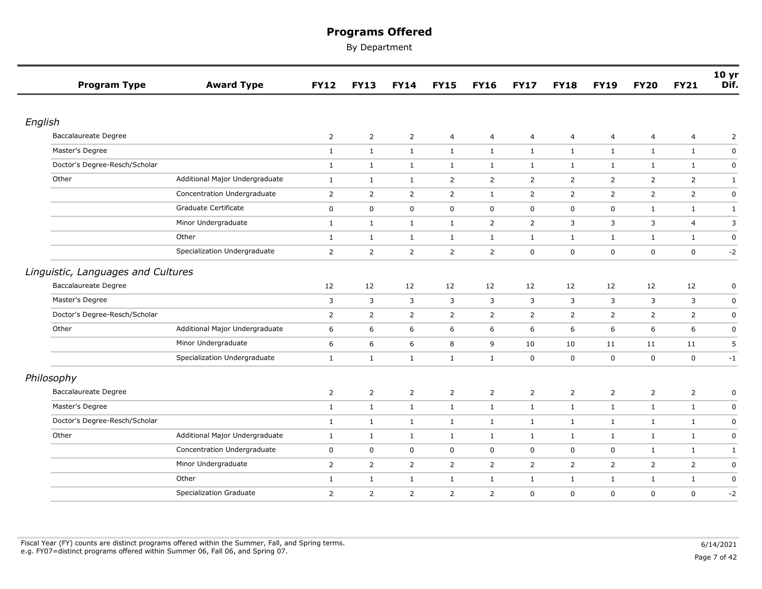| <b>Program Type</b>                | <b>Award Type</b>              | <b>FY12</b>    | <b>FY13</b>    | <b>FY14</b>    | <b>FY15</b>    | <b>FY16</b>    | <b>FY17</b>    | <b>FY18</b>    | <b>FY19</b>    | <b>FY20</b>    | <b>FY21</b>    | 10 <sub>yr</sub><br>Dif. |
|------------------------------------|--------------------------------|----------------|----------------|----------------|----------------|----------------|----------------|----------------|----------------|----------------|----------------|--------------------------|
|                                    |                                |                |                |                |                |                |                |                |                |                |                |                          |
| English                            |                                |                |                |                |                |                |                |                |                |                |                |                          |
| <b>Baccalaureate Degree</b>        |                                | $\overline{2}$ | $\overline{2}$ | $\overline{2}$ | 4              | 4              | 4              | 4              | $\overline{4}$ | $\overline{4}$ | $\overline{4}$ | 2                        |
| Master's Degree                    |                                | $\mathbf{1}$   | $\mathbf{1}$   | $\mathbf{1}$   | $\mathbf{1}$   | $\mathbf{1}$   | $\mathbf{1}$   | $\mathbf{1}$   | $\mathbf{1}$   | $\mathbf{1}$   | $\mathbf{1}$   | $\pmb{0}$                |
| Doctor's Degree-Resch/Scholar      |                                | $\mathbf{1}$   | $\mathbf{1}$   | $\mathbf{1}$   | $\mathbf{1}$   | $\mathbf{1}$   | $\mathbf{1}$   | $\mathbf{1}$   | $\mathbf{1}$   | $\mathbf{1}$   | $\mathbf{1}$   | $\mathsf 0$              |
| Other                              | Additional Major Undergraduate | $\mathbf{1}$   | $\mathbf{1}$   | $\mathbf{1}$   | $\overline{2}$ | $\overline{2}$ | $\overline{2}$ | $\overline{2}$ | $\overline{2}$ | $\overline{2}$ | $\overline{2}$ | $\mathbf{1}$             |
|                                    | Concentration Undergraduate    | $\overline{2}$ | $\overline{2}$ | $\overline{2}$ | $\overline{2}$ | $\mathbf{1}$   | $\overline{2}$ | $\overline{2}$ | 2              | $\overline{2}$ | $\overline{2}$ | 0                        |
|                                    | Graduate Certificate           | $\mathbf 0$    | $\mathbf 0$    | $\mathbf 0$    | $\mathbf 0$    | $\mathbf 0$    | 0              | $\mathbf 0$    | $\mathbf 0$    | $\mathbf{1}$   | $\mathbf{1}$   | $\mathbf{1}$             |
|                                    | Minor Undergraduate            | $\mathbf{1}$   | $\mathbf{1}$   | $\mathbf{1}$   | $\mathbf{1}$   | $\overline{2}$ | $\overline{2}$ | 3              | 3              | 3              | 4              | 3                        |
|                                    | Other                          | $\mathbf{1}$   | $\mathbf{1}$   | $\mathbf{1}$   | $\mathbf{1}$   | $\mathbf{1}$   | $\mathbf{1}$   | $\mathbf{1}$   | $\mathbf{1}$   | $\mathbf{1}$   | $\mathbf{1}$   | $\pmb{0}$                |
|                                    | Specialization Undergraduate   | $\overline{2}$ | $\overline{2}$ | $\overline{2}$ | $\overline{2}$ | $\overline{2}$ | 0              | $\mathbf 0$    | $\mathbf 0$    | $\mathbf 0$    | $\mathbf 0$    | $-2$                     |
| Linguistic, Languages and Cultures |                                |                |                |                |                |                |                |                |                |                |                |                          |
| Baccalaureate Degree               |                                | 12             | 12             | 12             | 12             | 12             | 12             | 12             | 12             | 12             | 12             | $\pmb{0}$                |
| Master's Degree                    |                                | 3              | 3              | 3              | 3              | 3              | 3              | 3              | 3              | 3              | 3              | $\pmb{0}$                |
| Doctor's Degree-Resch/Scholar      |                                | $\overline{2}$ | $\overline{2}$ | $\overline{2}$ | $\overline{2}$ | $\overline{2}$ | $\overline{2}$ | $\overline{2}$ | $\overline{2}$ | 2              | $\overline{2}$ | $\pmb{0}$                |
| Other                              | Additional Major Undergraduate | 6              | 6              | 6              | 6              | 6              | 6              | 6              | 6              | 6              | 6              | $\mathbf 0$              |
|                                    | Minor Undergraduate            | 6              | 6              | 6              | 8              | 9              | 10             | 10             | 11             | 11             | 11             | 5                        |
|                                    | Specialization Undergraduate   | $\mathbf{1}$   | $\mathbf{1}$   | $\mathbf{1}$   | $\mathbf{1}$   | $\mathbf{1}$   | 0              | $\mathbf 0$    | $\mathbf 0$    | $\mathbf 0$    | $\mathbf 0$    | $-1$                     |
| Philosophy                         |                                |                |                |                |                |                |                |                |                |                |                |                          |
| Baccalaureate Degree               |                                | $\overline{2}$ | $\overline{2}$ | $\overline{2}$ | $\overline{2}$ | $\overline{2}$ | $\overline{2}$ | $\overline{2}$ | $\overline{2}$ | $\overline{2}$ | $\overline{2}$ | $\pmb{0}$                |
| Master's Degree                    |                                | $\mathbf{1}$   | $\mathbf{1}$   | $\mathbf{1}$   | $\mathbf{1}$   | $\mathbf{1}$   | $\mathbf{1}$   | $\mathbf{1}$   | $\mathbf{1}$   | $\mathbf{1}$   | $\mathbf{1}$   | 0                        |
| Doctor's Degree-Resch/Scholar      |                                | 1              | $\mathbf{1}$   | $\mathbf{1}$   | $\mathbf{1}$   | $\mathbf{1}$   | $\mathbf{1}$   | $\mathbf{1}$   | $\mathbf{1}$   | $\mathbf{1}$   | $\mathbf{1}$   | $\mathbf 0$              |
| Other                              | Additional Major Undergraduate | 1              | $\mathbf{1}$   | $\mathbf{1}$   | 1              | $\mathbf{1}$   | $\mathbf{1}$   | 1              | $\mathbf{1}$   | 1              | $\mathbf{1}$   | $\mathsf 0$              |
|                                    | Concentration Undergraduate    | $\mathbf 0$    | $\mathbf 0$    | $\mathsf 0$    | $\mathbf 0$    | $\mathbf 0$    | $\mathbf 0$    | $\mathbf 0$    | $\mathbf 0$    | $\mathbf{1}$   | $\mathbf{1}$   | $\mathbf{1}$             |
|                                    | Minor Undergraduate            | $\overline{2}$ | $\overline{2}$ | $\overline{2}$ | $\overline{2}$ | $\overline{2}$ | $\overline{2}$ | $\overline{2}$ | $\overline{2}$ | $\overline{2}$ | $\overline{2}$ | $\mathbf 0$              |
|                                    | Other                          | 1              | $\mathbf{1}$   | $\mathbf{1}$   | $\mathbf{1}$   | $\mathbf{1}$   | $\mathbf{1}$   | $\mathbf{1}$   | $\mathbf{1}$   | $\mathbf{1}$   | $\mathbf{1}$   | $\mathbf 0$              |
|                                    | <b>Specialization Graduate</b> | $\overline{2}$ | $\overline{2}$ | $\overline{2}$ | $\overline{2}$ | $\overline{2}$ | $\mathbf 0$    | $\mathbf 0$    | $\mathbf 0$    | $\mathbf 0$    | $\mathbf 0$    | $-2$                     |
|                                    |                                |                |                |                |                |                |                |                |                |                |                |                          |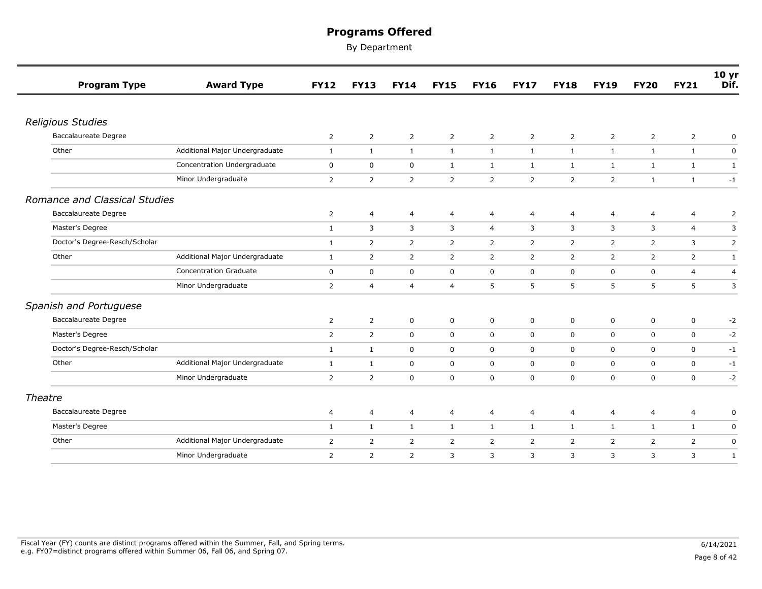| <b>Program Type</b>           | <b>Award Type</b>              | <b>FY12</b>    | <b>FY13</b>    | <b>FY14</b>    | <b>FY15</b>    | <b>FY16</b>    | <b>FY17</b>    | <b>FY18</b>    | <b>FY19</b>    | <b>FY20</b>    | <b>FY21</b>    | 10 <sub>yr</sub><br>Dif. |
|-------------------------------|--------------------------------|----------------|----------------|----------------|----------------|----------------|----------------|----------------|----------------|----------------|----------------|--------------------------|
|                               |                                |                |                |                |                |                |                |                |                |                |                |                          |
| <b>Religious Studies</b>      |                                |                |                |                |                |                |                |                |                |                |                |                          |
| <b>Baccalaureate Degree</b>   |                                | $\overline{2}$ | $\overline{2}$ | $\overline{2}$ | $\overline{2}$ | $\overline{2}$ | $\overline{2}$ | $\overline{2}$ | $\overline{2}$ | $\overline{2}$ | $\overline{2}$ | 0                        |
| Other                         | Additional Major Undergraduate | $\mathbf{1}$   | $\mathbf{1}$   | 1              | 1              | $\mathbf{1}$   | $\mathbf{1}$   | 1              | 1              | 1              | $\mathbf{1}$   | $\mathbf 0$              |
|                               | Concentration Undergraduate    | $\mathbf 0$    | 0              | 0              | $\mathbf{1}$   | 1              | $\mathbf{1}$   | $\mathbf{1}$   | $\mathbf{1}$   | 1              | $\mathbf{1}$   | 1                        |
|                               | Minor Undergraduate            | $\overline{2}$ | $\overline{2}$ | $\overline{2}$ | 2              | $\overline{2}$ | $\overline{2}$ | 2              | 2              | $\mathbf{1}$   | 1              | $-1$                     |
| Romance and Classical Studies |                                |                |                |                |                |                |                |                |                |                |                |                          |
| <b>Baccalaureate Degree</b>   |                                | 2              | 4              | 4              | 4              | 4              | 4              | 4              | 4              | 4              | 4              | 2                        |
| Master's Degree               |                                | $\mathbf{1}$   | 3              | 3              | 3              | $\overline{4}$ | 3              | 3              | 3              | $\overline{3}$ | $\overline{4}$ | 3                        |
| Doctor's Degree-Resch/Scholar |                                | $\mathbf{1}$   | $\overline{2}$ | $\overline{2}$ | $\overline{2}$ | $\overline{2}$ | $\overline{2}$ | $\overline{2}$ | $\overline{2}$ | $\overline{2}$ | 3              | $\mathsf{2}$             |
| Other                         | Additional Major Undergraduate | 1              | $\overline{2}$ | 2              | $\overline{2}$ | $\overline{2}$ | 2              | $\overline{2}$ | 2              | 2              | $\overline{2}$ | 1                        |
|                               | <b>Concentration Graduate</b>  | $\mathbf 0$    | 0              | $\mathbf 0$    | $\mathbf 0$    | $\mathbf 0$    | $\mathbf 0$    | $\mathbf 0$    | $\mathbf 0$    | $\mathbf 0$    | $\overline{4}$ | $\overline{a}$           |
|                               | Minor Undergraduate            | $\overline{2}$ | $\overline{4}$ | $\overline{4}$ | $\overline{4}$ | 5              | 5              | 5              | 5              | 5              | 5              | 3                        |
| Spanish and Portuguese        |                                |                |                |                |                |                |                |                |                |                |                |                          |
| <b>Baccalaureate Degree</b>   |                                | 2              | $\overline{2}$ | $\mathbf 0$    | $\mathbf 0$    | $\mathbf 0$    | 0              | $\mathbf 0$    | 0              | $\mathbf 0$    | $\mathbf 0$    | $-2$                     |
| Master's Degree               |                                | $\overline{2}$ | $\overline{2}$ | $\mathsf 0$    | $\mathbf 0$    | $\mathbf 0$    | $\mathbf 0$    | $\mathbf 0$    | 0              | $\mathbf 0$    | $\mathbf 0$    | $-2$                     |
| Doctor's Degree-Resch/Scholar |                                | $\mathbf{1}$   | $\mathbf{1}$   | $\mathbf 0$    | $\mathbf 0$    | $\mathbf 0$    | $\mathbf 0$    | $\mathbf 0$    | $\mathbf 0$    | $\mathbf 0$    | $\mathbf 0$    | $-1$                     |
| Other                         | Additional Major Undergraduate | $\mathbf{1}$   | $\mathbf{1}$   | $\mathbf 0$    | $\mathbf 0$    | $\mathbf 0$    | $\mathbf 0$    | $\mathbf 0$    | $\mathbf 0$    | $\mathbf 0$    | $\mathbf 0$    | $-1$                     |
|                               | Minor Undergraduate            | 2              | $\overline{2}$ | $\mathbf 0$    | $\mathbf 0$    | $\mathbf 0$    | $\mathbf 0$    | $\mathbf 0$    | $\mathbf 0$    | $\mathbf 0$    | $\mathbf 0$    | $-2$                     |
| Theatre                       |                                |                |                |                |                |                |                |                |                |                |                |                          |
| <b>Baccalaureate Degree</b>   |                                | 4              | 4              | 4              | 4              | 4              | 4              | 4              | 4              | $\overline{4}$ | 4              | 0                        |
| Master's Degree               |                                | $\mathbf{1}$   | $\mathbf{1}$   | $\mathbf{1}$   | $\mathbf{1}$   | $\mathbf{1}$   | $\mathbf{1}$   | $\mathbf{1}$   | $\mathbf{1}$   | $\mathbf{1}$   | $\mathbf{1}$   | $\mathbf 0$              |
| Other                         | Additional Major Undergraduate | 2              | $\overline{2}$ | 2              | $\overline{2}$ | $\overline{2}$ | $\overline{2}$ | $\overline{2}$ | 2              | 2              | $\overline{2}$ | $\mathbf 0$              |
|                               | Minor Undergraduate            | $\overline{2}$ | $\overline{2}$ | $\overline{2}$ | 3              | 3              | 3              | 3              | 3              | 3              | 3              | $\mathbf{1}$             |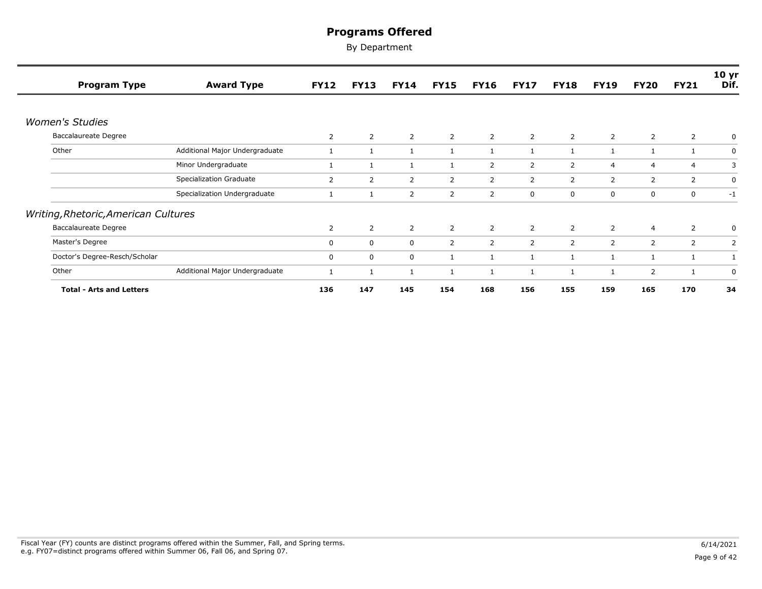| <b>Program Type</b>                  | <b>Award Type</b>              | <b>FY12</b> | <b>FY13</b>    | <b>FY14</b>  | <b>FY15</b> | <b>FY16</b>    | <b>FY17</b>    | <b>FY18</b>    | <b>FY19</b>    | <b>FY20</b>    | <b>FY21</b>    | 10 <sub>yr</sub><br>Dif. |
|--------------------------------------|--------------------------------|-------------|----------------|--------------|-------------|----------------|----------------|----------------|----------------|----------------|----------------|--------------------------|
|                                      |                                |             |                |              |             |                |                |                |                |                |                |                          |
| <b>Women's Studies</b>               |                                |             |                |              |             |                |                |                |                |                |                |                          |
| <b>Baccalaureate Degree</b>          |                                | 2           | $\overline{2}$ | 2            | 2           | $\overline{2}$ | $\overline{2}$ | $\overline{2}$ | 2              | 2              | 2              |                          |
| Other                                | Additional Major Undergraduate |             | 1              | 1            |             |                |                | $\mathbf{1}$   |                |                |                | 0                        |
|                                      | Minor Undergraduate            |             | 1              | $\mathbf{1}$ |             | 2              | 2              | 2              | 4              | $\overline{4}$ | $\overline{4}$ | 3                        |
|                                      | Specialization Graduate        | 2           | 2              | 2            | 2           | $\overline{2}$ | $\overline{2}$ | $\overline{2}$ | $\overline{2}$ | 2              | 2              | 0                        |
|                                      | Specialization Undergraduate   |             | 1              | 2            | 2           | 2              | 0              | 0              | 0              | $\mathbf 0$    | 0              | $-1$                     |
| Writing, Rhetoric, American Cultures |                                |             |                |              |             |                |                |                |                |                |                |                          |
| <b>Baccalaureate Degree</b>          |                                | 2           | $\overline{2}$ | 2            | 2           | 2              | $\overline{2}$ | $\overline{2}$ | $\overline{2}$ | $\overline{4}$ | $\overline{2}$ | 0                        |
| Master's Degree                      |                                | 0           | $\mathbf 0$    | $\mathbf 0$  | 2           | $\overline{2}$ | $\overline{2}$ | $\overline{2}$ | 2              | 2              | $\overline{2}$ | 2                        |
| Doctor's Degree-Resch/Scholar        |                                | 0           | 0              | 0            |             |                |                | 1              | 1              | -1             |                |                          |
| Other                                | Additional Major Undergraduate | 1           | $\mathbf{1}$   | $\mathbf{1}$ |             |                |                | 1              |                | $\overline{2}$ |                | 0                        |
| <b>Total - Arts and Letters</b>      |                                | 136         | 147            | 145          | 154         | 168            | 156            | 155            | 159            | 165            | 170            | 34                       |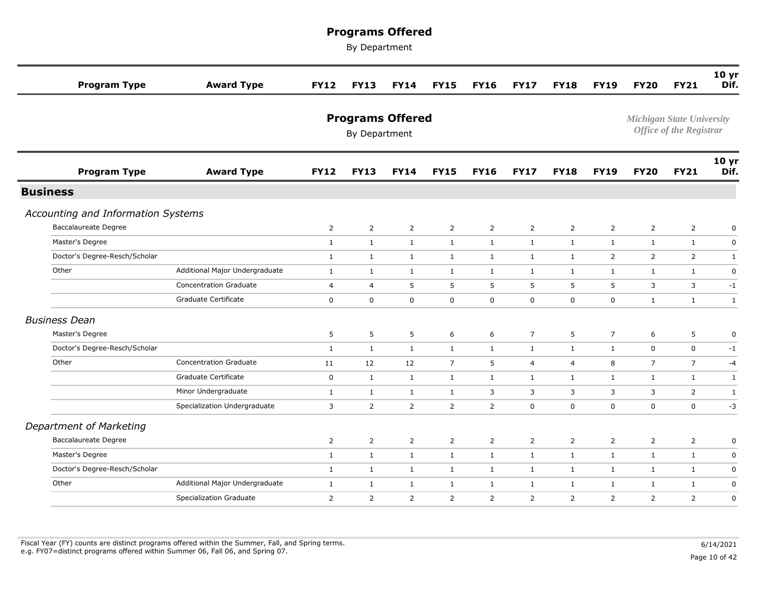By Department

| <b>Program Type</b>                | <b>Award Type</b>              | <b>FY12</b>    | <b>FY13</b>                              | <b>FY14</b>    | <b>FY15</b>    | <b>FY16</b>    | <b>FY17</b>    | <b>FY18</b>    | <b>FY19</b>    | <b>FY20</b>                      | <b>FY21</b>                    | 10 <sub>yr</sub><br>Dif. |
|------------------------------------|--------------------------------|----------------|------------------------------------------|----------------|----------------|----------------|----------------|----------------|----------------|----------------------------------|--------------------------------|--------------------------|
|                                    |                                |                | <b>Programs Offered</b><br>By Department |                |                |                |                |                |                | <b>Michigan State University</b> | <b>Office of the Registrar</b> |                          |
| <b>Program Type</b>                | <b>Award Type</b>              | <b>FY12</b>    | <b>FY13</b>                              | <b>FY14</b>    | <b>FY15</b>    | <b>FY16</b>    | <b>FY17</b>    | <b>FY18</b>    | <b>FY19</b>    | <b>FY20</b>                      | <b>FY21</b>                    | 10 <sub>yr</sub><br>Dif. |
| <b>Business</b>                    |                                |                |                                          |                |                |                |                |                |                |                                  |                                |                          |
| Accounting and Information Systems |                                |                |                                          |                |                |                |                |                |                |                                  |                                |                          |
| <b>Baccalaureate Degree</b>        |                                | $\overline{2}$ | $\overline{2}$                           | $\overline{2}$ | $\overline{2}$ | $\overline{2}$ | $\overline{2}$ | $\overline{2}$ | $\overline{2}$ | $\overline{2}$                   | $\overline{2}$                 | $\mathbf 0$              |
| Master's Degree                    |                                | $\mathbf{1}$   | $\mathbf{1}$                             | $\mathbf{1}$   | $\mathbf{1}$   | $\mathbf{1}$   | $\mathbf{1}$   | $\mathbf{1}$   | $\mathbf{1}$   | $\mathbf{1}$                     | $\mathbf{1}$                   | $\mathbf 0$              |
| Doctor's Degree-Resch/Scholar      |                                | $\mathbf{1}$   | $\mathbf{1}$                             | $\mathbf{1}$   | $\mathbf{1}$   | $\mathbf{1}$   | $\mathbf{1}$   | $\mathbf{1}$   | $\overline{2}$ | 2                                | $\overline{2}$                 | $\mathbf{1}$             |
| Other                              | Additional Major Undergraduate | $\mathbf{1}$   | $\mathbf{1}$                             | 1              | $\mathbf{1}$   | $\mathbf{1}$   | $\mathbf{1}$   | $\mathbf{1}$   | $\mathbf{1}$   | $\mathbf{1}$                     | 1                              | $\mathbf 0$              |
|                                    | <b>Concentration Graduate</b>  | 4              | 4                                        | 5              | 5              | 5              | 5              | 5              | 5              | 3                                | $\overline{3}$                 | $-1$                     |
|                                    | Graduate Certificate           | $\mathbf 0$    | $\mathbf 0$                              | $\mathbf 0$    | $\mathbf 0$    | $\mathbf 0$    | 0              | $\mathbf 0$    | $\pmb{0}$      | $\mathbf{1}$                     | $\mathbf{1}$                   | $\mathbf{1}$             |
| <b>Business Dean</b>               |                                |                |                                          |                |                |                |                |                |                |                                  |                                |                          |
| Master's Degree                    |                                | 5              | 5                                        | 5              | 6              | 6              | $\overline{7}$ | 5              | $\overline{7}$ | 6                                | 5                              | $\mathbf 0$              |
| Doctor's Degree-Resch/Scholar      |                                | $\mathbf{1}$   | $\mathbf{1}$                             | $\mathbf{1}$   | $\mathbf{1}$   | $\mathbf{1}$   | $\mathbf{1}$   | $\mathbf{1}$   | $\mathbf{1}$   | $\mathbf 0$                      | $\mathbf 0$                    | $-1$                     |
| Other                              | <b>Concentration Graduate</b>  | 11             | 12                                       | 12             | $\overline{7}$ | 5              | 4              | 4              | 8              | $\overline{7}$                   | $\overline{7}$                 | $-4$                     |
|                                    | Graduate Certificate           | $\mathbf 0$    | $\mathbf{1}$                             | $\mathbf{1}$   | $\mathbf{1}$   | $\mathbf{1}$   | $\mathbf{1}$   | $\mathbf{1}$   | $\mathbf{1}$   | $\mathbf{1}$                     | $\mathbf{1}$                   | $\mathbf{1}$             |
|                                    | Minor Undergraduate            | $\mathbf{1}$   | $\mathbf{1}$                             | 1              | $\mathbf{1}$   | 3              | 3              | 3              | 3              | 3                                | $\overline{2}$                 | $\mathbf{1}$             |
|                                    | Specialization Undergraduate   | $\mathbf{3}$   | $\overline{2}$                           | $\overline{2}$ | $\overline{2}$ | $\overline{2}$ | 0              | $\mathsf 0$    | $\pmb{0}$      | $\pmb{0}$                        | $\mathbf 0$                    | $-3$                     |
| Department of Marketing            |                                |                |                                          |                |                |                |                |                |                |                                  |                                |                          |
| Baccalaureate Degree               |                                | $\overline{2}$ | $\overline{2}$                           | $\overline{2}$ | $\overline{2}$ | $\overline{2}$ | $\overline{2}$ | $\overline{2}$ | $\overline{2}$ | $\mathsf{2}$                     | $\overline{2}$                 | $\mathbf 0$              |
| Master's Degree                    |                                | $\mathbf{1}$   | $\mathbf{1}$                             | $\mathbf{1}$   | $\mathbf{1}$   | $\mathbf{1}$   | $\mathbf{1}$   | $\mathbf{1}$   | $\mathbf{1}$   | $\mathbf{1}$                     | $\mathbf{1}$                   | $\mathbf 0$              |
| Doctor's Degree-Resch/Scholar      |                                | $\mathbf{1}$   | $\mathbf{1}$                             | $\mathbf{1}$   | $\mathbf{1}$   | $\mathbf{1}$   | $\mathbf{1}$   | $\mathbf{1}$   | $\mathbf{1}$   | $\mathbf{1}$                     | 1                              | $\mathsf 0$              |
| Other                              | Additional Major Undergraduate | $\mathbf{1}$   | $\mathbf{1}$                             | $\mathbf{1}$   | $\mathbf{1}$   | $\mathbf{1}$   | $\mathbf{1}$   | $\mathbf{1}$   | $\mathbf{1}$   | $\mathbf{1}$                     | $\mathbf{1}$                   | $\mathbf 0$              |
|                                    | <b>Specialization Graduate</b> | 2              | $\overline{2}$                           | 2              | 2              | $\overline{2}$ | 2              | 2              | $\overline{2}$ | 2                                | 2                              | $\mathbf 0$              |
|                                    |                                |                |                                          |                |                |                |                |                |                |                                  |                                |                          |

Fiscal Year (FY) counts are distinct programs offered within the Summer, Fall, and Spring terms.<br>e.g. FY07=distinct programs offered within Summer 06, Fall 06, and Spring 07. e.g. FY07=distinct programs offered within Summer 06, Fall 06, and Spring 07. Page 10 of 42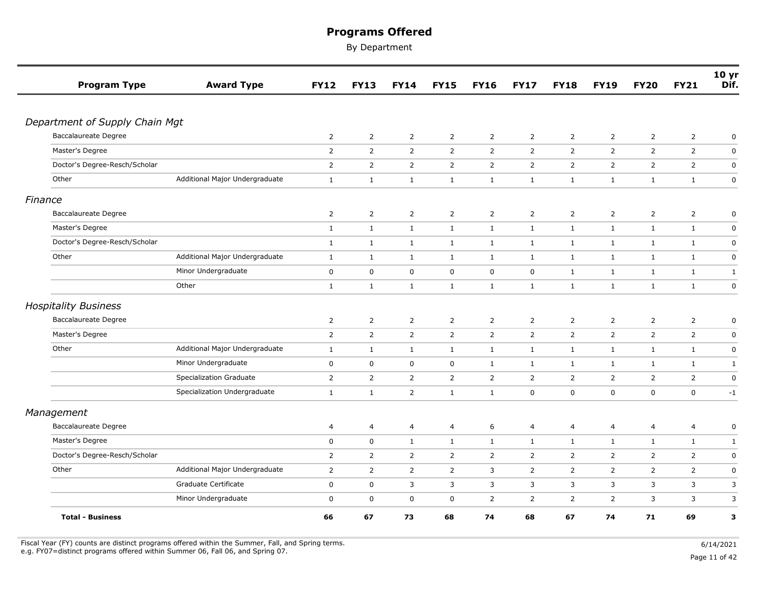By Department

| <b>Program Type</b>                                 | <b>Award Type</b>              | <b>FY12</b>    | <b>FY13</b>    | <b>FY14</b>    | <b>FY15</b>    | <b>FY16</b>    | <b>FY17</b>    | <b>FY18</b>    | <b>FY19</b>    | <b>FY20</b>    | <b>FY21</b>    | 10 <sub>yr</sub><br>Dif. |
|-----------------------------------------------------|--------------------------------|----------------|----------------|----------------|----------------|----------------|----------------|----------------|----------------|----------------|----------------|--------------------------|
|                                                     |                                |                |                |                |                |                |                |                |                |                |                |                          |
| Department of Supply Chain Mgt                      |                                |                |                |                |                |                |                |                |                |                |                |                          |
| Baccalaureate Degree                                |                                | $\overline{2}$ | $\overline{2}$ | $\overline{2}$ | $\overline{2}$ | $\overline{2}$ | $\overline{2}$ | $\overline{2}$ | 2              | $\overline{2}$ | $\overline{2}$ | 0                        |
| Master's Degree                                     |                                | $\overline{2}$ | $\overline{2}$ | $\overline{2}$ | $\overline{2}$ | $\overline{2}$ | $\overline{2}$ | $\overline{2}$ | $\overline{2}$ | $\overline{2}$ | $\overline{2}$ | $\pmb{0}$                |
| Doctor's Degree-Resch/Scholar                       |                                | $\overline{2}$ | $\overline{2}$ | $\overline{2}$ | $\overline{2}$ | $\overline{2}$ | $\overline{2}$ | $\overline{2}$ | $\overline{2}$ | $\overline{2}$ | $\overline{2}$ | $\pmb{0}$                |
| Other                                               | Additional Major Undergraduate | $\mathbf{1}$   | $\mathbf{1}$   | $\mathbf{1}$   | $\mathbf{1}$   | $\mathbf{1}$   | $\mathbf{1}$   | $\mathbf{1}$   | $\mathbf{1}$   | $\mathbf{1}$   | $\mathbf{1}$   | $\pmb{0}$                |
| Finance                                             |                                |                |                |                |                |                |                |                |                |                |                |                          |
| Baccalaureate Degree                                |                                | $\overline{2}$ | $\overline{2}$ | $\overline{2}$ | $\overline{2}$ | $\overline{2}$ | $\overline{2}$ | $\overline{2}$ | $\overline{2}$ | $\overline{2}$ | $\overline{2}$ | 0                        |
| Master's Degree                                     |                                | $\mathbf{1}$   | $\mathbf{1}$   | $\mathbf{1}$   | $\mathbf{1}$   | $\mathbf{1}$   | $\mathbf{1}$   | $\mathbf{1}$   | $\mathbf{1}$   | $\mathbf{1}$   | $\mathbf{1}$   | $\mathbf 0$              |
| Doctor's Degree-Resch/Scholar                       |                                | $\mathbf{1}$   | $\mathbf{1}$   | $\mathbf{1}$   | $\mathbf{1}$   | $\mathbf{1}$   | $\mathbf{1}$   | $\mathbf{1}$   | $\mathbf{1}$   | $\mathbf{1}$   | $\mathbf{1}$   | $\pmb{0}$                |
| Other                                               | Additional Major Undergraduate | $\mathbf{1}$   | $\mathbf{1}$   | $\mathbf{1}$   | 1              | $\mathbf{1}$   | 1              | $\mathbf{1}$   | $\mathbf{1}$   | $\mathbf{1}$   | $\mathbf{1}$   | $\pmb{0}$                |
|                                                     | Minor Undergraduate            | $\mathbf 0$    | $\mathbf 0$    | $\mathbf 0$    | $\mathbf 0$    | $\mathbf 0$    | $\mathsf 0$    | $\mathbf{1}$   | $\mathbf{1}$   | $\mathbf{1}$   | $\mathbf{1}$   | $\mathbf{1}$             |
|                                                     | Other                          | $\mathbf{1}$   | $\mathbf{1}$   | $\mathbf{1}$   | $\mathbf{1}$   | $\mathbf{1}$   | $\mathbf{1}$   | $\mathbf{1}$   | $\mathbf{1}$   | $\mathbf{1}$   | $\mathbf{1}$   | $\pmb{0}$                |
|                                                     |                                |                |                |                |                |                |                |                |                |                |                |                          |
| <b>Hospitality Business</b><br>Baccalaureate Degree |                                | $\overline{2}$ | $\overline{2}$ | $\overline{2}$ | $\overline{2}$ | 2              | $\overline{2}$ | $\overline{2}$ | $\overline{2}$ | $\overline{2}$ |                | $\mathbf 0$              |
| Master's Degree                                     |                                |                |                |                |                |                |                |                |                |                | $\overline{2}$ |                          |
|                                                     |                                | $\overline{2}$ | $\overline{2}$ | $\overline{2}$ | $\overline{2}$ | $\overline{2}$ | $\overline{2}$ | $\overline{2}$ | $\overline{2}$ | $\overline{2}$ | 2              | $\mathbf 0$              |
| Other                                               | Additional Major Undergraduate | $\mathbf{1}$   | $\mathbf{1}$   | $\mathbf{1}$   | $\mathbf{1}$   | $\mathbf{1}$   | $\mathbf{1}$   | $\mathbf{1}$   | $\mathbf{1}$   | $\mathbf{1}$   | $\mathbf{1}$   | $\mathsf 0$              |
|                                                     | Minor Undergraduate            | 0              | $\mathbf 0$    | 0              | $\mathbf 0$    | $\mathbf{1}$   | $\mathbf{1}$   | $\mathbf{1}$   | 1              | $\mathbf{1}$   | $\mathbf{1}$   | $\mathbf{1}$             |
|                                                     | Specialization Graduate        | $\overline{2}$ | $\overline{2}$ | $\overline{2}$ | $\overline{2}$ | $\overline{2}$ | $\overline{2}$ | $\overline{2}$ | $\overline{2}$ | $\overline{2}$ | $\overline{2}$ | $\pmb{0}$                |
|                                                     | Specialization Undergraduate   | $\mathbf{1}$   | $\mathbf{1}$   | $\overline{2}$ | 1              | $\mathbf{1}$   | $\mathbf 0$    | $\mathbf 0$    | 0              | $\mathbf 0$    | $\mathbf 0$    | $-1$                     |
| Management                                          |                                |                |                |                |                |                |                |                |                |                |                |                          |
| <b>Baccalaureate Degree</b>                         |                                | $\overline{4}$ | $\overline{4}$ | 4              | $\overline{4}$ | 6              | $\overline{a}$ | 4              | 4              | $\overline{4}$ | $\overline{4}$ | $\pmb{0}$                |
| Master's Degree                                     |                                | $\mathbf 0$    | $\mathbf 0$    | $\mathbf{1}$   | $\mathbf{1}$   | $\mathbf{1}$   | $\mathbf{1}$   | $\mathbf{1}$   | $\mathbf{1}$   | $\mathbf{1}$   | $\mathbf{1}$   | $\mathbf{1}$             |
| Doctor's Degree-Resch/Scholar                       |                                | $\overline{2}$ | $\overline{2}$ | $\overline{2}$ | $\overline{2}$ | $\overline{2}$ | $\overline{2}$ | 2              | $\overline{2}$ | 2              | $\overline{2}$ | $\mathbf 0$              |
| Other                                               | Additional Major Undergraduate | $\overline{2}$ | $\overline{2}$ | $\overline{2}$ | $\overline{2}$ | 3              | $\overline{2}$ | $\overline{2}$ | $\overline{2}$ | $\overline{2}$ | $\overline{2}$ | $\pmb{0}$                |
|                                                     | Graduate Certificate           | $\mathbf 0$    | $\mathbf 0$    | 3              | 3              | 3              | 3              | 3              | 3              | 3              | 3              | 3                        |
|                                                     | Minor Undergraduate            | $\mathbf 0$    | $\mathbf 0$    | $\mathbf 0$    | $\mathbf 0$    | $\overline{2}$ | $\overline{2}$ | 2              | $\overline{2}$ | 3              | 3              | 3                        |
| <b>Total - Business</b>                             |                                | 66             | 67             | 73             | 68             | 74             | 68             | 67             | 74             | 71             | 69             | 3                        |

Fiscal Year (FY) counts are distinct programs offered within the Summer, Fall, and Spring terms.<br>e.g. FY07=distinct programs offered within Summer 06, Fall 06, and Spring 07. e.g. FY07=distinct programs offered within Summer 06, Fall 06, and Spring 07. Page 11 of 42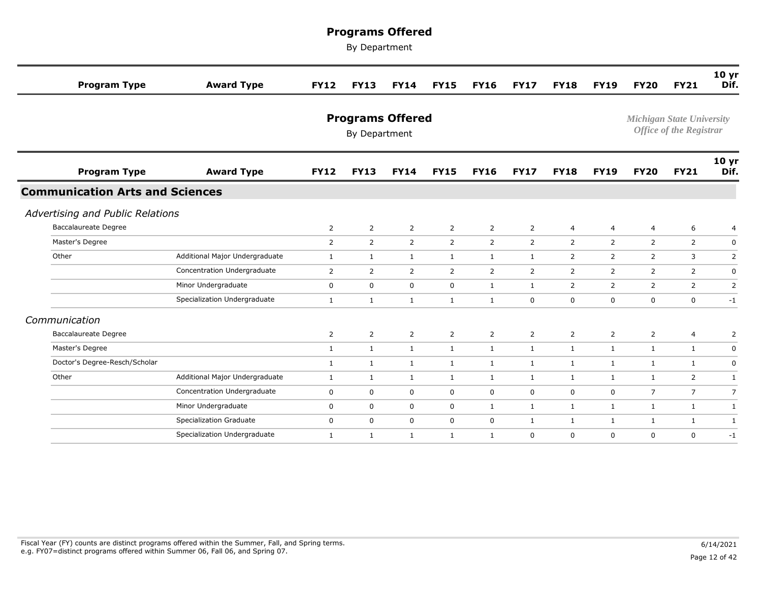| <b>Program Type</b>                    | <b>Award Type</b>              | <b>FY12</b>    | <b>FY13</b>                              | <b>FY14</b>    | <b>FY15</b>    | <b>FY16</b>    | <b>FY17</b>    | <b>FY18</b>    | <b>FY19</b>    | <b>FY20</b>      | <b>FY21</b>                                                        | 10 <sub>yr</sub><br>Dif. |
|----------------------------------------|--------------------------------|----------------|------------------------------------------|----------------|----------------|----------------|----------------|----------------|----------------|------------------|--------------------------------------------------------------------|--------------------------|
|                                        |                                |                | <b>Programs Offered</b><br>By Department |                |                |                |                |                |                |                  | <b>Michigan State University</b><br><b>Office of the Registrar</b> |                          |
| <b>Program Type</b>                    | <b>Award Type</b>              | <b>FY12</b>    | <b>FY13</b>                              | <b>FY14</b>    | <b>FY15</b>    | <b>FY16</b>    | <b>FY17</b>    | <b>FY18</b>    | <b>FY19</b>    | <b>FY20</b>      | <b>FY21</b>                                                        | 10 <sub>yr</sub><br>Dif. |
| <b>Communication Arts and Sciences</b> |                                |                |                                          |                |                |                |                |                |                |                  |                                                                    |                          |
| Advertising and Public Relations       |                                |                |                                          |                |                |                |                |                |                |                  |                                                                    |                          |
| <b>Baccalaureate Degree</b>            |                                | $\overline{2}$ | $\overline{2}$                           | $\overline{2}$ | $\overline{2}$ | $\overline{2}$ | $\overline{2}$ | $\overline{4}$ | 4              | $\overline{4}$   | 6                                                                  | 4                        |
| Master's Degree                        |                                | $\overline{2}$ | $\overline{2}$                           | $\overline{2}$ | $\overline{2}$ | $\overline{2}$ | $\overline{2}$ | $\overline{2}$ | $\overline{2}$ | $\overline{2}$   | $\overline{2}$                                                     | 0                        |
| Other                                  | Additional Major Undergraduate | $\mathbf{1}$   | $\mathbf{1}$                             | $\mathbf{1}$   | $\mathbf{1}$   | $\mathbf{1}$   | $\mathbf{1}$   | 2              | 2              | 2                | 3                                                                  | $\overline{2}$           |
|                                        | Concentration Undergraduate    | $\overline{2}$ | $\overline{2}$                           | $\overline{2}$ | $\overline{2}$ | $\overline{2}$ | $\overline{2}$ | $\overline{2}$ | $\overline{2}$ | 2                | $\overline{2}$                                                     | $\mathbf 0$              |
|                                        | Minor Undergraduate            | $\mathbf 0$    | $\mathbf 0$                              | $\mathbf 0$    | $\mathbf 0$    | $\mathbf{1}$   | $\mathbf{1}$   | $\overline{2}$ | 2              | 2                | $\overline{2}$                                                     | $\overline{2}$           |
|                                        | Specialization Undergraduate   | $\mathbf{1}$   | $\mathbf{1}$                             | $\mathbf{1}$   | $\mathbf{1}$   | $\mathbf{1}$   | $\mathbf 0$    | $\mathsf 0$    | $\mathbf 0$    | $\boldsymbol{0}$ | $\mathbf 0$                                                        | $-1$                     |
| Communication                          |                                |                |                                          |                |                |                |                |                |                |                  |                                                                    |                          |
| <b>Baccalaureate Degree</b>            |                                | 2              | $\overline{2}$                           | $\overline{2}$ | $\overline{2}$ | $\overline{2}$ | $\overline{2}$ | $\overline{2}$ | 2              | $\overline{2}$   | $\overline{4}$                                                     | $\overline{2}$           |
| Master's Degree                        |                                | $\mathbf{1}$   | $\mathbf{1}$                             | $\mathbf{1}$   | $\mathbf{1}$   | $\mathbf{1}$   | $\mathbf{1}$   | $\mathbf{1}$   | $\mathbf{1}$   | 1                | 1                                                                  | 0                        |
| Doctor's Degree-Resch/Scholar          |                                | 1              | 1                                        | 1              | $\mathbf{1}$   | $\mathbf{1}$   | $\mathbf{1}$   | $\mathbf{1}$   | 1              | 1                | 1                                                                  | 0                        |
| Other                                  | Additional Major Undergraduate | 1              | 1                                        | 1              | $\mathbf{1}$   | $\mathbf{1}$   | $\mathbf{1}$   | 1              | 1              | 1                | $\overline{2}$                                                     | 1                        |
|                                        | Concentration Undergraduate    | $\mathbf 0$    | $\mathbf 0$                              | $\mathbf 0$    | $\mathbf 0$    | 0              | $\mathbf 0$    | $\mathbf 0$    | $\mathbf 0$    | $\overline{7}$   | $\overline{7}$                                                     | $\overline{7}$           |
|                                        | Minor Undergraduate            | 0              | $\mathbf 0$                              | $\mathbf 0$    | $\mathbf 0$    | $\mathbf{1}$   | $\mathbf{1}$   | $\mathbf{1}$   | $\mathbf{1}$   | 1                | 1                                                                  | 1                        |
|                                        | <b>Specialization Graduate</b> | $\mathbf 0$    | $\mathbf 0$                              | $\mathbf 0$    | $\mathbf 0$    | $\mathbf 0$    | $\mathbf{1}$   | $\mathbf{1}$   | $\mathbf{1}$   | 1                | 1                                                                  | $\mathbf{1}$             |
|                                        | Specialization Undergraduate   | $\mathbf{1}$   | 1                                        | 1              | 1              | $\mathbf{1}$   | $\mathbf 0$    | $\mathbf 0$    | $\mathbf 0$    | $\mathbf 0$      | $\mathbf 0$                                                        | $-1$                     |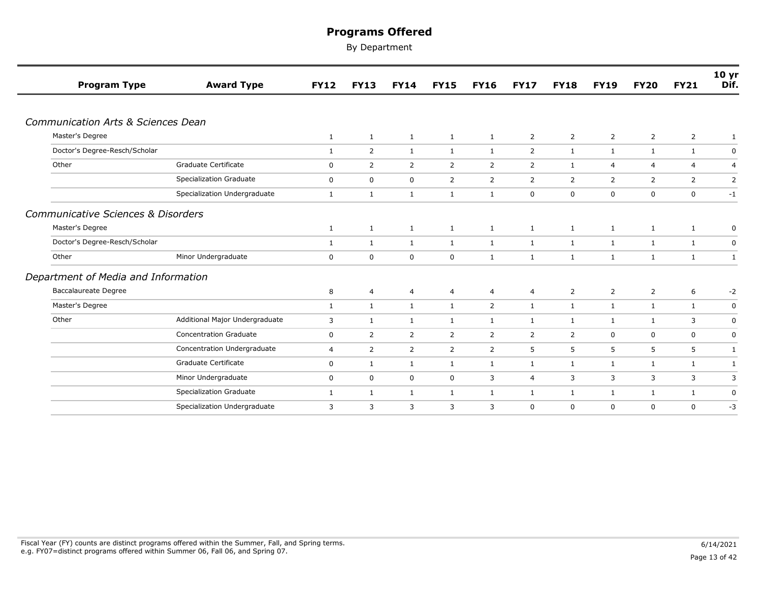| <b>Program Type</b>                 | <b>Award Type</b>              | <b>FY12</b>  | <b>FY13</b>    | <b>FY14</b>    | <b>FY15</b>    | <b>FY16</b>    | <b>FY17</b>    | <b>FY18</b>    | <b>FY19</b>    | <b>FY20</b>    | <b>FY21</b>    | 10 <sub>yr</sub><br>Dif. |
|-------------------------------------|--------------------------------|--------------|----------------|----------------|----------------|----------------|----------------|----------------|----------------|----------------|----------------|--------------------------|
|                                     |                                |              |                |                |                |                |                |                |                |                |                |                          |
| Communication Arts & Sciences Dean  |                                |              |                |                |                |                |                |                |                |                |                |                          |
| Master's Degree                     |                                | $\mathbf{1}$ | 1              | $\mathbf{1}$   | $\mathbf{1}$   | $\mathbf{1}$   | $\overline{2}$ | $\overline{2}$ | $\overline{2}$ | $\overline{2}$ | $\overline{2}$ | 1                        |
| Doctor's Degree-Resch/Scholar       |                                | $\mathbf{1}$ | $\overline{2}$ | $\mathbf{1}$   | $\mathbf{1}$   | $\mathbf{1}$   | $\overline{2}$ | $\mathbf{1}$   | $\mathbf{1}$   | 1              | 1              | $\mathbf 0$              |
| Other                               | Graduate Certificate           | $\mathbf 0$  | $\overline{2}$ | 2              | $\overline{2}$ | $\overline{2}$ | $\overline{2}$ | $\mathbf{1}$   | $\overline{4}$ | $\overline{4}$ | $\overline{4}$ | $\overline{4}$           |
|                                     | Specialization Graduate        | $\mathbf 0$  | $\mathbf 0$    | $\mathbf 0$    | $\overline{2}$ | $\overline{2}$ | $\overline{2}$ | $\overline{2}$ | 2              | 2              | $\overline{2}$ | 2                        |
|                                     | Specialization Undergraduate   | $\mathbf{1}$ | $\mathbf{1}$   | $\mathbf{1}$   | $\mathbf{1}$   | $\mathbf{1}$   | $\mathbf 0$    | 0              | 0              | $\mathbf 0$    | $\mathbf 0$    | $-1$                     |
| Communicative Sciences & Disorders  |                                |              |                |                |                |                |                |                |                |                |                |                          |
| Master's Degree                     |                                | 1            | $\mathbf{1}$   | $\mathbf{1}$   | $\mathbf{1}$   | $\mathbf{1}$   | $\mathbf{1}$   | $\mathbf{1}$   | $\mathbf{1}$   | $\mathbf{1}$   | $\mathbf{1}$   | 0                        |
| Doctor's Degree-Resch/Scholar       |                                | $\mathbf{1}$ | $\mathbf{1}$   | 1              | $\mathbf{1}$   | $\mathbf{1}$   | $\mathbf{1}$   | $\mathbf{1}$   | 1              | $\mathbf{1}$   | $\mathbf{1}$   | 0                        |
| Other                               | Minor Undergraduate            | $\mathbf 0$  | $\mathbf 0$    | $\mathbf 0$    | $\mathbf 0$    | $\mathbf{1}$   | $\mathbf{1}$   | $\mathbf{1}$   | $\mathbf{1}$   | $\mathbf{1}$   | 1              | 1                        |
| Department of Media and Information |                                |              |                |                |                |                |                |                |                |                |                |                          |
| <b>Baccalaureate Degree</b>         |                                | 8            | $\overline{4}$ | $\overline{4}$ | $\overline{4}$ | $\overline{4}$ | $\overline{4}$ | $\overline{2}$ | $\overline{2}$ | $\overline{2}$ | 6              | $-2$                     |
| Master's Degree                     |                                | $\mathbf{1}$ | $\mathbf{1}$   | $\mathbf{1}$   | $\mathbf{1}$   | $\overline{2}$ | $\mathbf{1}$   | $\mathbf{1}$   | $\mathbf{1}$   | $\mathbf{1}$   | $\mathbf{1}$   | $\boldsymbol{0}$         |
| Other                               | Additional Major Undergraduate | 3            | $\mathbf{1}$   | $\mathbf{1}$   | $\mathbf{1}$   | $\mathbf{1}$   | $\mathbf{1}$   | 1              | 1              | 1              | 3              | 0                        |
|                                     | <b>Concentration Graduate</b>  | $\mathbf 0$  | $\overline{2}$ | 2              | 2              | $\overline{2}$ | $\overline{2}$ | $\overline{2}$ | $\mathbf 0$    | $\mathbf 0$    | $\mathbf 0$    | 0                        |
|                                     | Concentration Undergraduate    | 4            | $\overline{2}$ | $\overline{2}$ | $\overline{2}$ | $\overline{2}$ | 5              | 5              | 5              | 5              | 5              | 1                        |
|                                     | Graduate Certificate           | 0            | $\mathbf{1}$   | $\mathbf{1}$   | $\mathbf{1}$   | $\mathbf{1}$   | $\mathbf{1}$   | 1              | 1              | $\mathbf{1}$   | $\mathbf{1}$   | 1                        |
|                                     | Minor Undergraduate            | $\mathbf 0$  | $\mathbf 0$    | $\mathbf 0$    | $\mathbf 0$    | 3              | $\overline{4}$ | 3              | 3              | 3              | 3              | 3                        |
|                                     | Specialization Graduate        | $\mathbf{1}$ | $\mathbf{1}$   | $\mathbf{1}$   | $\mathbf{1}$   | $\mathbf{1}$   | $\mathbf{1}$   | 1              | 1              | 1              | $\mathbf{1}$   | 0                        |
|                                     | Specialization Undergraduate   | 3            | 3              | 3              | 3              | 3              | $\mathbf 0$    | 0              | $\mathbf 0$    | $\mathbf 0$    | $\mathbf 0$    | $-3$                     |
|                                     |                                |              |                |                |                |                |                |                |                |                |                |                          |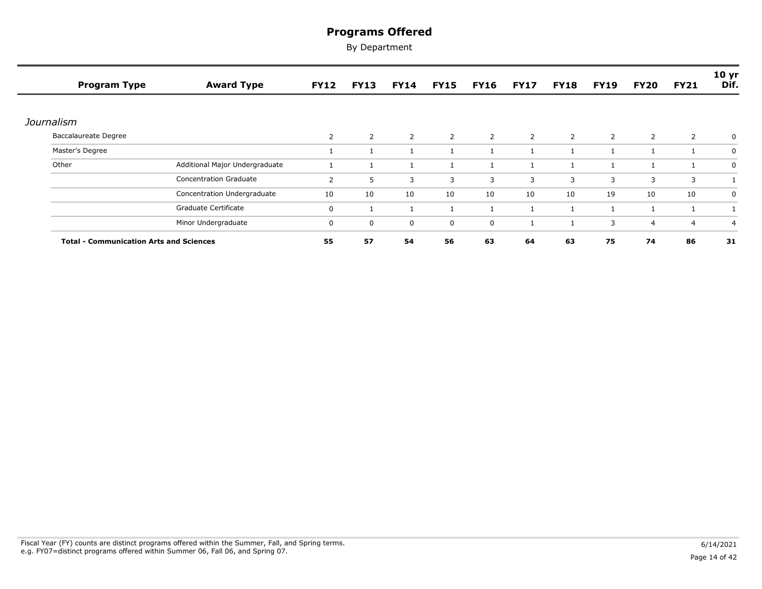| <b>Program Type</b>                            | <b>Award Type</b>              | <b>FY12</b>    | <b>FY13</b>    | <b>FY14</b>    | <b>FY15</b>    | <b>FY16</b> | <b>FY17</b> | <b>FY18</b>  | <b>FY19</b>  | <b>FY20</b>    | <b>FY21</b>    | 10 <sub>yr</sub><br>Dif. |
|------------------------------------------------|--------------------------------|----------------|----------------|----------------|----------------|-------------|-------------|--------------|--------------|----------------|----------------|--------------------------|
| Journalism                                     |                                |                |                |                |                |             |             |              |              |                |                |                          |
| <b>Baccalaureate Degree</b>                    |                                | $\overline{2}$ | $\overline{2}$ | $\overline{2}$ | $\overline{2}$ | 2           | 2           | 2            | 2            | 2              | $\overline{2}$ | 0                        |
| Master's Degree                                |                                |                |                |                |                |             |             |              | $\mathbf{1}$ |                |                | 0                        |
| Other                                          | Additional Major Undergraduate |                |                |                |                |             |             |              |              |                |                | 0                        |
|                                                | <b>Concentration Graduate</b>  | 2              | 5              | 3              | 3              | 3           | 3           | 3            | 3            | 3              | 3              |                          |
|                                                | Concentration Undergraduate    | 10             | 10             | 10             | 10             | 10          | 10          | 10           | 19           | 10             | 10             | 0                        |
|                                                | Graduate Certificate           | 0              |                |                |                |             |             | $\mathbf{1}$ | $\mathbf{1}$ |                |                |                          |
|                                                | Minor Undergraduate            | 0              | $\mathbf 0$    | $\mathbf 0$    | $\mathbf 0$    | 0           |             | $\mathbf{1}$ | 3            | $\overline{4}$ | $\overline{4}$ | $\overline{4}$           |
| <b>Total - Communication Arts and Sciences</b> |                                | 55             | 57             | 54             | 56             | 63          | 64          | 63           | 75           | 74             | 86             | 31                       |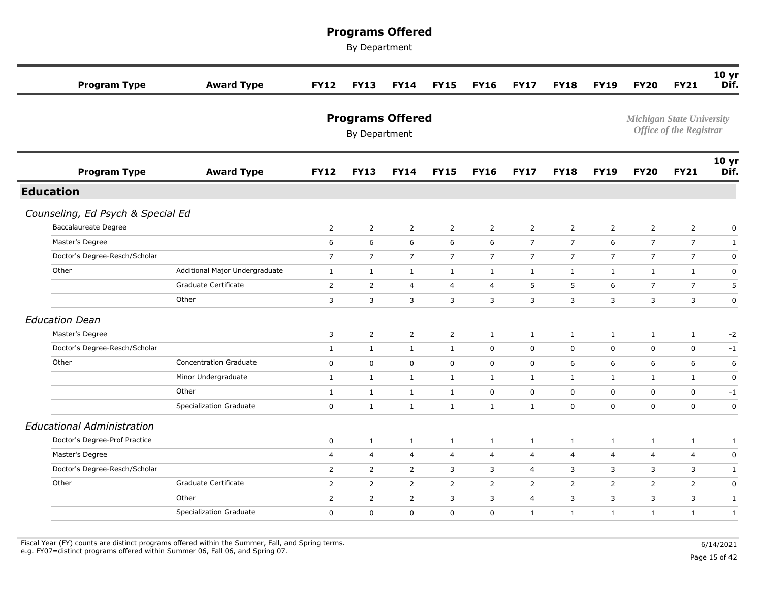By Department

| <b>Program Type</b>               | <b>Award Type</b>              | <b>FY12</b>    | <b>FY13</b>                              | <b>FY14</b>    | <b>FY15</b>    | <b>FY16</b>    | <b>FY17</b>    | <b>FY18</b>    | <b>FY19</b>    | <b>FY20</b>                      | <b>FY21</b>                    | 10 <sub>yr</sub><br>Dif. |
|-----------------------------------|--------------------------------|----------------|------------------------------------------|----------------|----------------|----------------|----------------|----------------|----------------|----------------------------------|--------------------------------|--------------------------|
|                                   |                                |                | <b>Programs Offered</b><br>By Department |                |                |                |                |                |                | <b>Michigan State University</b> | <b>Office of the Registrar</b> |                          |
| <b>Program Type</b>               | <b>Award Type</b>              | <b>FY12</b>    | <b>FY13</b>                              | <b>FY14</b>    | <b>FY15</b>    | <b>FY16</b>    | <b>FY17</b>    | <b>FY18</b>    | <b>FY19</b>    | <b>FY20</b>                      | <b>FY21</b>                    | 10 yr<br>Dif.            |
| <b>Education</b>                  |                                |                |                                          |                |                |                |                |                |                |                                  |                                |                          |
| Counseling, Ed Psych & Special Ed |                                |                |                                          |                |                |                |                |                |                |                                  |                                |                          |
| Baccalaureate Degree              |                                | $\overline{2}$ | $\overline{2}$                           | $\overline{2}$ | $\overline{2}$ | $\overline{2}$ | $\overline{2}$ | $\overline{2}$ | $\overline{2}$ | $\overline{2}$                   | $\overline{2}$                 | $\mathbf 0$              |
| Master's Degree                   |                                | 6              | 6                                        | 6              | 6              | 6              | $\overline{7}$ | $\overline{7}$ | 6              | $\overline{7}$                   | $\overline{7}$                 | $\mathbf{1}$             |
| Doctor's Degree-Resch/Scholar     |                                | $\overline{7}$ | $\overline{7}$                           | $\overline{7}$ | $\overline{7}$ | $\overline{7}$ | $\overline{7}$ | $\overline{7}$ | $\overline{7}$ | $\overline{7}$                   | $\overline{7}$                 | $\mathbf 0$              |
| Other                             | Additional Major Undergraduate | $\mathbf{1}$   | $\mathbf{1}$                             | $\mathbf{1}$   | $\mathbf{1}$   | $\mathbf{1}$   | 1              | $\mathbf{1}$   | $\mathbf{1}$   | 1                                | $\mathbf{1}$                   | $\mathbf 0$              |
|                                   | Graduate Certificate           | 2              | $\overline{2}$                           | $\overline{4}$ | $\overline{4}$ | 4              | 5              | 5              | 6              | $\overline{7}$                   | $\overline{7}$                 | 5                        |
|                                   | Other                          | 3              | 3                                        | 3              | 3              | 3              | 3              | 3              | 3              | 3                                | 3                              | $\mathbf 0$              |
| <b>Education Dean</b>             |                                |                |                                          |                |                |                |                |                |                |                                  |                                |                          |
| Master's Degree                   |                                | 3              | $\overline{2}$                           | $\overline{2}$ | $\overline{2}$ | $\mathbf{1}$   | $\mathbf{1}$   | $\mathbf{1}$   | 1              | 1                                | $\mathbf{1}$                   | $-2$                     |
| Doctor's Degree-Resch/Scholar     |                                | $\mathbf{1}$   | $\mathbf{1}$                             | $\mathbf{1}$   | $\mathbf{1}$   | $\mathbf 0$    | $\mathbf 0$    | 0              | $\mathbf 0$    | $\mathbf 0$                      | 0                              | $-1$                     |
| Other                             | <b>Concentration Graduate</b>  | 0              | $\mathbf 0$                              | $\mathbf 0$    | $\mathbf 0$    | 0              | $\mathbf 0$    | 6              | 6              | 6                                | 6                              | 6                        |
|                                   | Minor Undergraduate            | $\mathbf{1}$   | $\mathbf{1}$                             | 1              | $\mathbf{1}$   | $\mathbf{1}$   | $\mathbf{1}$   | $\mathbf{1}$   | $\mathbf{1}$   | $\mathbf{1}$                     | $\mathbf{1}$                   | $\mathsf 0$              |
|                                   | Other                          | $\mathbf{1}$   | $\mathbf{1}$                             | $\mathbf{1}$   | $\mathbf{1}$   | $\mathbf 0$    | $\mathbf 0$    | $\mathbf 0$    | $\mathbf 0$    | $\mathbf 0$                      | $\mathbf 0$                    | $-1$                     |
|                                   | <b>Specialization Graduate</b> | $\mathbf 0$    | $\mathbf{1}$                             | $\mathbf{1}$   | $\mathbf{1}$   | $\mathbf{1}$   | $\mathbf{1}$   | $\mathbf 0$    | $\mathbf 0$    | $\mathbf 0$                      | $\mathbf 0$                    | $\mathbf 0$              |
| <b>Educational Administration</b> |                                |                |                                          |                |                |                |                |                |                |                                  |                                |                          |
| Doctor's Degree-Prof Practice     |                                | $\mathbf 0$    | $\mathbf{1}$                             | $\mathbf{1}$   | $\mathbf{1}$   | $\mathbf{1}$   | 1              | $\mathbf{1}$   | $\mathbf{1}$   | $\mathbf{1}$                     | $\mathbf{1}$                   | 1                        |
| Master's Degree                   |                                | $\overline{4}$ | 4                                        | $\overline{4}$ | $\overline{4}$ | $\overline{4}$ | $\overline{4}$ | $\overline{4}$ | $\overline{4}$ | 4                                | $\overline{4}$                 | $\mathbf 0$              |
| Doctor's Degree-Resch/Scholar     |                                | $\overline{2}$ | $\overline{2}$                           | $\overline{2}$ | 3              | 3              | 4              | 3              | 3              | 3                                | 3                              | $\mathbf{1}$             |
| Other                             | Graduate Certificate           | 2              | $\overline{2}$                           | $\overline{2}$ | $\overline{2}$ | $\overline{2}$ | $\overline{2}$ | $\overline{2}$ | $\overline{2}$ | 2                                | $\overline{2}$                 | $\mathbf 0$              |
|                                   | Other                          | $\overline{2}$ | $\overline{2}$                           | $\overline{2}$ | 3              | 3              | $\overline{4}$ | 3              | 3              | 3                                | 3                              | $\mathbf{1}$             |
|                                   | <b>Specialization Graduate</b> | $\mathbf 0$    | 0                                        | $\mathbf 0$    | $\mathbf 0$    | 0              | $\mathbf{1}$   | $\mathbf{1}$   | $\mathbf{1}$   | 1                                | $\mathbf{1}$                   | $\mathbf{1}$             |
|                                   |                                |                |                                          |                |                |                |                |                |                |                                  |                                |                          |

Fiscal Year (FY) counts are distinct programs offered within the Summer, Fall, and Spring terms.<br>e.g. FY07=distinct programs offered within Summer 06, Fall 06, and Spring 07. e.g. FY07=distinct programs offered within Summer 06, Fall 06, and Spring 07. Page 15 of 42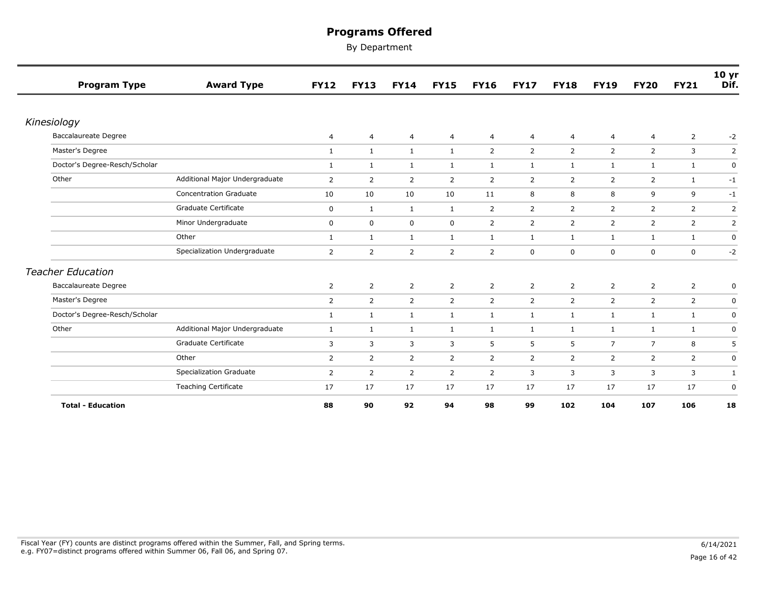| <b>Program Type</b>           | <b>Award Type</b>              | <b>FY12</b>    | <b>FY13</b>    | <b>FY14</b>    | <b>FY15</b>    | <b>FY16</b>    | <b>FY17</b>    | <b>FY18</b>    | <b>FY19</b>    | <b>FY20</b>    | <b>FY21</b>    | 10 <sub>yr</sub><br>Dif. |
|-------------------------------|--------------------------------|----------------|----------------|----------------|----------------|----------------|----------------|----------------|----------------|----------------|----------------|--------------------------|
|                               |                                |                |                |                |                |                |                |                |                |                |                |                          |
| Kinesiology                   |                                |                |                |                |                |                |                |                |                |                |                |                          |
| Baccalaureate Degree          |                                | 4              | 4              | 4              | 4              | 4              | 4              | $\overline{4}$ | $\overline{4}$ | $\overline{4}$ | $\overline{2}$ | $-2$                     |
| Master's Degree               |                                | $\mathbf{1}$   | $\mathbf{1}$   | $\mathbf{1}$   | $\mathbf{1}$   | $\overline{2}$ | $\overline{2}$ | $\overline{2}$ | $\overline{2}$ | $\overline{2}$ | 3              | $\overline{2}$           |
| Doctor's Degree-Resch/Scholar |                                | $\mathbf{1}$   | $\mathbf{1}$   | $\mathbf{1}$   | 1              | $\mathbf{1}$   | $\mathbf{1}$   | $\mathbf{1}$   | $\mathbf{1}$   | 1              | $\mathbf{1}$   | 0                        |
| Other                         | Additional Major Undergraduate | 2              | 2              | $\overline{2}$ | 2              | $\overline{2}$ | 2              | 2              | 2              | 2              | 1              | $-1$                     |
|                               | <b>Concentration Graduate</b>  | 10             | 10             | 10             | 10             | 11             | 8              | 8              | 8              | 9              | 9              | $-1$                     |
|                               | Graduate Certificate           | 0              | $\mathbf{1}$   | 1              | 1              | $\overline{2}$ | 2              | $\overline{2}$ | $\overline{2}$ | 2              | $\overline{2}$ | $\overline{2}$           |
|                               | Minor Undergraduate            | $\mathbf 0$    | $\mathbf 0$    | $\mathbf 0$    | $\mathbf 0$    | $\overline{2}$ | $\overline{2}$ | $\overline{2}$ | $\overline{2}$ | 2              | $\overline{2}$ | 2                        |
|                               | Other                          | $\mathbf{1}$   | $\mathbf{1}$   | $\mathbf{1}$   | $\mathbf{1}$   | $\mathbf{1}$   | $\mathbf{1}$   | $\mathbf{1}$   | $\mathbf{1}$   | $\mathbf{1}$   | $\mathbf{1}$   | $\mathbf 0$              |
|                               | Specialization Undergraduate   | $\overline{2}$ | 2              | $\overline{2}$ | 2              | $\overline{2}$ | 0              | $\mathbf 0$    | $\mathbf 0$    | $\mathbf 0$    | 0              | $-2$                     |
| <b>Teacher Education</b>      |                                |                |                |                |                |                |                |                |                |                |                |                          |
| <b>Baccalaureate Degree</b>   |                                | $\overline{2}$ | $\overline{2}$ | $\overline{2}$ | $\overline{2}$ | $\overline{2}$ | $\overline{2}$ | 2              | $\overline{2}$ | 2              | $\overline{2}$ | $\mathbf 0$              |
| Master's Degree               |                                | 2              | $\overline{2}$ | 2              | $\overline{2}$ | $\overline{2}$ | $\overline{2}$ | $\overline{2}$ | $\overline{2}$ | 2              | $\overline{2}$ | $\mathbf 0$              |
| Doctor's Degree-Resch/Scholar |                                | $\mathbf{1}$   | $\mathbf{1}$   | $\mathbf{1}$   | $\mathbf{1}$   | $\mathbf{1}$   | $\mathbf{1}$   | $\mathbf{1}$   | $\mathbf{1}$   | $\mathbf{1}$   | $\mathbf{1}$   | $\mathbf 0$              |
| Other                         | Additional Major Undergraduate | $\mathbf{1}$   | $\mathbf{1}$   | 1              | $\mathbf{1}$   | $\mathbf{1}$   | 1              | 1              | $\mathbf{1}$   | $\mathbf{1}$   | $\mathbf{1}$   | 0                        |
|                               | Graduate Certificate           | 3              | 3              | 3              | 3              | 5              | 5              | 5              | $\overline{7}$ | $\overline{7}$ | 8              | 5                        |
|                               | Other                          | $\overline{2}$ | $\overline{2}$ | $\overline{2}$ | 2              | $\overline{2}$ | $\overline{2}$ | $\overline{2}$ | $\overline{2}$ | 2              | $\overline{2}$ | $\mathbf 0$              |
|                               | Specialization Graduate        | $\overline{2}$ | $\overline{2}$ | $\overline{2}$ | $\overline{2}$ | $\overline{2}$ | 3              | 3              | 3              | 3              | 3              | 1                        |
|                               | <b>Teaching Certificate</b>    | 17             | 17             | 17             | 17             | 17             | 17             | 17             | 17             | 17             | 17             | $\mathbf 0$              |
| <b>Total - Education</b>      |                                | 88             | 90             | 92             | 94             | 98             | 99             | 102            | 104            | 107            | 106            | 18                       |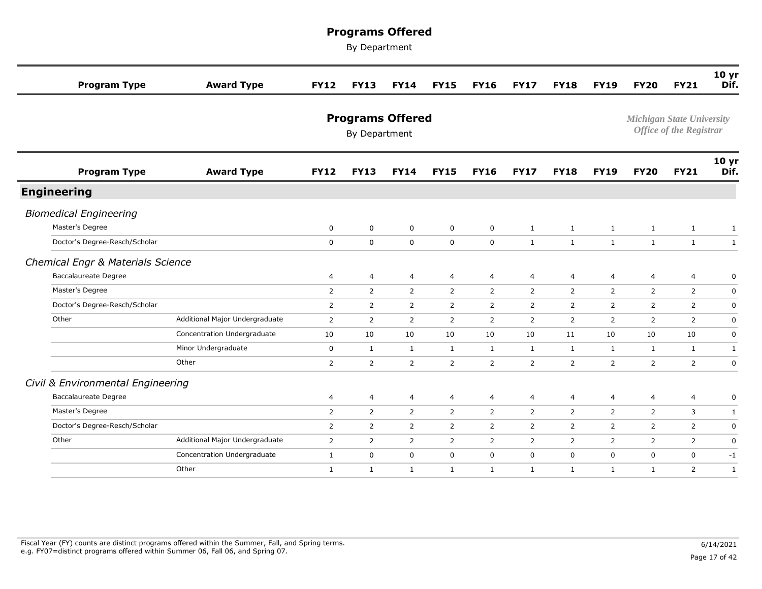| <b>Program Type</b>               | <b>Award Type</b>              | <b>FY12</b>    | <b>FY13</b>                              | <b>FY14</b>    | <b>FY15</b>    | <b>FY16</b>    | <b>FY17</b>    | <b>FY18</b>    | <b>FY19</b>    | <b>FY20</b>    | <b>FY21</b>                                                        | 10 <sub>yr</sub><br>Dif. |
|-----------------------------------|--------------------------------|----------------|------------------------------------------|----------------|----------------|----------------|----------------|----------------|----------------|----------------|--------------------------------------------------------------------|--------------------------|
|                                   |                                |                | <b>Programs Offered</b><br>By Department |                |                |                |                |                |                |                | <b>Michigan State University</b><br><b>Office of the Registrar</b> |                          |
| <b>Program Type</b>               | <b>Award Type</b>              | <b>FY12</b>    | <b>FY13</b>                              | <b>FY14</b>    | <b>FY15</b>    | <b>FY16</b>    | <b>FY17</b>    | <b>FY18</b>    | <b>FY19</b>    | <b>FY20</b>    | <b>FY21</b>                                                        | 10 <sub>yr</sub><br>Dif. |
| <b>Engineering</b>                |                                |                |                                          |                |                |                |                |                |                |                |                                                                    |                          |
| <b>Biomedical Engineering</b>     |                                |                |                                          |                |                |                |                |                |                |                |                                                                    |                          |
| Master's Degree                   |                                | $\mathbf 0$    | $\mathbf 0$                              | $\mathbf 0$    | $\mathbf 0$    | $\mathbf 0$    | $\mathbf{1}$   | $\mathbf{1}$   | $\mathbf{1}$   | $\mathbf{1}$   | $\mathbf{1}$                                                       | $\mathbf{1}$             |
| Doctor's Degree-Resch/Scholar     |                                | $\mathbf 0$    | $\mathbf 0$                              | $\mathbf 0$    | $\mathbf 0$    | $\mathbf{0}$   | $\mathbf{1}$   | 1              | $\mathbf{1}$   | $\mathbf{1}$   | $\mathbf{1}$                                                       | $\mathbf{1}$             |
| Chemical Engr & Materials Science |                                |                |                                          |                |                |                |                |                |                |                |                                                                    |                          |
| <b>Baccalaureate Degree</b>       |                                | 4              | 4                                        | $\overline{4}$ | $\overline{4}$ | $\overline{4}$ | $\overline{4}$ | 4              | 4              | $\overline{4}$ | 4                                                                  | 0                        |
| Master's Degree                   |                                | $\overline{2}$ | $\overline{2}$                           | $\overline{2}$ | $\overline{2}$ | $\overline{2}$ | $\overline{2}$ | $\overline{2}$ | $\overline{2}$ | 2              | $\overline{2}$                                                     | $\mathsf 0$              |
| Doctor's Degree-Resch/Scholar     |                                | $\overline{2}$ | $\overline{2}$                           | $\overline{2}$ | $\overline{2}$ | $\overline{2}$ | $\overline{2}$ | $\overline{2}$ | $\overline{2}$ | 2              | $\overline{2}$                                                     | 0                        |
| Other                             | Additional Major Undergraduate | $\overline{2}$ | 2                                        | 2              | $\overline{2}$ | $\overline{2}$ | 2              | $\overline{2}$ | $\overline{2}$ | 2              | 2                                                                  | $\mathbf 0$              |
|                                   | Concentration Undergraduate    | 10             | 10                                       | 10             | 10             | 10             | 10             | 11             | 10             | 10             | 10                                                                 | $\mathbf 0$              |
|                                   | Minor Undergraduate            | $\mathbf 0$    | $\mathbf{1}$                             | $\mathbf{1}$   | $\mathbf{1}$   | $\mathbf{1}$   | $\mathbf{1}$   | $\mathbf{1}$   | $\mathbf{1}$   | 1              | $\mathbf{1}$                                                       | $\mathbf{1}$             |
|                                   | Other                          | $\overline{2}$ | $\overline{2}$                           | $\overline{2}$ | $\overline{2}$ | $\overline{2}$ | $\overline{2}$ | $\overline{2}$ | $\overline{2}$ | 2              | 2                                                                  | $\mathbf 0$              |
| Civil & Environmental Engineering |                                |                |                                          |                |                |                |                |                |                |                |                                                                    |                          |
| <b>Baccalaureate Degree</b>       |                                | 4              | $\overline{4}$                           | $\overline{4}$ | $\overline{4}$ | $\overline{4}$ | $\overline{4}$ | 4              | $\overline{4}$ | $\overline{4}$ | $\overline{4}$                                                     | 0                        |
| Master's Degree                   |                                | $\overline{2}$ | $\overline{2}$                           | $\overline{2}$ | $\overline{2}$ | $\overline{2}$ | $\overline{2}$ | $\overline{2}$ | $\overline{2}$ | 2              | 3                                                                  | $\mathbf{1}$             |
| Doctor's Degree-Resch/Scholar     |                                | $\overline{2}$ | $\overline{2}$                           | $\overline{2}$ | $\overline{2}$ | $\overline{2}$ | $\overline{2}$ | $\overline{2}$ | $\overline{2}$ | 2              | $\overline{2}$                                                     | $\mathsf 0$              |
| Other                             | Additional Major Undergraduate | $\overline{2}$ | $\overline{2}$                           | $\overline{2}$ | $\overline{2}$ | $\overline{2}$ | $\overline{2}$ | $\overline{2}$ | $\overline{2}$ | 2              | $\overline{2}$                                                     | $\mathbf 0$              |
|                                   | Concentration Undergraduate    | $\mathbf{1}$   | $\mathbf 0$                              | $\mathbf 0$    | $\mathbf 0$    | $\mathbf 0$    | $\mathbf 0$    | $\mathbf 0$    | $\mathbf 0$    | $\mathbf 0$    | $\mathbf 0$                                                        | $-1$                     |
|                                   | Other                          | $\mathbf{1}$   | $\mathbf{1}$                             | $\mathbf{1}$   | $\mathbf{1}$   | $\mathbf{1}$   | $\mathbf{1}$   | $\mathbf{1}$   | $\mathbf{1}$   | $\mathbf{1}$   | 2                                                                  | $\mathbf{1}$             |
|                                   |                                |                |                                          |                |                |                |                |                |                |                |                                                                    |                          |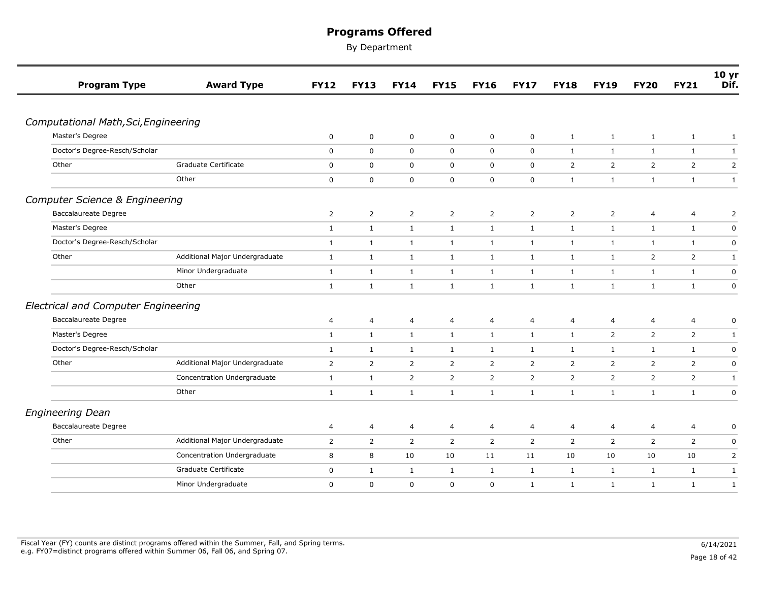| <b>Program Type</b>                        | <b>Award Type</b>              | <b>FY12</b>    | <b>FY13</b>    | <b>FY14</b>    | <b>FY15</b>    | <b>FY16</b>    | <b>FY17</b>      | <b>FY18</b>    | <b>FY19</b>    | <b>FY20</b>    | <b>FY21</b>    | 10 yr<br>Dif.  |
|--------------------------------------------|--------------------------------|----------------|----------------|----------------|----------------|----------------|------------------|----------------|----------------|----------------|----------------|----------------|
|                                            |                                |                |                |                |                |                |                  |                |                |                |                |                |
| Computational Math, Sci, Engineering       |                                |                |                |                |                |                |                  |                |                |                |                |                |
| Master's Degree                            |                                | 0              | $\mathbf 0$    | $\mathbf 0$    | $\mathbf 0$    | $\mathbf 0$    | $\mathbf 0$      | $\mathbf{1}$   | $\mathbf{1}$   | $\mathbf{1}$   | $\mathbf{1}$   | $\mathbf{1}$   |
| Doctor's Degree-Resch/Scholar              |                                | $\mathbf 0$    | $\mathbf 0$    | $\mathbf 0$    | $\mathbf 0$    | $\mathbf 0$    | $\mathbf 0$      | 1              | 1              | $\mathbf{1}$   | $\mathbf{1}$   | $\mathbf{1}$   |
| Other                                      | Graduate Certificate           | $\mathbf 0$    | 0              | 0              | $\mathbf 0$    | $\mathbf 0$    | $\mathbf 0$      | 2              | $\overline{2}$ | $\overline{2}$ | $\overline{2}$ | $\mathsf{2}$   |
|                                            | Other                          | $\mathbf 0$    | 0              | $\mathbf 0$    | $\mathbf 0$    | $\mathbf 0$    | $\boldsymbol{0}$ | $\mathbf{1}$   | $\mathbf{1}$   | $\mathbf{1}$   | $\mathbf{1}$   | $\mathbf{1}$   |
| <b>Computer Science &amp; Engineering</b>  |                                |                |                |                |                |                |                  |                |                |                |                |                |
| <b>Baccalaureate Degree</b>                |                                | 2              | $\overline{2}$ | 2              | 2              | 2              | 2                | $\overline{2}$ | 2              | $\overline{4}$ | 4              | 2              |
| Master's Degree                            |                                | $\mathbf{1}$   | $\mathbf{1}$   | $\mathbf{1}$   | $\mathbf{1}$   | $\mathbf{1}$   | $\mathbf{1}$     | $\mathbf{1}$   | $\mathbf{1}$   | $\mathbf{1}$   | $\mathbf{1}$   | $\pmb{0}$      |
| Doctor's Degree-Resch/Scholar              |                                | $\mathbf{1}$   | $\mathbf{1}$   | $\mathbf{1}$   | $\mathbf{1}$   | $\mathbf{1}$   | $\mathbf{1}$     | $\mathbf{1}$   | $\mathbf{1}$   | $\mathbf{1}$   | $\mathbf{1}$   | $\mathsf 0$    |
| Other                                      | Additional Major Undergraduate | $\mathbf{1}$   | $\mathbf{1}$   | $\mathbf{1}$   | 1              | $\mathbf{1}$   | $\mathbf{1}$     | 1              | 1              | 2              | $\overline{2}$ | 1              |
|                                            | Minor Undergraduate            | $\mathbf{1}$   | $\mathbf{1}$   | $\mathbf{1}$   | $\mathbf{1}$   | $\mathbf{1}$   | $\mathbf{1}$     | $\mathbf{1}$   | $\mathbf{1}$   | $\mathbf{1}$   | $\mathbf{1}$   | $\pmb{0}$      |
|                                            | Other                          | $\mathbf{1}$   | $\mathbf{1}$   | $\mathbf{1}$   | $\mathbf{1}$   | $\mathbf{1}$   | $\mathbf{1}$     | $\mathbf{1}$   | $\mathbf{1}$   | $\mathbf{1}$   | $\mathbf{1}$   | $\mathbf 0$    |
| <b>Electrical and Computer Engineering</b> |                                |                |                |                |                |                |                  |                |                |                |                |                |
| <b>Baccalaureate Degree</b>                |                                | 4              | 4              | 4              | $\overline{4}$ | $\overline{4}$ | 4                | 4              | 4              | 4              | 4              | 0              |
| Master's Degree                            |                                | $\mathbf{1}$   | $\mathbf{1}$   | $\mathbf{1}$   | $\mathbf{1}$   | $\mathbf{1}$   | $\mathbf{1}$     | $\mathbf{1}$   | $\overline{2}$ | $\overline{2}$ | $\overline{2}$ | $\mathbf{1}$   |
| Doctor's Degree-Resch/Scholar              |                                | $\mathbf{1}$   | $\mathbf{1}$   | $\mathbf{1}$   | $\mathbf{1}$   | $\mathbf{1}$   | $\mathbf{1}$     | $\mathbf{1}$   | $\mathbf{1}$   | $\mathbf{1}$   | $\mathbf{1}$   | $\mathbf 0$    |
| Other                                      | Additional Major Undergraduate | $\overline{2}$ | $\overline{2}$ | $\overline{2}$ | 2              | $\overline{2}$ | 2                | 2              | 2              | 2              | $\overline{2}$ | 0              |
|                                            | Concentration Undergraduate    | $\mathbf{1}$   | $\mathbf{1}$   | $\overline{2}$ | $\overline{2}$ | $\overline{2}$ | $\overline{2}$   | 2              | $\overline{2}$ | $\overline{2}$ | $\overline{2}$ | $\mathbf{1}$   |
|                                            | Other                          | $\mathbf{1}$   | $\mathbf{1}$   | $\mathbf{1}$   | $\mathbf{1}$   | $\mathbf{1}$   | $\mathbf{1}$     | $\mathbf{1}$   | $\mathbf{1}$   | $\mathbf{1}$   | $\mathbf{1}$   | $\pmb{0}$      |
| <b>Engineering Dean</b>                    |                                |                |                |                |                |                |                  |                |                |                |                |                |
| <b>Baccalaureate Degree</b>                |                                | 4              | 4              | 4              | $\overline{4}$ | 4              | 4                | 4              | 4              | $\overline{4}$ | 4              | 0              |
| Other                                      | Additional Major Undergraduate | $\overline{2}$ | $\overline{2}$ | $\overline{2}$ | 2              | $\overline{2}$ | $\overline{2}$   | 2              | $\overline{2}$ | $\overline{2}$ | $\overline{2}$ | 0              |
|                                            | Concentration Undergraduate    | 8              | 8              | 10             | 10             | 11             | 11               | 10             | 10             | 10             | 10             | $\overline{2}$ |
|                                            | Graduate Certificate           | 0              | $\mathbf{1}$   | $\mathbf{1}$   | 1              | $\mathbf{1}$   | $\mathbf{1}$     | $\mathbf{1}$   | 1              | $\mathbf{1}$   | $\mathbf{1}$   | $\mathbf{1}$   |
|                                            | Minor Undergraduate            | 0              | $\pmb{0}$      | 0              | $\mathsf 0$    | $\mathbf 0$    | $\mathbf{1}$     | $\mathbf{1}$   | $\mathbf{1}$   | $\mathbf{1}$   | $\mathbf{1}$   | $\mathbf{1}$   |
|                                            |                                |                |                |                |                |                |                  |                |                |                |                |                |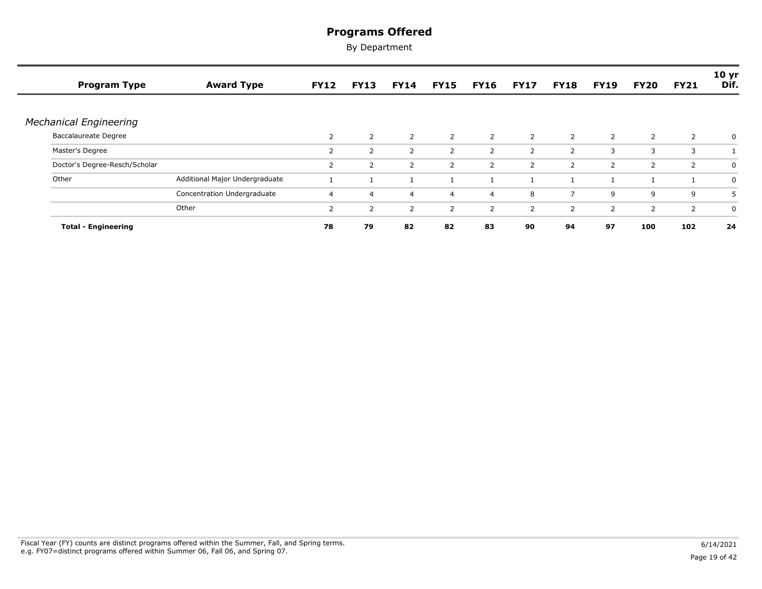| <b>Program Type</b>           | <b>Award Type</b>              | <b>FY12</b>    | <b>FY13</b>    | <b>FY14</b>    | <b>FY15</b>    | <b>FY16</b>    | <b>FY17</b>    | <b>FY18</b>    | <b>FY19</b>    | <b>FY20</b>    | <b>FY21</b>    | 10 yr<br>Dif. |
|-------------------------------|--------------------------------|----------------|----------------|----------------|----------------|----------------|----------------|----------------|----------------|----------------|----------------|---------------|
|                               |                                |                |                |                |                |                |                |                |                |                |                |               |
| <b>Mechanical Engineering</b> |                                |                |                |                |                |                |                |                |                |                |                |               |
| <b>Baccalaureate Degree</b>   |                                | $\overline{2}$ | $\overline{2}$ | $\overline{2}$ | 2              | $\overline{2}$ | $\overline{2}$ | $2^{\circ}$    | $\overline{2}$ | 2              | $\overline{2}$ | 0             |
| Master's Degree               |                                | $\overline{2}$ | 2              | $\overline{2}$ | 2              | 2              | $\overline{2}$ | 2              | 3              | 3              | 3              |               |
| Doctor's Degree-Resch/Scholar |                                | $\overline{2}$ | 2              | 2              | 2              | $\overline{2}$ | $\overline{2}$ | $\overline{2}$ | $\overline{2}$ | $\overline{2}$ | $\overline{2}$ | 0             |
| Other                         | Additional Major Undergraduate |                |                |                |                |                |                |                |                |                |                | 0             |
|                               | Concentration Undergraduate    | 4              | 4              | $\overline{4}$ | $\overline{4}$ | $\overline{4}$ | 8              | $\overline{7}$ | 9              | 9              | 9              | 5             |
|                               | Other                          | 2              | 2              | $\overline{2}$ | 2              | 2              | $\overline{2}$ | $\overline{2}$ | 2              | 2              | $\overline{2}$ | 0             |
| <b>Total - Engineering</b>    |                                | 78             | 79             | 82             | 82             | 83             | 90             | 94             | 97             | 100            | 102            | 24            |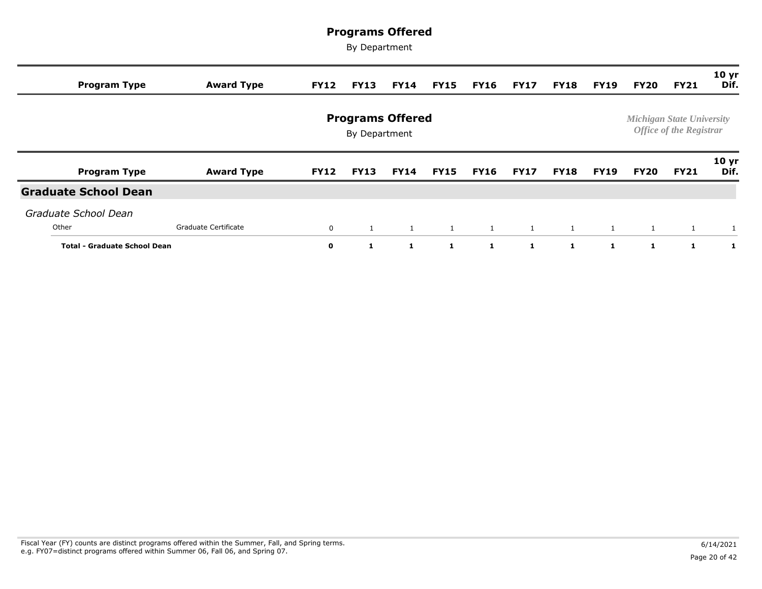| <b>Program Type</b>                 | <b>Award Type</b>    | <b>FY12</b>  | <b>FY13</b>                              | <b>FY14</b>  | <b>FY15</b>  | <b>FY16</b>  | <b>FY17</b>  | <b>FY18</b>  | <b>FY19</b>    | FY20         | <b>FY21</b>                                                        | 10 <sub>yr</sub><br>Dif. |
|-------------------------------------|----------------------|--------------|------------------------------------------|--------------|--------------|--------------|--------------|--------------|----------------|--------------|--------------------------------------------------------------------|--------------------------|
|                                     |                      |              | <b>Programs Offered</b><br>By Department |              |              |              |              |              |                |              | <b>Michigan State University</b><br><b>Office of the Registrar</b> |                          |
| <b>Program Type</b>                 | <b>Award Type</b>    | <b>FY12</b>  | <b>FY13</b>                              | <b>FY14</b>  | <b>FY15</b>  | <b>FY16</b>  | <b>FY17</b>  | <b>FY18</b>  | <b>FY19</b>    | FY20         | <b>FY21</b>                                                        | 10 <sub>yr</sub><br>Dif. |
| <b>Graduate School Dean</b>         |                      |              |                                          |              |              |              |              |              |                |              |                                                                    |                          |
| Graduate School Dean                |                      |              |                                          |              |              |              |              |              |                |              |                                                                    |                          |
| Other                               | Graduate Certificate | 0            | 1                                        | $\mathbf{1}$ | $\mathbf{1}$ | $\mathbf{1}$ | $\mathbf{1}$ | $\mathbf{1}$ | $\overline{1}$ | 1            | 1                                                                  |                          |
| <b>Total - Graduate School Dean</b> |                      | $\mathbf{o}$ | -1                                       | -1           | 1            | 1.           | $\mathbf{1}$ | 1            | -1             | $\mathbf{1}$ | 1                                                                  | 1                        |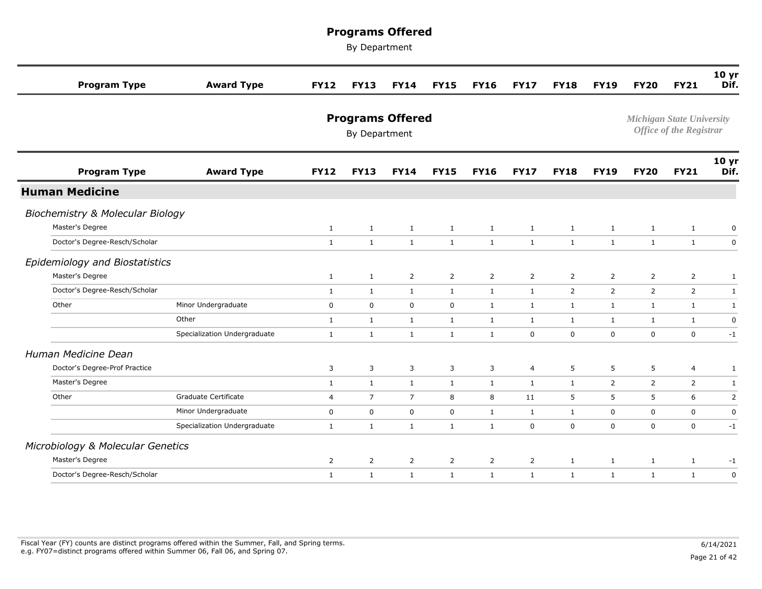| <b>Program Type</b>                         | <b>Award Type</b>            | <b>FY12</b>    | <b>FY13</b>                              | <b>FY14</b>    | <b>FY15</b>    | <b>FY16</b>    | <b>FY17</b>    | <b>FY18</b>    | <b>FY19</b>    | <b>FY20</b>    | <b>FY21</b>                                                        | 10 <sub>yr</sub><br>Dif. |
|---------------------------------------------|------------------------------|----------------|------------------------------------------|----------------|----------------|----------------|----------------|----------------|----------------|----------------|--------------------------------------------------------------------|--------------------------|
|                                             |                              |                | <b>Programs Offered</b><br>By Department |                |                |                |                |                |                |                | <b>Michigan State University</b><br><b>Office of the Registrar</b> |                          |
| <b>Program Type</b>                         | <b>Award Type</b>            | <b>FY12</b>    | <b>FY13</b>                              | <b>FY14</b>    | <b>FY15</b>    | <b>FY16</b>    | <b>FY17</b>    | <b>FY18</b>    | <b>FY19</b>    | <b>FY20</b>    | <b>FY21</b>                                                        | 10 <sub>yr</sub><br>Dif. |
| <b>Human Medicine</b>                       |                              |                |                                          |                |                |                |                |                |                |                |                                                                    |                          |
| <b>Biochemistry &amp; Molecular Biology</b> |                              |                |                                          |                |                |                |                |                |                |                |                                                                    |                          |
| Master's Degree                             |                              | $\mathbf{1}$   | $\mathbf{1}$                             | $\mathbf{1}$   | $\mathbf{1}$   | $\mathbf{1}$   | $\mathbf{1}$   | $\mathbf{1}$   | $\mathbf{1}$   | $\mathbf{1}$   | $\mathbf{1}$                                                       | $\pmb{0}$                |
| Doctor's Degree-Resch/Scholar               |                              | $\mathbf{1}$   | $\mathbf{1}$                             | $\mathbf{1}$   | $\mathbf{1}$   | $\mathbf{1}$   | $\mathbf{1}$   | $\mathbf{1}$   | $\mathbf{1}$   | $\mathbf{1}$   | $\mathbf{1}$                                                       | $\mathbf 0$              |
| Epidemiology and Biostatistics              |                              |                |                                          |                |                |                |                |                |                |                |                                                                    |                          |
| Master's Degree                             |                              | $\mathbf{1}$   | $\mathbf{1}$                             | $\overline{2}$ | $\overline{2}$ | $\overline{2}$ | $\overline{2}$ | $\overline{2}$ | $\overline{2}$ | $\overline{2}$ | $\overline{2}$                                                     | $1\,$                    |
| Doctor's Degree-Resch/Scholar               |                              | <sup>1</sup>   | $\mathbf{1}$                             | $\mathbf{1}$   | $\mathbf{1}$   | $\mathbf{1}$   | $\mathbf{1}$   | $\overline{2}$ | $\overline{2}$ | $\overline{2}$ | $\overline{2}$                                                     | $\mathbf{1}$             |
| Other                                       | Minor Undergraduate          | $\mathbf 0$    | $\mathbf 0$                              | $\mathbf 0$    | $\mathbf 0$    | $\mathbf{1}$   | $\mathbf{1}$   | $\mathbf{1}$   | $\mathbf{1}$   | $\mathbf{1}$   | $\mathbf{1}$                                                       | $\mathbf{1}$             |
|                                             | Other                        | $\mathbf{1}$   | $\mathbf{1}$                             | $\mathbf{1}$   | $\mathbf{1}$   | $\mathbf{1}$   | $\mathbf{1}$   | $\mathbf{1}$   | $\mathbf{1}$   | $\mathbf{1}$   | $\mathbf{1}$                                                       | $\mathbf 0$              |
|                                             | Specialization Undergraduate | $\mathbf{1}$   | $\mathbf{1}$                             | $\mathbf{1}$   | $\mathbf{1}$   | $\mathbf{1}$   | $\mathbf 0$    | $\mathbf 0$    | $\mathbf 0$    | $\mathbf 0$    | $\mathbf 0$                                                        | $-1$                     |
| Human Medicine Dean                         |                              |                |                                          |                |                |                |                |                |                |                |                                                                    |                          |
| Doctor's Degree-Prof Practice               |                              | 3              | 3                                        | 3              | 3              | 3              | $\overline{4}$ | 5              | 5              | 5              | $\overline{4}$                                                     | $\mathbf{1}$             |
| Master's Degree                             |                              | $\mathbf{1}$   | $\mathbf{1}$                             | $\mathbf{1}$   | $\mathbf{1}$   | $\mathbf{1}$   | $\mathbf{1}$   | $\mathbf{1}$   | 2              | $\overline{2}$ | $\overline{2}$                                                     | $\mathbf{1}$             |
| Other                                       | Graduate Certificate         | 4              | $\overline{7}$                           | $\overline{7}$ | 8              | 8              | 11             | 5              | 5              | 5              | 6                                                                  | $\overline{2}$           |
|                                             | Minor Undergraduate          | $\mathbf 0$    | $\mathbf 0$                              | $\mathbf 0$    | $\mathbf 0$    | $\mathbf{1}$   | 1              | $\mathbf{1}$   | $\mathbf 0$    | $\mathbf 0$    | $\mathbf 0$                                                        | $\mathbf 0$              |
|                                             | Specialization Undergraduate | $\mathbf{1}$   | $\mathbf{1}$                             | $\mathbf{1}$   | $\mathbf{1}$   | $\mathbf{1}$   | $\mathbf 0$    | $\mathbf 0$    | $\mathbf 0$    | $\mathbf 0$    | $\mathbf 0$                                                        | $-1$                     |
| Microbiology & Molecular Genetics           |                              |                |                                          |                |                |                |                |                |                |                |                                                                    |                          |
| Master's Degree                             |                              | $\overline{2}$ | $\overline{2}$                           | $\overline{2}$ | $\overline{2}$ | $\overline{2}$ | $\overline{2}$ | $\mathbf{1}$   | $\mathbf{1}$   | $\mathbf{1}$   | $\mathbf{1}$                                                       | $-1$                     |
| Doctor's Degree-Resch/Scholar               |                              | $\mathbf{1}$   | $\mathbf{1}$                             | $\mathbf{1}$   | $\mathbf{1}$   | $\mathbf{1}$   | $\mathbf{1}$   | $\mathbf{1}$   | $\mathbf{1}$   | $\mathbf{1}$   | $\mathbf{1}$                                                       | $\mathbf 0$              |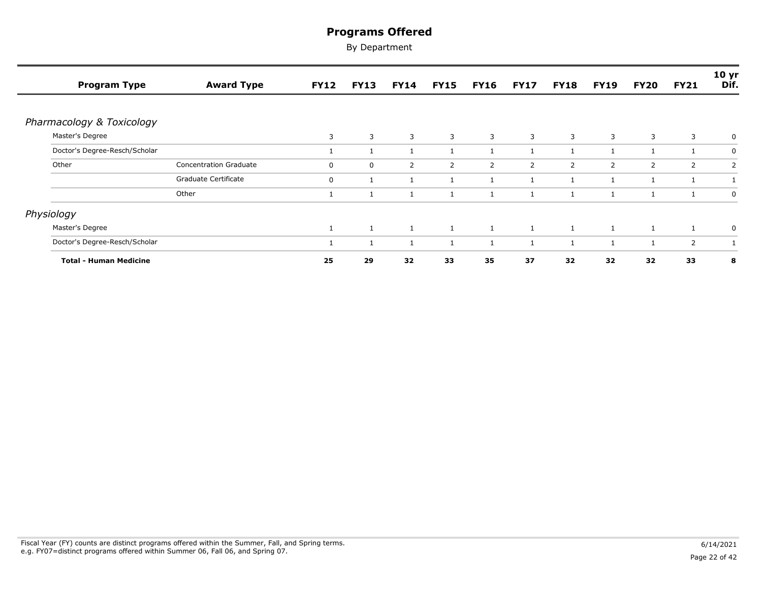| <b>Program Type</b>           | <b>Award Type</b>             | <b>FY12</b>  | <b>FY13</b>  | <b>FY14</b>  | <b>FY15</b>    | <b>FY16</b>    | <b>FY17</b>    | <b>FY18</b>    | <b>FY19</b>    | <b>FY20</b>    | <b>FY21</b> | 10 <sub>yr</sub><br>Dif. |
|-------------------------------|-------------------------------|--------------|--------------|--------------|----------------|----------------|----------------|----------------|----------------|----------------|-------------|--------------------------|
|                               |                               |              |              |              |                |                |                |                |                |                |             |                          |
| Pharmacology & Toxicology     |                               |              |              |              |                |                |                |                |                |                |             |                          |
| Master's Degree               |                               | 3            | 3            | 3            | 3              | 3              | $\overline{3}$ | $\overline{3}$ | 3              | $\overline{3}$ | 3           | 0                        |
| Doctor's Degree-Resch/Scholar |                               | $\mathbf{1}$ | 1            | 1            |                |                | $\mathbf{1}$   | 1              | $\overline{1}$ |                |             | $\mathbf 0$              |
| Other                         | <b>Concentration Graduate</b> | $\mathbf 0$  | $\mathbf 0$  | 2            | $\overline{2}$ | $\overline{2}$ | $\overline{2}$ | 2              | 2              | 2              | 2           | 2                        |
|                               | Graduate Certificate          | $\mathbf 0$  | 1            | 1            |                |                | $\mathbf{1}$   | 1              | $\mathbf{1}$   |                |             |                          |
|                               | Other                         | $\mathbf{1}$ | 1            | 1            |                |                | $\mathbf{1}$   |                | $\mathbf{1}$   |                | 1           | $\mathbf 0$              |
| Physiology                    |                               |              |              |              |                |                |                |                |                |                |             |                          |
| Master's Degree               |                               | $\mathbf{1}$ | 1            | <sup>1</sup> | 1              | $\mathbf{1}$   | $\mathbf{1}$   | $\mathbf{1}$   | $\mathbf{1}$   | $\mathbf{1}$   | 1           | $\mathbf 0$              |
| Doctor's Degree-Resch/Scholar |                               | $\mathbf{1}$ | $\mathbf{1}$ |              |                |                | $\mathbf{1}$   |                | $\overline{1}$ |                | 2           |                          |
| <b>Total - Human Medicine</b> |                               | 25           | 29           | 32           | 33             | 35             | 37             | 32             | 32             | 32             | 33          | 8                        |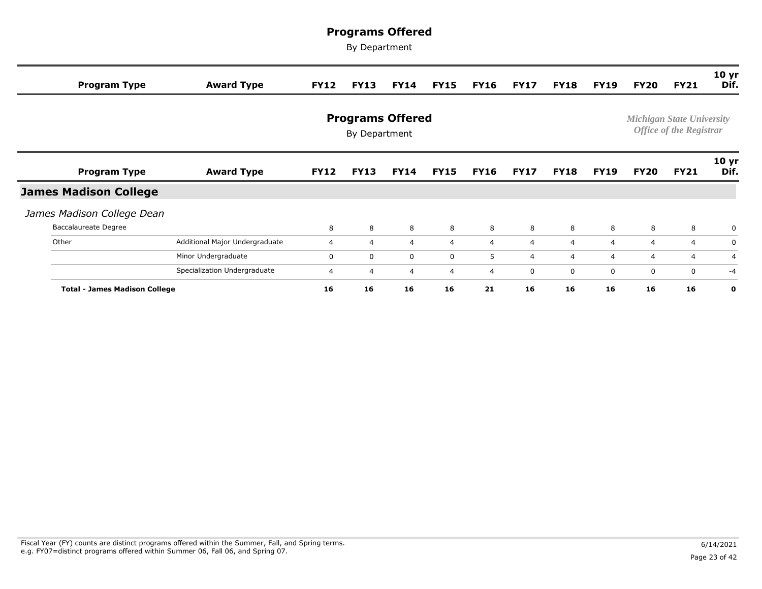| <b>Program Type</b>                  | <b>Award Type</b>              | <b>FY12</b>    | <b>FY13</b>                              | <b>FY14</b> | <b>FY15</b>    | <b>FY16</b>    | <b>FY17</b>    | <b>FY18</b>    | <b>FY19</b>    | <b>FY20</b> | <b>FY21</b>                                                        | 10 <sub>yr</sub><br>Dif. |
|--------------------------------------|--------------------------------|----------------|------------------------------------------|-------------|----------------|----------------|----------------|----------------|----------------|-------------|--------------------------------------------------------------------|--------------------------|
|                                      |                                |                | <b>Programs Offered</b><br>By Department |             |                |                |                |                |                |             | <b>Michigan State University</b><br><b>Office of the Registrar</b> |                          |
| <b>Program Type</b>                  | <b>Award Type</b>              | <b>FY12</b>    | <b>FY13</b>                              | <b>FY14</b> | <b>FY15</b>    | <b>FY16</b>    | <b>FY17</b>    | <b>FY18</b>    | <b>FY19</b>    | FY20        | <b>FY21</b>                                                        | 10 <sub>yr</sub><br>Dif. |
| <b>James Madison College</b>         |                                |                |                                          |             |                |                |                |                |                |             |                                                                    |                          |
| James Madison College Dean           |                                |                |                                          |             |                |                |                |                |                |             |                                                                    |                          |
| <b>Baccalaureate Degree</b>          |                                | 8              | 8                                        | 8           | 8              | 8              | 8              | 8              | 8              | 8           | 8                                                                  | $\Omega$                 |
| Other                                | Additional Major Undergraduate | $\overline{4}$ | $\overline{4}$                           | 4           | $\overline{4}$ | $\overline{4}$ | $\overline{4}$ | $\overline{4}$ | $\overline{4}$ | 4           | 4                                                                  | 0                        |
|                                      | Minor Undergraduate            | 0              | 0                                        | $\mathbf 0$ | 0              | 5              | $\overline{4}$ | $\overline{4}$ | $\overline{4}$ | 4           | 4                                                                  | $\overline{4}$           |
|                                      | Specialization Undergraduate   | 4              | $\overline{4}$                           | 4           | 4              | $\overline{4}$ | 0              | 0              | 0              | 0           | $\mathbf 0$                                                        | $-4$                     |
| <b>Total - James Madison College</b> |                                | 16             | 16                                       | 16          | 16             | 21             | 16             | 16             | 16             | 16          | 16                                                                 | 0                        |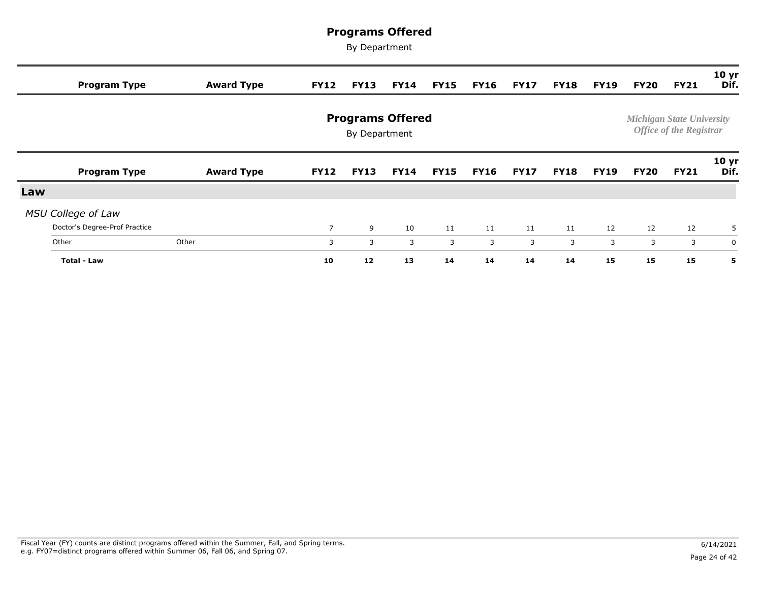|     | <b>Program Type</b>           | <b>Award Type</b> | <b>FY12</b>    | <b>FY13</b>                              | <b>FY14</b> | <b>FY15</b> | <b>FY16</b> | <b>FY17</b> | <b>FY18</b> | FY19        | <b>FY20</b> | <b>FY21</b>                                                        | 10 <sub>yr</sub><br>Dif. |
|-----|-------------------------------|-------------------|----------------|------------------------------------------|-------------|-------------|-------------|-------------|-------------|-------------|-------------|--------------------------------------------------------------------|--------------------------|
|     |                               |                   |                | <b>Programs Offered</b><br>By Department |             |             |             |             |             |             |             | <b>Michigan State University</b><br><b>Office of the Registrar</b> |                          |
|     | <b>Program Type</b>           | <b>Award Type</b> | <b>FY12</b>    | <b>FY13</b>                              | <b>FY14</b> | <b>FY15</b> | <b>FY16</b> | <b>FY17</b> | <b>FY18</b> | <b>FY19</b> | <b>FY20</b> | <b>FY21</b>                                                        | 10 <sub>yr</sub><br>Dif. |
| Law |                               |                   |                |                                          |             |             |             |             |             |             |             |                                                                    |                          |
|     | <b>MSU College of Law</b>     |                   |                |                                          |             |             |             |             |             |             |             |                                                                    |                          |
|     | Doctor's Degree-Prof Practice |                   | $\overline{7}$ | 9                                        | 10          | 11          | 11          | 11          | 11          | 12          | 12          | 12                                                                 | 5                        |
|     | Other                         | Other             | 3              | 3                                        | 3           | 3           | 3           | 3           | 3           | 3           | 3           | 3                                                                  | $\mathbf 0$              |
|     | <b>Total - Law</b>            |                   | 10             | 12                                       | 13          | 14          | 14          | 14          | 14          | 15          | 15          | 15                                                                 | 5                        |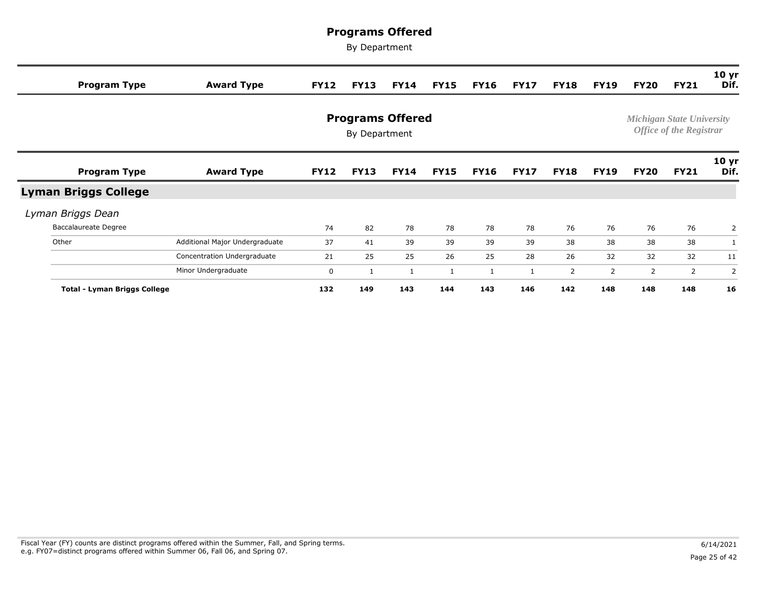| <b>Program Type</b>                 | <b>Award Type</b>              | <b>FY12</b> | <b>FY13</b>                              | <b>FY14</b> | <b>FY15</b> | <b>FY16</b> | <b>FY17</b>  | <b>FY18</b> | <b>FY19</b> | <b>FY20</b>    | <b>FY21</b>                                                        | 10 <sub>yr</sub><br>Dif. |
|-------------------------------------|--------------------------------|-------------|------------------------------------------|-------------|-------------|-------------|--------------|-------------|-------------|----------------|--------------------------------------------------------------------|--------------------------|
|                                     |                                |             | <b>Programs Offered</b><br>By Department |             |             |             |              |             |             |                | <b>Michigan State University</b><br><b>Office of the Registrar</b> |                          |
| <b>Program Type</b>                 | <b>Award Type</b>              | <b>FY12</b> | <b>FY13</b>                              | <b>FY14</b> | <b>FY15</b> | <b>FY16</b> | <b>FY17</b>  | <b>FY18</b> | <b>FY19</b> | <b>FY20</b>    | <b>FY21</b>                                                        | 10 <sub>yr</sub><br>Dif. |
| <b>Lyman Briggs College</b>         |                                |             |                                          |             |             |             |              |             |             |                |                                                                    |                          |
| Lyman Briggs Dean                   |                                |             |                                          |             |             |             |              |             |             |                |                                                                    |                          |
| <b>Baccalaureate Degree</b>         |                                | 74          | 82                                       | 78          | 78          | 78          | 78           | 76          | 76          | 76             | 76                                                                 | $\overline{2}$           |
| Other                               | Additional Major Undergraduate | 37          | 41                                       | 39          | 39          | 39          | 39           | 38          | 38          | 38             | 38                                                                 |                          |
|                                     | Concentration Undergraduate    | 21          | 25                                       | 25          | 26          | 25          | 28           | 26          | 32          | 32             | 32                                                                 | 11                       |
|                                     | Minor Undergraduate            | $\mathbf 0$ | 1                                        | 1           |             |             | $\mathbf{1}$ | 2           | 2           | $\overline{2}$ | 2                                                                  | $\overline{2}$           |
| <b>Total - Lyman Briggs College</b> |                                | 132         | 149                                      | 143         | 144         | 143         | 146          | 142         | 148         | 148            | 148                                                                | 16                       |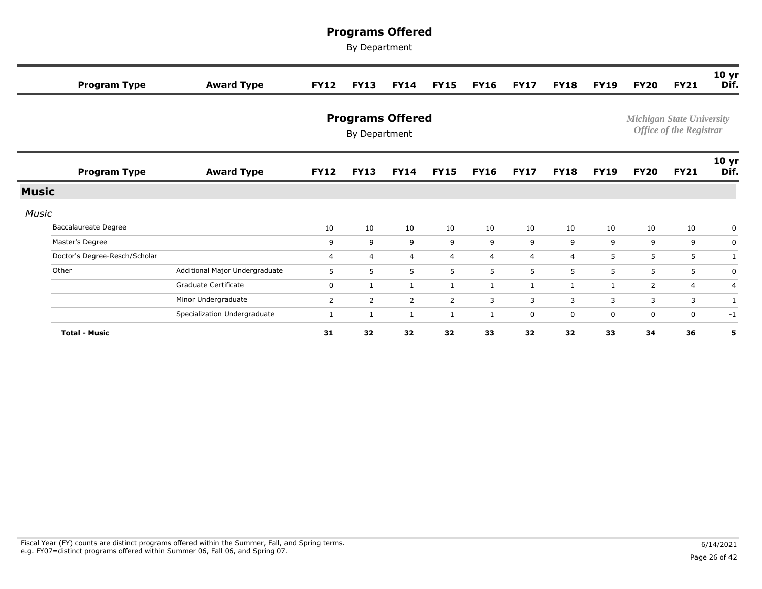|              | <b>Program Type</b>           | <b>Award Type</b>              | <b>FY12</b>    | <b>FY13</b>                              | <b>FY14</b>    | <b>FY15</b>    | <b>FY16</b>    | <b>FY17</b>    | <b>FY18</b>    | <b>FY19</b> | <b>FY20</b>               | <b>FY21</b>                    | 10 <sub>yr</sub><br>Dif. |
|--------------|-------------------------------|--------------------------------|----------------|------------------------------------------|----------------|----------------|----------------|----------------|----------------|-------------|---------------------------|--------------------------------|--------------------------|
|              |                               |                                |                | <b>Programs Offered</b><br>By Department |                |                |                |                |                |             | Michigan State University | <b>Office of the Registrar</b> |                          |
|              | <b>Program Type</b>           | <b>Award Type</b>              | <b>FY12</b>    | <b>FY13</b>                              | <b>FY14</b>    | <b>FY15</b>    | <b>FY16</b>    | <b>FY17</b>    | <b>FY18</b>    | <b>FY19</b> | <b>FY20</b>               | <b>FY21</b>                    | 10 <sub>yr</sub><br>Dif. |
| <b>Music</b> |                               |                                |                |                                          |                |                |                |                |                |             |                           |                                |                          |
| <b>Music</b> |                               |                                |                |                                          |                |                |                |                |                |             |                           |                                |                          |
|              | <b>Baccalaureate Degree</b>   |                                | 10             | 10                                       | 10             | 10             | 10             | 10             | 10             | 10          | 10                        | 10                             | $\mathbf 0$              |
|              | Master's Degree               |                                | 9              | 9                                        | 9              | 9              | 9              | 9              | 9              | 9           | 9                         | 9                              | $\mathbf 0$              |
|              | Doctor's Degree-Resch/Scholar |                                | $\overline{4}$ | 4                                        | $\overline{4}$ | $\overline{4}$ | $\overline{4}$ | $\overline{4}$ | $\overline{4}$ | 5           | 5                         | 5                              | $\mathbf{1}$             |
|              | Other                         | Additional Major Undergraduate | 5              | 5                                        | 5              | 5              | 5              | 5              | 5              | 5           | 5                         | 5                              | $\mathbf 0$              |
|              |                               | Graduate Certificate           | $\mathbf 0$    | $\mathbf{1}$                             | 1              | $\mathbf{1}$   | 1              | 1              | 1              | 1           | 2                         | 4                              | $\overline{4}$           |
|              |                               | Minor Undergraduate            | $\overline{2}$ | 2                                        | 2              | $\overline{2}$ | 3              | 3              | 3              | 3           | 3                         | 3                              | 1                        |
|              |                               | Specialization Undergraduate   | 1              | $\mathbf{1}$                             | 1              | 1              | 1              | 0              | 0              | 0           | 0                         | 0                              | $-1$                     |
|              | <b>Total - Music</b>          |                                | 31             | 32                                       | 32             | 32             | 33             | 32             | 32             | 33          | 34                        | 36                             | 5                        |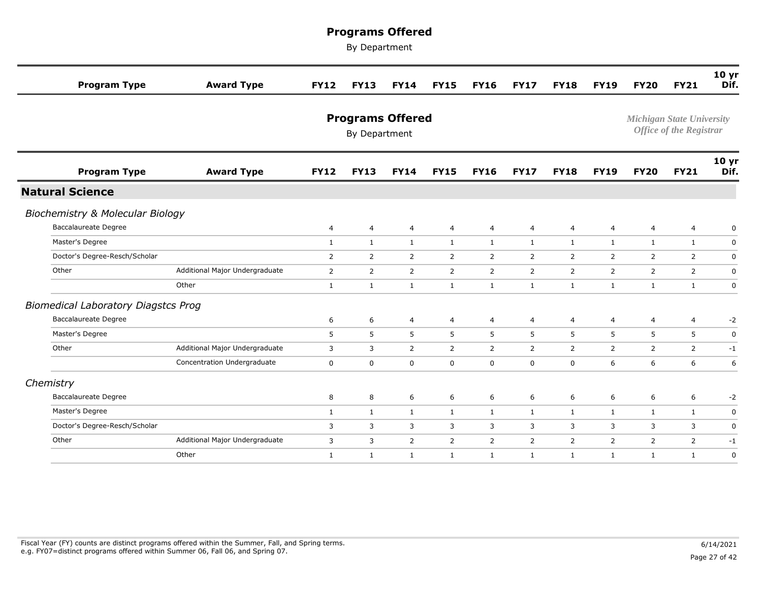| <b>Program Type</b>                         | <b>Award Type</b>              | <b>FY12</b>    | <b>FY13</b>    | <b>FY14</b>             | <b>FY15</b>    | <b>FY16</b>    | <b>FY17</b>    | <b>FY18</b>    | <b>FY19</b>  | <b>FY20</b>    | <b>FY21</b>                                                        | 10 <sub>yr</sub><br>Dif. |
|---------------------------------------------|--------------------------------|----------------|----------------|-------------------------|----------------|----------------|----------------|----------------|--------------|----------------|--------------------------------------------------------------------|--------------------------|
|                                             |                                |                | By Department  | <b>Programs Offered</b> |                |                |                |                |              |                | <b>Michigan State University</b><br><b>Office of the Registrar</b> |                          |
| <b>Program Type</b>                         | <b>Award Type</b>              | <b>FY12</b>    | <b>FY13</b>    | <b>FY14</b>             | <b>FY15</b>    | <b>FY16</b>    | <b>FY17</b>    | <b>FY18</b>    | <b>FY19</b>  | <b>FY20</b>    | <b>FY21</b>                                                        | 10 yr<br>Dif.            |
| <b>Natural Science</b>                      |                                |                |                |                         |                |                |                |                |              |                |                                                                    |                          |
| <b>Biochemistry &amp; Molecular Biology</b> |                                |                |                |                         |                |                |                |                |              |                |                                                                    |                          |
| Baccalaureate Degree                        |                                | 4              | $\overline{4}$ | $\overline{4}$          | $\overline{4}$ | $\overline{4}$ | 4              | 4              | 4            | $\overline{4}$ | 4                                                                  | 0                        |
| Master's Degree                             |                                | $\mathbf{1}$   | $\mathbf{1}$   | $\mathbf{1}$            | $\mathbf{1}$   | $\mathbf{1}$   | $\mathbf{1}$   | $\mathbf{1}$   | $\mathbf{1}$ | $\mathbf{1}$   | $\mathbf{1}$                                                       | $\mathbf 0$              |
| Doctor's Degree-Resch/Scholar               |                                | $\overline{2}$ | 2              | 2                       | $\overline{2}$ | $\overline{2}$ | $\overline{2}$ | 2              | 2            | 2              | $\overline{2}$                                                     | $\mathbf 0$              |
| Other                                       | Additional Major Undergraduate | $\overline{2}$ | $\overline{2}$ | 2                       | $\overline{2}$ | $\overline{2}$ | $\overline{2}$ | $\overline{2}$ | 2            | 2              | $\overline{2}$                                                     | $\mathbf 0$              |
|                                             | Other                          | $\mathbf{1}$   | $\mathbf{1}$   | $\mathbf{1}$            | $\mathbf{1}$   | $\mathbf{1}$   | $\mathbf{1}$   | $\mathbf{1}$   | $\mathbf{1}$ | $\mathbf{1}$   | $\mathbf{1}$                                                       | $\mathbf 0$              |
| <b>Biomedical Laboratory Diagstcs Prog</b>  |                                |                |                |                         |                |                |                |                |              |                |                                                                    |                          |
| <b>Baccalaureate Degree</b>                 |                                | 6              | 6              | $\overline{4}$          | 4              | 4              | 4              | 4              | 4            | $\overline{4}$ | 4                                                                  | $-2$                     |
| Master's Degree                             |                                | 5              | 5              | 5                       | 5              | 5              | 5              | 5              | 5            | 5              | 5                                                                  | $\pmb{0}$                |
| Other                                       | Additional Major Undergraduate | 3              | 3              | 2                       | $\overline{2}$ | $\overline{2}$ | $\overline{2}$ | $\overline{2}$ | 2            | 2              | $2^{\circ}$                                                        | $-1$                     |
|                                             | Concentration Undergraduate    | 0              | $\mathbf 0$    | $\mathsf 0$             | $\mathbf 0$    | $\mathbf 0$    | $\mathbf 0$    | $\mathbf 0$    | 6            | 6              | 6                                                                  | 6                        |
| Chemistry                                   |                                |                |                |                         |                |                |                |                |              |                |                                                                    |                          |
| <b>Baccalaureate Degree</b>                 |                                | 8              | 8              | 6                       | 6              | 6              | 6              | 6              | 6            | 6              | 6                                                                  | $-2$                     |
| Master's Degree                             |                                | $\mathbf{1}$   | $\mathbf{1}$   | $\mathbf{1}$            | $\mathbf{1}$   | $\mathbf{1}$   | $\mathbf{1}$   | $\mathbf{1}$   | $\mathbf{1}$ | $\mathbf{1}$   | $\mathbf{1}$                                                       | $\mathbf 0$              |
| Doctor's Degree-Resch/Scholar               |                                | 3              | 3              | 3                       | 3              | 3              | 3              | 3              | 3            | 3              | 3                                                                  | $\pmb{0}$                |
| Other                                       | Additional Major Undergraduate | 3              | 3              | $\overline{2}$          | $\overline{2}$ | $\overline{2}$ | $\overline{2}$ | $\overline{2}$ | 2            | $\overline{2}$ | $\overline{2}$                                                     | $-1$                     |
|                                             | Other                          | $\mathbf{1}$   | $\mathbf{1}$   | 1                       | $\mathbf{1}$   | $\mathbf{1}$   | $\mathbf{1}$   | $\mathbf{1}$   | $\mathbf{1}$ | $\mathbf{1}$   | $\mathbf{1}$                                                       | $\mathbf 0$              |
|                                             |                                |                |                |                         |                |                |                |                |              |                |                                                                    |                          |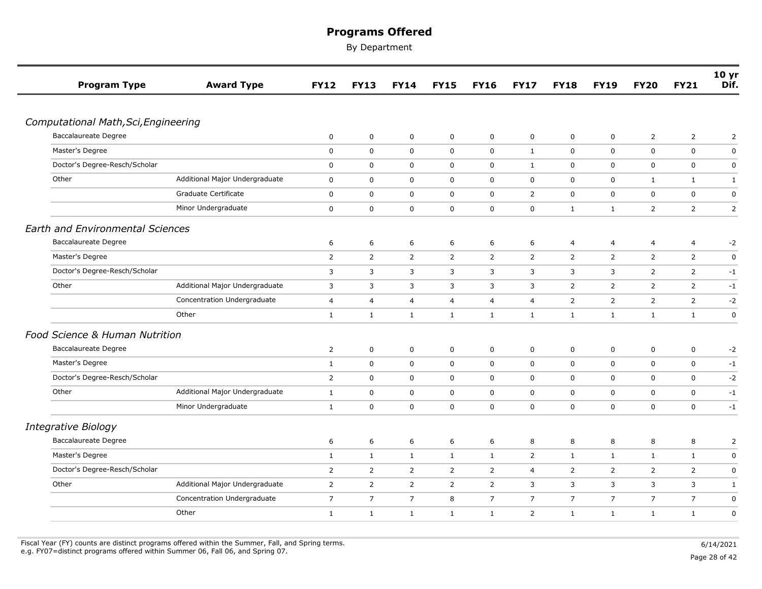By Department

| <b>Program Type</b>                     | <b>Award Type</b>              | <b>FY12</b>    | <b>FY13</b>    | <b>FY14</b>    | <b>FY15</b>    | <b>FY16</b>    | <b>FY17</b>      | <b>FY18</b>    | <b>FY19</b>    | <b>FY20</b>    | <b>FY21</b>    | 10 <sub>yr</sub><br>Dif. |
|-----------------------------------------|--------------------------------|----------------|----------------|----------------|----------------|----------------|------------------|----------------|----------------|----------------|----------------|--------------------------|
|                                         |                                |                |                |                |                |                |                  |                |                |                |                |                          |
| Computational Math, Sci, Engineering    |                                |                |                |                |                |                |                  |                |                |                |                |                          |
| Baccalaureate Degree                    |                                | $\pmb{0}$      | $\pmb{0}$      | $\mathsf 0$    | $\mathbf 0$    | $\mathbf 0$    | $\boldsymbol{0}$ | $\mathbf 0$    | $\mathbf 0$    | $\overline{2}$ | $\overline{2}$ | $\overline{2}$           |
| Master's Degree                         |                                | 0              | 0              | $\mathbf 0$    | $\mathbf 0$    | $\mathbf 0$    | $\mathbf{1}$     | $\mathbf 0$    | $\mathbf 0$    | $\mathbf 0$    | $\mathbf 0$    | $\mathbf 0$              |
| Doctor's Degree-Resch/Scholar           |                                | $\pmb{0}$      | $\mathbf 0$    | $\mathsf 0$    | $\mathsf 0$    | $\mathbf 0$    | $\mathbf{1}$     | $\mathbf 0$    | $\mathbf 0$    | $\mathbf 0$    | $\mathbf 0$    | $\pmb{0}$                |
| Other                                   | Additional Major Undergraduate | 0              | 0              | $\mathbf 0$    | $\mathbf 0$    | $\mathbf 0$    | 0                | 0              | 0              | $\mathbf{1}$   | $\mathbf{1}$   | $\mathbf{1}$             |
|                                         | Graduate Certificate           | $\pmb{0}$      | $\mathbf 0$    | $\mathbf 0$    | $\mathbf 0$    | $\mathbf 0$    | $\overline{2}$   | 0              | $\mathbf 0$    | $\mathsf 0$    | $\mathbf 0$    | $\pmb{0}$                |
|                                         | Minor Undergraduate            | 0              | $\mathbf 0$    | 0              | $\mathbf 0$    | $\mathbf 0$    | 0                | $\mathbf{1}$   | $\mathbf{1}$   | $\overline{2}$ | $\overline{2}$ | $\overline{2}$           |
| <b>Earth and Environmental Sciences</b> |                                |                |                |                |                |                |                  |                |                |                |                |                          |
| <b>Baccalaureate Degree</b>             |                                | 6              | 6              | 6              | 6              | 6              | 6                | 4              | 4              | $\overline{4}$ | $\overline{4}$ | $-2$                     |
| Master's Degree                         |                                | $\overline{2}$ | 2              | 2              | 2              | $\overline{2}$ | $\overline{2}$   | $\overline{2}$ | 2              | 2              | 2              | $\mathbf 0$              |
| Doctor's Degree-Resch/Scholar           |                                | 3              | 3              | 3              | $\overline{3}$ | 3              | 3                | 3              | 3              | $\overline{2}$ | $\overline{2}$ | $-1$                     |
| Other                                   | Additional Major Undergraduate | 3              | 3              | 3              | 3              | 3              | 3                | 2              | 2              | $\overline{2}$ | $\overline{2}$ | $-1$                     |
|                                         | Concentration Undergraduate    | 4              | 4              | 4              | $\overline{4}$ | 4              | 4                | 2              | $\overline{2}$ | $\overline{2}$ | $\overline{2}$ | $-2$                     |
|                                         | Other                          | $\mathbf{1}$   | $\mathbf{1}$   | $\mathbf{1}$   | $\mathbf{1}$   | $\mathbf{1}$   | $\mathbf{1}$     | $\mathbf{1}$   | $\mathbf{1}$   | $\mathbf{1}$   | $\mathbf{1}$   | $\mathbf 0$              |
| Food Science & Human Nutrition          |                                |                |                |                |                |                |                  |                |                |                |                |                          |
| <b>Baccalaureate Degree</b>             |                                | $\overline{2}$ | 0              | 0              | $\mathbf 0$    | $\mathbf 0$    | 0                | 0              | $\mathbf 0$    | $\mathbf 0$    | $\mathbf 0$    | $-2$                     |
| Master's Degree                         |                                | $\mathbf{1}$   | 0              | $\mathbf 0$    | $\mathbf 0$    | $\mathbf 0$    | 0                | $\mathbf 0$    | $\mathbf 0$    | $\mathsf 0$    | 0              | $-1$                     |
| Doctor's Degree-Resch/Scholar           |                                | $\overline{2}$ | 0              | 0              | $\mathbf 0$    | $\mathbf 0$    | 0                | 0              | 0              | $\mathbf 0$    | 0              | $-2$                     |
| Other                                   | Additional Major Undergraduate | $\mathbf{1}$   | 0              | 0              | $\mathbf 0$    | $\mathbf 0$    | 0                | $\mathbf 0$    | $\mathbf 0$    | $\mathbf 0$    | $\mathbf 0$    | $-1$                     |
|                                         | Minor Undergraduate            | 1              | 0              | 0              | $\mathbf 0$    | $\mathbf 0$    | 0                | 0              | 0              | $\mathbf 0$    | 0              | $-1$                     |
| <b>Integrative Biology</b>              |                                |                |                |                |                |                |                  |                |                |                |                |                          |
| <b>Baccalaureate Degree</b>             |                                | 6              | 6              | 6              | 6              | 6              | 8                | 8              | 8              | 8              | 8              | 2                        |
| Master's Degree                         |                                | $\mathbf{1}$   | $\mathbf{1}$   | $\mathbf{1}$   | $\mathbf{1}$   | $\mathbf{1}$   | $\overline{2}$   | $\mathbf{1}$   | $\mathbf{1}$   | $\mathbf{1}$   | $\mathbf{1}$   | $\pmb{0}$                |
| Doctor's Degree-Resch/Scholar           |                                | $\overline{2}$ | $\overline{2}$ | $\overline{2}$ | $\overline{2}$ | $\overline{2}$ | 4                | 2              | $\overline{2}$ | $\overline{2}$ | $\overline{2}$ | $\pmb{0}$                |
| Other                                   | Additional Major Undergraduate | 2              | $\overline{2}$ | 2              | 2              | $\overline{2}$ | 3                | 3              | 3              | 3              | 3              | $\mathbf{1}$             |
|                                         | Concentration Undergraduate    | $\overline{7}$ | $\overline{7}$ | $\overline{7}$ | 8              | $\overline{7}$ | $\overline{7}$   | $\overline{7}$ | $\overline{7}$ | $\overline{7}$ | $\overline{7}$ | $\pmb{0}$                |
|                                         | Other                          | $\mathbf{1}$   | $\mathbf{1}$   | $\mathbf{1}$   | $\mathbf{1}$   | $\mathbf{1}$   | $\overline{2}$   | $\mathbf{1}$   | $\mathbf{1}$   | $\mathbf{1}$   | $\mathbf{1}$   | 0                        |

Fiscal Year (FY) counts are distinct programs offered within the Summer, Fall, and Spring terms.<br>e.g. FY07=distinct programs offered within Summer 06, Fall 06, and Spring 07. e.g. FY07=distinct programs offered within Summer 06, Fall 06, and Spring 07. Page 28 of 42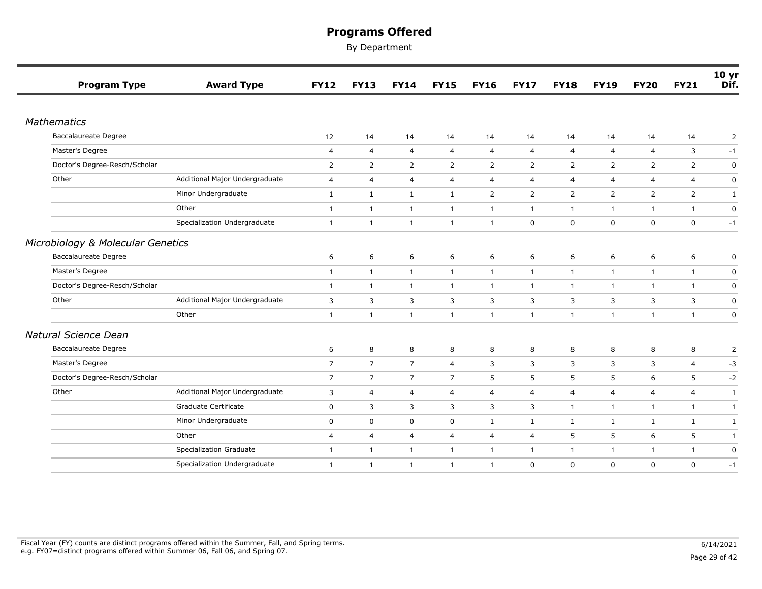| <b>Program Type</b>               | <b>Award Type</b>              | <b>FY12</b>    | <b>FY13</b>    | <b>FY14</b>    | <b>FY15</b>    | <b>FY16</b>    | <b>FY17</b>    | <b>FY18</b>    | <b>FY19</b>    | <b>FY20</b>    | <b>FY21</b>    | 10 <sub>yr</sub><br>Dif. |
|-----------------------------------|--------------------------------|----------------|----------------|----------------|----------------|----------------|----------------|----------------|----------------|----------------|----------------|--------------------------|
|                                   |                                |                |                |                |                |                |                |                |                |                |                |                          |
| <b>Mathematics</b>                |                                |                |                |                |                |                |                |                |                |                |                |                          |
| <b>Baccalaureate Degree</b>       |                                | 12             | 14             | 14             | 14             | 14             | 14             | 14             | 14             | 14             | 14             | $\overline{2}$           |
| Master's Degree                   |                                | $\overline{4}$ | $\overline{4}$ | $\overline{4}$ | $\overline{4}$ | $\overline{4}$ | $\overline{4}$ | $\overline{4}$ | $\overline{4}$ | $\overline{4}$ | 3              | $-1$                     |
| Doctor's Degree-Resch/Scholar     |                                | 2              | $\overline{2}$ | $\overline{2}$ | $\overline{2}$ | $\overline{2}$ | $\overline{2}$ | $\overline{2}$ | 2              | $\overline{2}$ | $\overline{2}$ | $\pmb{0}$                |
| Other                             | Additional Major Undergraduate | 4              | 4              | 4              | $\overline{4}$ | $\overline{4}$ | 4              | 4              | $\overline{4}$ | $\overline{4}$ | 4              | 0                        |
|                                   | Minor Undergraduate            | $\mathbf{1}$   | $\mathbf{1}$   | $\mathbf{1}$   | $\mathbf{1}$   | $\overline{2}$ | $\overline{2}$ | $\overline{2}$ | $\overline{2}$ | $\overline{2}$ | $\overline{2}$ | 1                        |
|                                   | Other                          | $\mathbf{1}$   | $\mathbf{1}$   | $\mathbf{1}$   | $\mathbf{1}$   | $\mathbf{1}$   | $\mathbf{1}$   | $\mathbf{1}$   | $\mathbf{1}$   | $\mathbf{1}$   | $\mathbf{1}$   | $\pmb{0}$                |
|                                   | Specialization Undergraduate   | $\mathbf{1}$   | $\mathbf{1}$   | $\mathbf{1}$   | $\mathbf{1}$   | $\mathbf{1}$   | $\mathbf 0$    | $\mathbf 0$    | 0              | $\mathbf 0$    | 0              | $-1$                     |
| Microbiology & Molecular Genetics |                                |                |                |                |                |                |                |                |                |                |                |                          |
| <b>Baccalaureate Degree</b>       |                                | 6              | 6              | 6              | 6              | 6              | 6              | 6              | 6              | 6              | 6              | 0                        |
| Master's Degree                   |                                | $\mathbf{1}$   | $\mathbf{1}$   | $\mathbf{1}$   | $\mathbf{1}$   | $\mathbf{1}$   | $\mathbf{1}$   | $\mathbf{1}$   | $\mathbf{1}$   | $\mathbf{1}$   | $\mathbf{1}$   | 0                        |
| Doctor's Degree-Resch/Scholar     |                                | $\mathbf{1}$   | $\mathbf{1}$   | $\mathbf{1}$   | $\mathbf{1}$   | $\mathbf{1}$   | $\mathbf{1}$   | $\mathbf{1}$   | $\mathbf{1}$   | $\mathbf{1}$   | $\mathbf{1}$   | $\mathbf 0$              |
| Other                             | Additional Major Undergraduate | 3              | 3              | 3              | 3              | 3              | 3              | 3              | 3              | 3              | 3              | $\mathbf 0$              |
|                                   | Other                          | $\mathbf{1}$   | $\mathbf{1}$   | $\mathbf{1}$   | $\mathbf{1}$   | $\mathbf{1}$   | $\mathbf{1}$   | $\mathbf{1}$   | $\mathbf{1}$   | $\mathbf{1}$   | $\mathbf{1}$   | 0                        |
| Natural Science Dean              |                                |                |                |                |                |                |                |                |                |                |                |                          |
| <b>Baccalaureate Degree</b>       |                                | 6              | 8              | 8              | 8              | 8              | 8              | 8              | 8              | 8              | 8              | $\mathbf 2$              |
| Master's Degree                   |                                | $\overline{7}$ | $\overline{7}$ | $\overline{7}$ | $\overline{4}$ | 3              | 3              | 3              | 3              | 3              | $\overline{4}$ | $-3$                     |
| Doctor's Degree-Resch/Scholar     |                                | $\overline{7}$ | $\overline{7}$ | $\overline{7}$ | $\overline{7}$ | 5              | 5              | 5              | 5              | 6              | 5              | $-2$                     |
| Other                             | Additional Major Undergraduate | 3              | $\overline{4}$ | 4              | 4              | $\overline{4}$ | 4              | $\overline{4}$ | $\overline{4}$ | $\overline{4}$ | $\overline{4}$ | $\mathbf{1}$             |
|                                   | Graduate Certificate           | 0              | 3              | 3              | 3              | 3              | 3              | $\mathbf{1}$   | $\mathbf{1}$   | $\mathbf{1}$   | $\mathbf{1}$   | $\mathbf{1}$             |
|                                   | Minor Undergraduate            | 0              | 0              | 0              | $\mathbf 0$    | $\mathbf{1}$   | $\mathbf{1}$   | $\mathbf{1}$   | $\mathbf{1}$   | $\mathbf{1}$   | $\mathbf{1}$   | $\mathbf{1}$             |
|                                   | Other                          | 4              | 4              | $\overline{4}$ | $\overline{4}$ | $\overline{4}$ | 4              | 5              | 5              | 6              | 5              | $\mathbf{1}$             |
|                                   | <b>Specialization Graduate</b> | $\mathbf{1}$   | $\mathbf{1}$   | $\mathbf{1}$   | $\mathbf{1}$   | $\mathbf{1}$   | $\mathbf{1}$   | $\mathbf{1}$   | 1              | $\mathbf{1}$   | $\mathbf{1}$   | $\mathbf 0$              |
|                                   | Specialization Undergraduate   | $\mathbf{1}$   | $\mathbf{1}$   | $\mathbf{1}$   | 1              | $\mathbf{1}$   | 0              | 0              | $\mathbf 0$    | $\mathbf 0$    | $\mathbf 0$    | $-1$                     |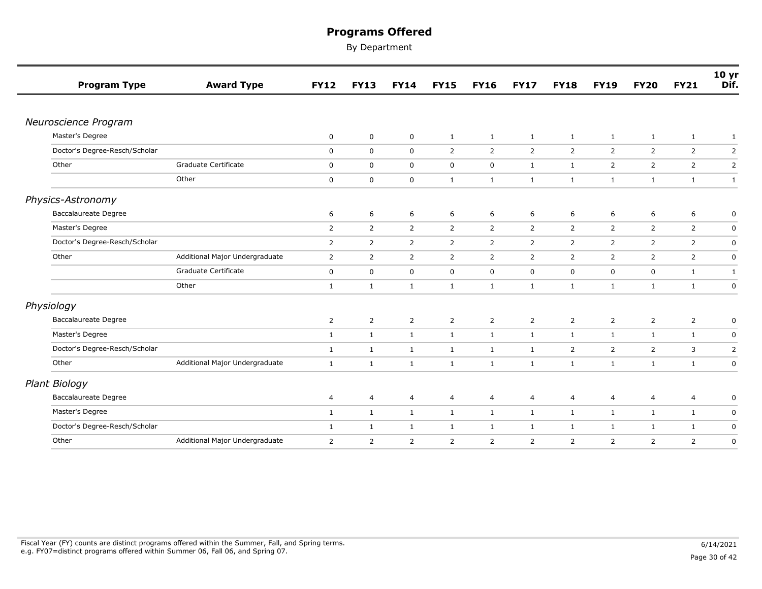| <b>Program Type</b>           | <b>Award Type</b>              | <b>FY12</b>    | <b>FY13</b>    | <b>FY14</b>    | <b>FY15</b>    | <b>FY16</b>    | <b>FY17</b>    | <b>FY18</b>    | <b>FY19</b>    | <b>FY20</b>    | <b>FY21</b>    | 10 <sub>yr</sub><br>Dif. |
|-------------------------------|--------------------------------|----------------|----------------|----------------|----------------|----------------|----------------|----------------|----------------|----------------|----------------|--------------------------|
|                               |                                |                |                |                |                |                |                |                |                |                |                |                          |
| Neuroscience Program          |                                |                |                |                |                |                |                |                |                |                |                |                          |
| Master's Degree               |                                | 0              | $\mathbf 0$    | 0              | $\mathbf{1}$   | $\mathbf{1}$   | $\mathbf{1}$   | $\mathbf{1}$   | $\mathbf{1}$   | $\mathbf{1}$   | $\mathbf{1}$   | $\mathbf{1}$             |
| Doctor's Degree-Resch/Scholar |                                | 0              | $\mathbf 0$    | $\mathbf 0$    | 2              | $\overline{2}$ | $\overline{2}$ | $\overline{2}$ | $\overline{2}$ | $\overline{2}$ | $\overline{2}$ | 2                        |
| Other                         | Graduate Certificate           | 0              | $\mathsf 0$    | $\mathsf 0$    | $\mathbf 0$    | $\mathsf{O}$   | $\mathbf{1}$   | $\mathbf{1}$   | $\overline{2}$ | $\overline{2}$ | $\overline{2}$ | $\mathbf 2$              |
|                               | Other                          | 0              | 0              | $\mathbf 0$    | $\mathbf{1}$   | $\mathbf{1}$   | $\mathbf{1}$   | $\mathbf{1}$   | $\mathbf{1}$   | $\mathbf{1}$   | $\mathbf{1}$   | $\mathbf{1}$             |
| Physics-Astronomy             |                                |                |                |                |                |                |                |                |                |                |                |                          |
| Baccalaureate Degree          |                                | 6              | 6              | 6              | 6              | 6              | 6              | 6              | 6              | 6              | 6              | 0                        |
| Master's Degree               |                                | $\overline{2}$ | $\overline{2}$ | 2              | 2              | $\overline{2}$ | $\overline{2}$ | 2              | 2              | 2              | $\overline{2}$ | 0                        |
| Doctor's Degree-Resch/Scholar |                                | $\overline{2}$ | $\overline{2}$ | $\overline{2}$ | $\overline{2}$ | $\overline{2}$ | $\overline{2}$ | $\overline{2}$ | $\overline{2}$ | $\overline{2}$ | $\overline{2}$ | $\pmb{0}$                |
| Other                         | Additional Major Undergraduate | 2              | $\overline{2}$ | 2              | 2              | $\overline{2}$ | $\overline{2}$ | $\overline{2}$ | $\overline{2}$ | $\overline{2}$ | $\overline{2}$ | $\mathbf 0$              |
|                               | Graduate Certificate           | $\mathsf 0$    | 0              | $\mathsf 0$    | $\mathbf 0$    | $\mathbf 0$    | $\mathsf 0$    | $\mathbf 0$    | 0              | $\mathsf 0$    | $\mathbf{1}$   | $\mathbf{1}$             |
|                               | Other                          | $\mathbf{1}$   | $\mathbf{1}$   | $\mathbf{1}$   | $\mathbf{1}$   | $\mathbf{1}$   | $\mathbf{1}$   | $\mathbf{1}$   | $\mathbf{1}$   | 1              | $\mathbf{1}$   | $\mathbf 0$              |
| Physiology                    |                                |                |                |                |                |                |                |                |                |                |                |                          |
| <b>Baccalaureate Degree</b>   |                                | 2              | $\overline{2}$ | $\overline{2}$ | $\overline{2}$ | $\overline{2}$ | 2              | 2              | $\overline{2}$ | $\overline{2}$ | $\overline{2}$ | 0                        |
| Master's Degree               |                                | $\mathbf{1}$   | $\mathbf{1}$   | $\mathbf{1}$   | $\mathbf{1}$   | $\mathbf{1}$   | $\mathbf{1}$   | $\mathbf{1}$   | $\mathbf{1}$   | $\mathbf{1}$   | $\mathbf{1}$   | 0                        |
| Doctor's Degree-Resch/Scholar |                                | $\mathbf{1}$   | $\mathbf{1}$   | $\mathbf{1}$   | $\mathbf{1}$   | $\mathbf{1}$   | $\mathbf{1}$   | $\overline{2}$ | $\overline{2}$ | $\overline{2}$ | 3              | $\mathbf 2$              |
| Other                         | Additional Major Undergraduate | $\mathbf{1}$   | $\mathbf{1}$   | $\mathbf{1}$   | $\mathbf{1}$   | $\mathbf{1}$   | $\mathbf{1}$   | $\mathbf{1}$   | 1              | $\mathbf{1}$   | $\mathbf{1}$   | $\mathbf 0$              |
| Plant Biology                 |                                |                |                |                |                |                |                |                |                |                |                |                          |
| <b>Baccalaureate Degree</b>   |                                | 4              | 4              | 4              | 4              | 4              | 4              | 4              | $\overline{4}$ | $\overline{4}$ | 4              | 0                        |
| Master's Degree               |                                | $\mathbf{1}$   | $\mathbf{1}$   | $\mathbf{1}$   | $\mathbf{1}$   | $\mathbf{1}$   | $\mathbf{1}$   | $\mathbf{1}$   | $\mathbf{1}$   | $\mathbf{1}$   | $\mathbf{1}$   | $\mathbf 0$              |
| Doctor's Degree-Resch/Scholar |                                | $\mathbf{1}$   | $\mathbf{1}$   | $\mathbf{1}$   | $\mathbf{1}$   | $\mathbf{1}$   | $\mathbf{1}$   | $\mathbf{1}$   | 1              | $\mathbf{1}$   | $\mathbf{1}$   | $\mathsf 0$              |
| Other                         | Additional Major Undergraduate | $\overline{2}$ | $\overline{2}$ | $\overline{2}$ | $\overline{2}$ | $\overline{2}$ | 2              | 2              | $\overline{2}$ | $\overline{2}$ | $\overline{2}$ | 0                        |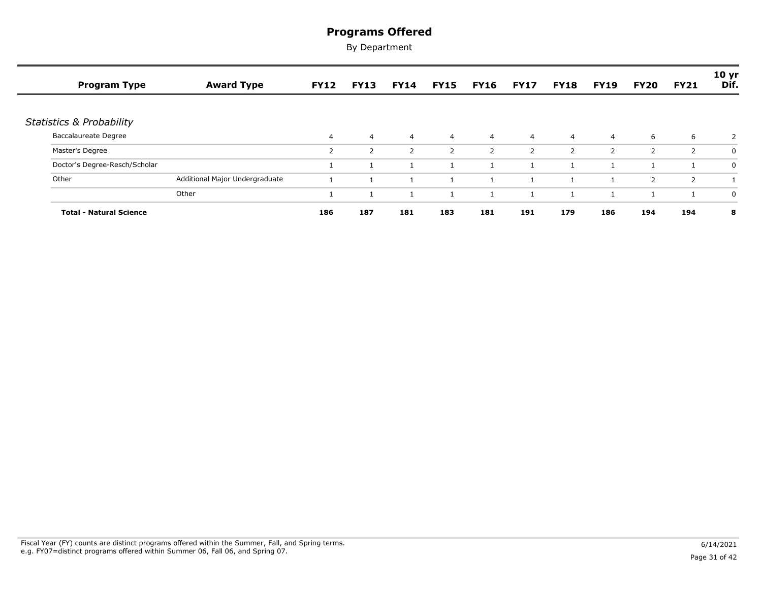| <b>Program Type</b>                 | <b>Award Type</b>              | <b>FY12</b>    | <b>FY13</b>    | <b>FY14</b>    | <b>FY15</b>    | <b>FY16</b>    | <b>FY17</b>    | <b>FY18</b>    | <b>FY19</b>    | <b>FY20</b>    | <b>FY21</b>    | 10 yr<br>Dif. |
|-------------------------------------|--------------------------------|----------------|----------------|----------------|----------------|----------------|----------------|----------------|----------------|----------------|----------------|---------------|
| <b>Statistics &amp; Probability</b> |                                |                |                |                |                |                |                |                |                |                |                |               |
| <b>Baccalaureate Degree</b>         |                                | $\overline{4}$ | $\overline{4}$ | $\overline{4}$ | $\overline{4}$ | $\overline{4}$ | $\overline{4}$ | $\overline{4}$ | $\overline{4}$ | 6              | 6              | 2             |
| Master's Degree                     |                                | 2              | $\overline{2}$ | 2              | 2              | $\overline{2}$ | 2              | 2              | 2              | 2              | $\overline{2}$ | 0             |
| Doctor's Degree-Resch/Scholar       |                                |                |                |                |                |                |                |                |                |                |                | 0             |
| Other                               | Additional Major Undergraduate |                |                |                |                |                |                |                |                | $\overline{2}$ | $\overline{2}$ |               |
|                                     | Other                          |                |                |                |                |                |                |                |                |                |                | 0             |
| <b>Total - Natural Science</b>      |                                | 186            | 187            | 181            | 183            | 181            | 191            | 179            | 186            | 194            | 194            | 8             |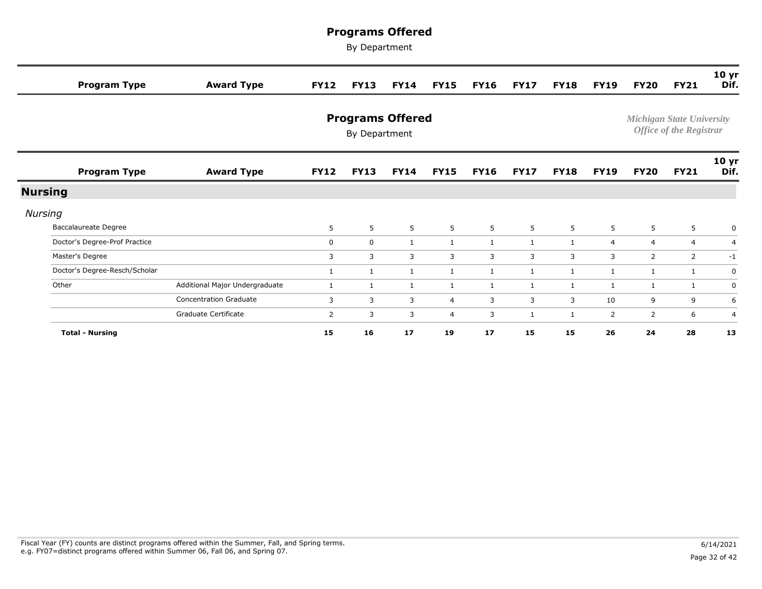| <b>Program Type</b>           | <b>Award Type</b>              | <b>FY12</b> | <b>FY13</b>                              | <b>FY14</b>  | <b>FY15</b>    | <b>FY16</b>  | <b>FY17</b>  | <b>FY18</b>  | <b>FY19</b>    | <b>FY20</b>    | <b>FY21</b>                                                        | 10 <sub>yr</sub><br>Dif. |
|-------------------------------|--------------------------------|-------------|------------------------------------------|--------------|----------------|--------------|--------------|--------------|----------------|----------------|--------------------------------------------------------------------|--------------------------|
|                               |                                |             | <b>Programs Offered</b><br>By Department |              |                |              |              |              |                |                | <b>Michigan State University</b><br><b>Office of the Registrar</b> |                          |
| <b>Program Type</b>           | <b>Award Type</b>              | <b>FY12</b> | <b>FY13</b>                              | <b>FY14</b>  | <b>FY15</b>    | <b>FY16</b>  | <b>FY17</b>  | <b>FY18</b>  | <b>FY19</b>    | <b>FY20</b>    | <b>FY21</b>                                                        | 10 <sub>yr</sub><br>Dif. |
| <b>Nursing</b>                |                                |             |                                          |              |                |              |              |              |                |                |                                                                    |                          |
| Nursing                       |                                |             |                                          |              |                |              |              |              |                |                |                                                                    |                          |
| Baccalaureate Degree          |                                | 5           | 5                                        | 5            | 5              | 5            | $5^{\circ}$  | 5            | 5              | 5              | 5                                                                  | 0                        |
| Doctor's Degree-Prof Practice |                                | $\mathbf 0$ | 0                                        | $\mathbf{1}$ | $\mathbf{1}$   | $\mathbf{1}$ | $\mathbf{1}$ | 1            | $\overline{4}$ | $\overline{4}$ | $\overline{4}$                                                     | $\overline{4}$           |
| Master's Degree               |                                | 3           | 3                                        | 3            | 3              | 3            | 3            | 3            | 3              | 2              | $\overline{2}$                                                     | $-1$                     |
| Doctor's Degree-Resch/Scholar |                                | 1           | 1                                        | 1            | $\mathbf{1}$   | $\mathbf{1}$ | $\mathbf{1}$ | 1            | 1              | 1              | $\mathbf{1}$                                                       | $\mathbf 0$              |
| Other                         | Additional Major Undergraduate | 1           | $\mathbf{1}$                             | $\mathbf{1}$ | $\mathbf{1}$   | $\mathbf{1}$ | $\mathbf{1}$ | 1            | 1              | -1             | 1                                                                  | $\mathbf 0$              |
|                               | <b>Concentration Graduate</b>  | 3           | 3                                        | 3            | $\overline{4}$ | 3            | 3            | 3            | 10             | 9              | 9                                                                  | 6                        |
|                               | Graduate Certificate           | 2           | 3                                        | 3            | $\overline{4}$ | 3            | $\mathbf{1}$ | $\mathbf{1}$ | 2              | 2              | 6                                                                  | $\overline{4}$           |
| <b>Total - Nursing</b>        |                                | 15          | 16                                       | 17           | 19             | 17           | 15           | 15           | 26             | 24             | 28                                                                 | 13                       |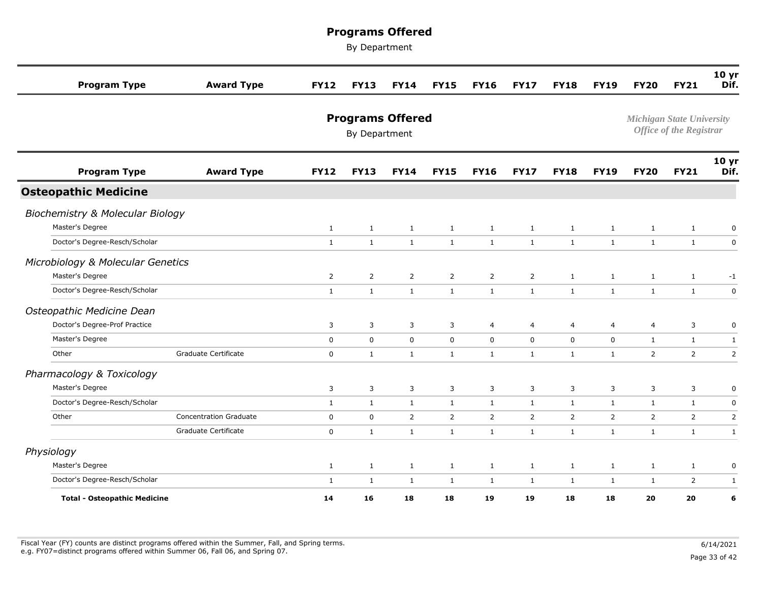| <b>Program Type</b>                          | <b>Award Type</b>             | <b>FY12</b>    | <b>FY13</b>    | <b>FY14</b>             | <b>FY15</b>    | <b>FY16</b>    | <b>FY17</b>  | <b>FY18</b>    | <b>FY19</b>    | <b>FY20</b>  | <b>FY21</b>                                                        | 10 <sub>yr</sub><br>Dif. |
|----------------------------------------------|-------------------------------|----------------|----------------|-------------------------|----------------|----------------|--------------|----------------|----------------|--------------|--------------------------------------------------------------------|--------------------------|
|                                              |                               |                | By Department  | <b>Programs Offered</b> |                |                |              |                |                |              | <b>Michigan State University</b><br><b>Office of the Registrar</b> |                          |
| <b>Program Type</b>                          | <b>Award Type</b>             | <b>FY12</b>    | <b>FY13</b>    | <b>FY14</b>             | <b>FY15</b>    | <b>FY16</b>    | <b>FY17</b>  | <b>FY18</b>    | <b>FY19</b>    | <b>FY20</b>  | <b>FY21</b>                                                        | 10 yr<br>Dif.            |
| <b>Osteopathic Medicine</b>                  |                               |                |                |                         |                |                |              |                |                |              |                                                                    |                          |
| Biochemistry & Molecular Biology             |                               |                |                |                         |                |                |              |                |                |              |                                                                    |                          |
| Master's Degree                              |                               | $\mathbf{1}$   | $\mathbf{1}$   | $\mathbf{1}$            | $\mathbf{1}$   | 1              | $\mathbf{1}$ | $\mathbf{1}$   | $\mathbf{1}$   | $\mathbf{1}$ | $\mathbf{1}$                                                       | 0                        |
| Doctor's Degree-Resch/Scholar                |                               | $\mathbf{1}$   | $\mathbf{1}$   | $\mathbf{1}$            | $\mathbf{1}$   | $\mathbf{1}$   | $\mathbf{1}$ | $\mathbf{1}$   | $\mathbf{1}$   | $\mathbf{1}$ | $\mathbf{1}$                                                       | $\mathbf 0$              |
| Microbiology & Molecular Genetics            |                               |                |                |                         |                |                |              |                |                |              |                                                                    |                          |
| Master's Degree                              |                               | $\overline{2}$ | $\overline{2}$ | $\overline{2}$          | $\overline{2}$ | $\overline{2}$ | 2            | $\mathbf{1}$   | $\mathbf{1}$   | $\mathbf{1}$ | $\mathbf{1}$                                                       | $-1$                     |
| Doctor's Degree-Resch/Scholar                |                               | $\mathbf{1}$   | $\mathbf{1}$   | $\mathbf{1}$            | $\mathbf{1}$   | $\mathbf{1}$   | $\mathbf{1}$ | $\mathbf{1}$   | $\mathbf{1}$   | $\mathbf{1}$ | $\mathbf{1}$                                                       | $\mathsf{O}$             |
| Osteopathic Medicine Dean                    |                               |                |                |                         |                |                |              |                |                |              |                                                                    |                          |
| Doctor's Degree-Prof Practice                |                               | 3              | 3              | 3                       | 3              | 4              | 4            | 4              | 4              | 4            | 3                                                                  | 0                        |
| Master's Degree                              |                               | $\mathbf 0$    | $\mathbf 0$    | $\mathbf 0$             | $\mathbf 0$    | $\mathbf 0$    | 0            | $\mathbf 0$    | $\mathbf 0$    | $\mathbf{1}$ | $\mathbf{1}$                                                       | $\mathbf{1}$             |
| Other                                        | Graduate Certificate          | $\mathbf 0$    | $\mathbf{1}$   | $\mathbf{1}$            | $\mathbf{1}$   | $\mathbf{1}$   | $\mathbf{1}$ | $\mathbf{1}$   | $\mathbf{1}$   | 2            | $\overline{2}$                                                     | $\overline{2}$           |
|                                              |                               |                |                |                         |                |                |              |                |                |              |                                                                    |                          |
| Pharmacology & Toxicology<br>Master's Degree |                               | 3              | 3              | 3                       | 3              | 3              | 3            | 3              | 3              | 3            | $\overline{3}$                                                     | 0                        |
| Doctor's Degree-Resch/Scholar                |                               | $\mathbf{1}$   | $\mathbf{1}$   | $\mathbf{1}$            | $\mathbf{1}$   | 1              | $\mathbf{1}$ | 1              | $\mathbf{1}$   | $\mathbf{1}$ | $\mathbf{1}$                                                       | $\mathbf 0$              |
| Other                                        | <b>Concentration Graduate</b> | 0              | $\mathbf 0$    | 2                       | $\overline{2}$ | $\overline{2}$ | 2            | $\overline{2}$ | $\overline{2}$ | 2            | $\overline{2}$                                                     | $\overline{2}$           |
|                                              | Graduate Certificate          | $\mathbf 0$    | $\mathbf{1}$   | $\mathbf{1}$            | $\mathbf{1}$   | $\mathbf{1}$   | $\mathbf{1}$ | $\mathbf{1}$   | $\mathbf{1}$   | $\mathbf{1}$ | 1                                                                  | $\mathbf{1}$             |
|                                              |                               |                |                |                         |                |                |              |                |                |              |                                                                    |                          |
| Physiology<br>Master's Degree                |                               | $\mathbf{1}$   | $\mathbf{1}$   | $\mathbf{1}$            | $\mathbf{1}$   | $\mathbf{1}$   | $\mathbf{1}$ | $\mathbf{1}$   | $\mathbf{1}$   | $\mathbf{1}$ | $\mathbf{1}$                                                       | $\mathbf 0$              |
| Doctor's Degree-Resch/Scholar                |                               | $\mathbf{1}$   | $\mathbf{1}$   | 1                       | $\mathbf{1}$   | $\mathbf{1}$   | $\mathbf{1}$ | 1              | 1              | 1            | $\overline{2}$                                                     | $\mathbf{1}$             |
| <b>Total - Osteopathic Medicine</b>          |                               | 14             | 16             | 18                      | 18             | 19             | 19           | 18             | 18             | 20           | 20                                                                 | 6                        |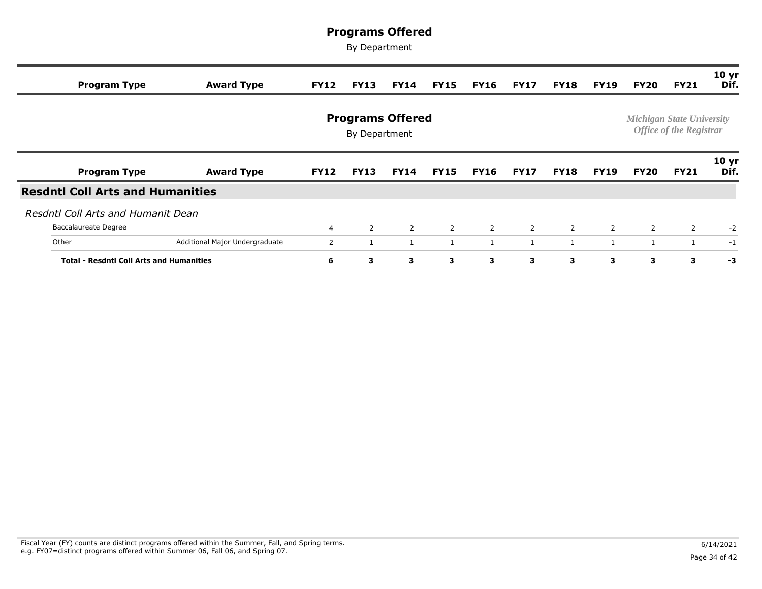| <b>Program Type</b>                             | <b>Award Type</b>              | <b>FY12</b>    | <b>FY13</b>                              | <b>FY14</b> | <b>FY15</b> | <b>FY16</b>    | <b>FY17</b>    | FY18           | <b>FY19</b>    | <b>FY20</b>    | <b>FY21</b>                                                        | 10 <sub>yr</sub><br>Dif. |
|-------------------------------------------------|--------------------------------|----------------|------------------------------------------|-------------|-------------|----------------|----------------|----------------|----------------|----------------|--------------------------------------------------------------------|--------------------------|
|                                                 |                                |                | <b>Programs Offered</b><br>By Department |             |             |                |                |                |                |                | <b>Michigan State University</b><br><b>Office of the Registrar</b> |                          |
| <b>Program Type</b>                             | <b>Award Type</b>              | <b>FY12</b>    | <b>FY13</b>                              | <b>FY14</b> | <b>FY15</b> | <b>FY16</b>    | <b>FY17</b>    | <b>FY18</b>    | <b>FY19</b>    | <b>FY20</b>    | <b>FY21</b>                                                        | 10 <sub>yr</sub><br>Dif. |
| <b>Resdntl Coll Arts and Humanities</b>         |                                |                |                                          |             |             |                |                |                |                |                |                                                                    |                          |
| Resdntl Coll Arts and Humanit Dean              |                                |                |                                          |             |             |                |                |                |                |                |                                                                    |                          |
| Baccalaureate Degree                            |                                | $\overline{4}$ | $\overline{2}$                           | 2           | 2           | $\overline{2}$ | $\overline{2}$ | $\overline{2}$ | $\overline{2}$ | $\overline{2}$ | 2                                                                  | $-2$                     |
| Other                                           | Additional Major Undergraduate | 2              |                                          | -1          | 1           |                | 1              | 1              | 1              |                |                                                                    | $-1$                     |
| <b>Total - Resdntl Coll Arts and Humanities</b> | 6                              | 3              | 3                                        | 3           | 3           | 3              | 3              | 3              | 3              | 3              | -3                                                                 |                          |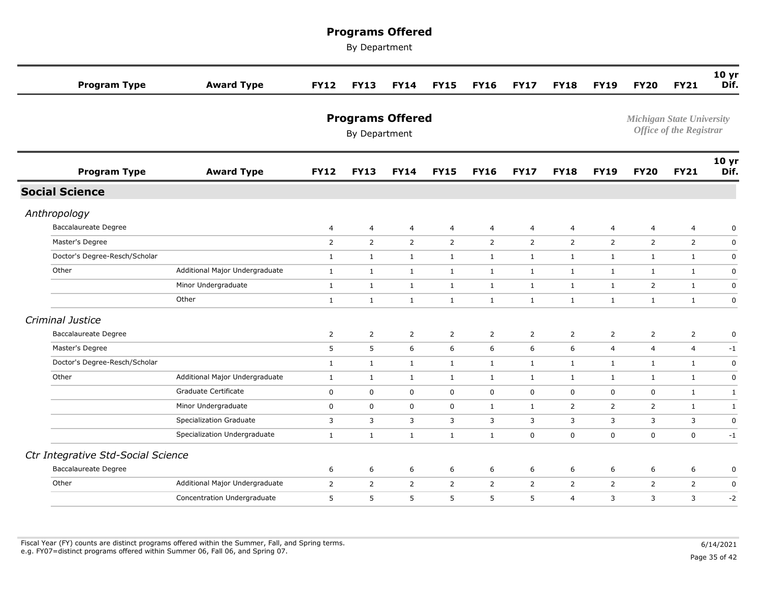| <b>Program Type</b>                | <b>Award Type</b>              | <b>FY12</b>    | <b>FY13</b>    | <b>FY14</b>             | <b>FY15</b>    | <b>FY16</b>    | <b>FY17</b>    | <b>FY18</b>    | <b>FY19</b>    | <b>FY20</b>                      | <b>FY21</b>                    | 10 <sub>yr</sub><br>Dif. |
|------------------------------------|--------------------------------|----------------|----------------|-------------------------|----------------|----------------|----------------|----------------|----------------|----------------------------------|--------------------------------|--------------------------|
|                                    |                                |                | By Department  | <b>Programs Offered</b> |                |                |                |                |                | <b>Michigan State University</b> | <b>Office of the Registrar</b> |                          |
| <b>Program Type</b>                | <b>Award Type</b>              | <b>FY12</b>    | <b>FY13</b>    | <b>FY14</b>             | <b>FY15</b>    | <b>FY16</b>    | <b>FY17</b>    | <b>FY18</b>    | <b>FY19</b>    | <b>FY20</b>                      | <b>FY21</b>                    | 10 <sub>yr</sub><br>Dif. |
| <b>Social Science</b>              |                                |                |                |                         |                |                |                |                |                |                                  |                                |                          |
| Anthropology                       |                                |                |                |                         |                |                |                |                |                |                                  |                                |                          |
| Baccalaureate Degree               |                                | $\overline{a}$ | $\overline{a}$ | $\overline{4}$          | 4              | $\overline{4}$ | 4              | $\overline{4}$ | $\overline{a}$ | $\overline{a}$                   | $\overline{4}$                 | $\mathbf 0$              |
| Master's Degree                    |                                | $\overline{2}$ | $\overline{2}$ | $\overline{2}$          | $\overline{2}$ | $\overline{2}$ | $\overline{2}$ | 2              | $\overline{2}$ | 2                                | $\overline{2}$                 | $\mathbf 0$              |
| Doctor's Degree-Resch/Scholar      |                                | $\mathbf{1}$   | $\mathbf{1}$   | $\mathbf{1}$            | $\mathbf{1}$   | $\mathbf{1}$   | $\mathbf{1}$   | $\mathbf{1}$   | $\mathbf{1}$   | $\mathbf{1}$                     | $\mathbf{1}$                   | $\mathbf 0$              |
| Other                              | Additional Major Undergraduate | $\mathbf{1}$   | $\mathbf{1}$   | $\mathbf{1}$            | $\mathbf{1}$   | $\mathbf{1}$   | $\mathbf{1}$   | $\mathbf{1}$   | $\mathbf{1}$   | $\mathbf{1}$                     | 1                              | $\mathbf 0$              |
|                                    | Minor Undergraduate            | $\mathbf{1}$   | $\mathbf{1}$   | $\mathbf{1}$            | $\mathbf{1}$   | $\mathbf{1}$   | $\mathbf{1}$   | $\mathbf{1}$   | $\mathbf{1}$   | 2                                | $\mathbf{1}$                   | 0                        |
|                                    | Other                          | $\mathbf{1}$   | $\mathbf{1}$   | $\mathbf{1}$            | $\mathbf{1}$   | $\mathbf{1}$   | $\mathbf{1}$   | $\mathbf{1}$   | $\mathbf{1}$   | $\mathbf{1}$                     | $\mathbf{1}$                   | $\mathsf 0$              |
| Criminal Justice                   |                                |                |                |                         |                |                |                |                |                |                                  |                                |                          |
| <b>Baccalaureate Degree</b>        |                                | $\overline{2}$ | $\overline{2}$ | 2                       | $\overline{2}$ | $\overline{2}$ | 2              | 2              | $\overline{2}$ | 2                                | $\overline{2}$                 | $\mathbf 0$              |
| Master's Degree                    |                                | 5              | 5              | 6                       | 6              | 6              | 6              | 6              | $\overline{4}$ | 4                                | $\overline{4}$                 | $-1$                     |
| Doctor's Degree-Resch/Scholar      |                                | $\mathbf{1}$   | $\mathbf{1}$   | $\mathbf{1}$            | $\mathbf{1}$   | $\mathbf{1}$   | $\mathbf{1}$   | $\mathbf{1}$   | $\mathbf{1}$   | $\mathbf{1}$                     | $\mathbf{1}$                   | $\mathsf 0$              |
| Other                              | Additional Major Undergraduate | $\mathbf{1}$   | $\mathbf{1}$   | $\mathbf{1}$            | $\mathbf{1}$   | $\mathbf{1}$   | $\mathbf{1}$   | $\mathbf{1}$   | $\mathbf{1}$   | $\mathbf{1}$                     | $\mathbf{1}$                   | $\mathbf 0$              |
|                                    | Graduate Certificate           | $\mathbf 0$    | $\mathbf 0$    | $\mathbf 0$             | $\mathbf 0$    | 0              | 0              | $\mathbf 0$    | $\mathbf 0$    | 0                                | <sup>1</sup>                   | $\mathbf{1}$             |
|                                    | Minor Undergraduate            | 0              | 0              | 0                       | $\mathbf 0$    | $\mathbf{1}$   | $\mathbf{1}$   | 2              | 2              | 2                                | 1                              | $\mathbf{1}$             |
|                                    | <b>Specialization Graduate</b> | 3              | 3              | 3                       | 3              | 3              | 3              | 3              | 3              | 3                                | $\overline{3}$                 | $\mathbf 0$              |
|                                    | Specialization Undergraduate   | $\mathbf{1}$   | $\mathbf{1}$   | $\mathbf{1}$            | $\mathbf{1}$   | $\mathbf{1}$   | 0              | $\mathbf 0$    | $\mathbf 0$    | $\mathbf 0$                      | $\mathbf 0$                    | $-1$                     |
| Ctr Integrative Std-Social Science |                                |                |                |                         |                |                |                |                |                |                                  |                                |                          |
| <b>Baccalaureate Degree</b>        |                                | 6              | 6              | 6                       | 6              | 6              | 6              | 6              | 6              | 6                                | 6                              | 0                        |
| Other                              | Additional Major Undergraduate | 2              | $\overline{2}$ | 2                       | $\overline{2}$ | $\overline{2}$ | $\overline{2}$ | 2              | $\overline{2}$ | $\overline{2}$                   | $\overline{2}$                 | $\mathbf 0$              |
|                                    | Concentration Undergraduate    | 5              | 5              | 5                       | 5              | 5              | 5              | $\overline{4}$ | 3              | 3                                | $\overline{3}$                 | $-2$                     |
|                                    |                                |                |                |                         |                |                |                |                |                |                                  |                                |                          |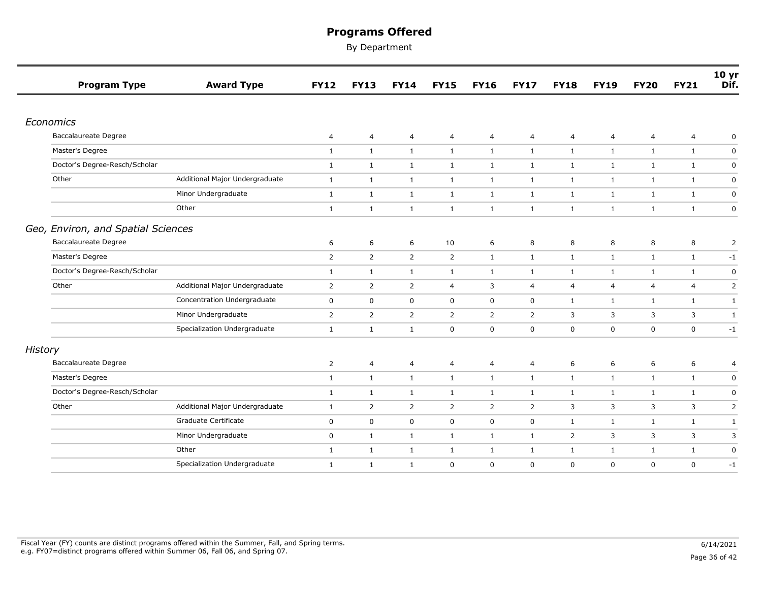|                | <b>Program Type</b>                | <b>Award Type</b>              | <b>FY12</b>    | <b>FY13</b>    | <b>FY14</b>    | <b>FY15</b>    | <b>FY16</b>    | <b>FY17</b>    | <b>FY18</b>    | <b>FY19</b>    | <b>FY20</b>    | <b>FY21</b>    | 10 <sub>yr</sub><br>Dif. |
|----------------|------------------------------------|--------------------------------|----------------|----------------|----------------|----------------|----------------|----------------|----------------|----------------|----------------|----------------|--------------------------|
|                |                                    |                                |                |                |                |                |                |                |                |                |                |                |                          |
|                | Economics                          |                                |                |                |                |                |                |                |                |                |                |                |                          |
|                | <b>Baccalaureate Degree</b>        |                                | 4              | 4              | 4              | 4              | 4              | 4              | 4              | $\overline{4}$ | $\overline{4}$ | 4              | 0                        |
|                | Master's Degree                    |                                | $\mathbf{1}$   | $\mathbf{1}$   | $\mathbf{1}$   | $\mathbf{1}$   | $\mathbf{1}$   | 1              | $\mathbf{1}$   | $\mathbf{1}$   | $\mathbf{1}$   | $\mathbf{1}$   | 0                        |
|                | Doctor's Degree-Resch/Scholar      |                                | $\mathbf{1}$   | $\mathbf{1}$   | $\mathbf{1}$   | $\mathbf{1}$   | $\mathbf{1}$   | $\mathbf{1}$   | $\mathbf{1}$   | $\mathbf{1}$   | $\mathbf{1}$   | $\mathbf{1}$   | $\mathbf 0$              |
|                | Other                              | Additional Major Undergraduate | $\mathbf{1}$   | $\mathbf{1}$   | $\mathbf{1}$   | $\mathbf{1}$   | <sup>1</sup>   | $\mathbf{1}$   | $\mathbf{1}$   | $\mathbf{1}$   | $\mathbf{1}$   | 1              | $\pmb{0}$                |
|                |                                    | Minor Undergraduate            | $\mathbf{1}$   | $\mathbf{1}$   | $\mathbf{1}$   | $\mathbf{1}$   | $\mathbf{1}$   | $\mathbf{1}$   | $\mathbf{1}$   | $\mathbf{1}$   | $\mathbf{1}$   | $\mathbf{1}$   | $\mathbf 0$              |
|                |                                    | Other                          | $\mathbf{1}$   | $\mathbf{1}$   | $\mathbf{1}$   | $\mathbf{1}$   | $\mathbf{1}$   | $\mathbf{1}$   | $\mathbf{1}$   | $\mathbf{1}$   | $\mathbf{1}$   | $\mathbf{1}$   | $\pmb{0}$                |
|                | Geo, Environ, and Spatial Sciences |                                |                |                |                |                |                |                |                |                |                |                |                          |
|                | <b>Baccalaureate Degree</b>        |                                | 6              | 6              | 6              | 10             | 6              | 8              | 8              | 8              | 8              | 8              | 2                        |
|                | Master's Degree                    |                                | 2              | $\overline{2}$ | $\overline{2}$ | $\overline{2}$ | $\mathbf{1}$   | $\mathbf{1}$   | $\mathbf{1}$   | $\mathbf{1}$   | $\mathbf{1}$   | $\mathbf{1}$   | $-1$                     |
|                | Doctor's Degree-Resch/Scholar      |                                | $\mathbf{1}$   | $\mathbf{1}$   | $\mathbf{1}$   | $\mathbf{1}$   | 1              | $\mathbf{1}$   | 1              | $\mathbf{1}$   | $\mathbf{1}$   | $\mathbf{1}$   | $\pmb{0}$                |
|                | Other                              | Additional Major Undergraduate | $\overline{2}$ | $\overline{2}$ | $\overline{2}$ | $\overline{4}$ | 3              | 4              | 4              | $\overline{4}$ | $\overline{4}$ | $\overline{4}$ | $\overline{2}$           |
|                |                                    | Concentration Undergraduate    | $\mathbf 0$    | $\mathbf 0$    | $\mathbf 0$    | $\mathbf 0$    | $\mathbf 0$    | 0              | $\mathbf{1}$   | $\mathbf{1}$   | $\mathbf{1}$   | $\mathbf{1}$   | $\mathbf{1}$             |
|                |                                    | Minor Undergraduate            | $\overline{2}$ | $\overline{2}$ | $\overline{2}$ | $\overline{2}$ | $\overline{2}$ | $\overline{2}$ | 3              | 3              | 3              | 3              | $\mathbf{1}$             |
|                |                                    | Specialization Undergraduate   | $\mathbf{1}$   | $\mathbf{1}$   | $\mathbf{1}$   | $\pmb{0}$      | $\mathbf 0$    | 0              | $\mathbf 0$    | $\mathbf 0$    | $\mathbf 0$    | $\mathsf 0$    | $-1$                     |
| <b>History</b> |                                    |                                |                |                |                |                |                |                |                |                |                |                |                          |
|                | Baccalaureate Degree               |                                | $\overline{2}$ | $\overline{4}$ | 4              | 4              | 4              | 4              | 6              | 6              | 6              | 6              | 4                        |
|                | Master's Degree                    |                                | $\mathbf{1}$   | $\mathbf{1}$   | $\mathbf{1}$   | $\mathbf{1}$   | $\mathbf{1}$   | $\mathbf{1}$   | $\mathbf{1}$   | $\mathbf{1}$   | $\mathbf{1}$   | $\mathbf{1}$   | 0                        |
|                | Doctor's Degree-Resch/Scholar      |                                | $\mathbf{1}$   | $\mathbf{1}$   | $\mathbf{1}$   | $\mathbf{1}$   | $\mathbf{1}$   | $\mathbf{1}$   | $\mathbf{1}$   | $\mathbf{1}$   | $\mathbf{1}$   | $\mathbf{1}$   | $\pmb{0}$                |
|                | Other                              | Additional Major Undergraduate | $\mathbf{1}$   | 2              | $\overline{2}$ | 2              | 2              | 2              | 3              | 3              | 3              | 3              | 2                        |
|                |                                    | Graduate Certificate           | $\mathbf 0$    | $\mathbf 0$    | $\mathbf 0$    | $\mathbf 0$    | $\mathbf 0$    | 0              | 1              | $\mathbf{1}$   | 1              | $\mathbf{1}$   | 1                        |
|                |                                    | Minor Undergraduate            | $\mathsf 0$    | $\mathbf{1}$   | $\mathbf{1}$   | $\mathbf{1}$   | $\mathbf{1}$   | $\mathbf{1}$   | $\overline{2}$ | 3              | 3              | 3              | 3                        |
|                |                                    | Other                          | $\mathbf{1}$   | $\mathbf{1}$   | $\mathbf{1}$   | $\mathbf{1}$   | $\mathbf{1}$   | $\mathbf{1}$   | $\mathbf{1}$   | $\mathbf{1}$   | $\mathbf{1}$   | $\mathbf{1}$   | 0                        |
|                |                                    | Specialization Undergraduate   | $\mathbf{1}$   | $\mathbf{1}$   | $\mathbf{1}$   | 0              | 0              | 0              | $\mathbf 0$    | $\mathbf 0$    | $\mathbf 0$    | 0              | $-1$                     |
|                |                                    |                                |                |                |                |                |                |                |                |                |                |                |                          |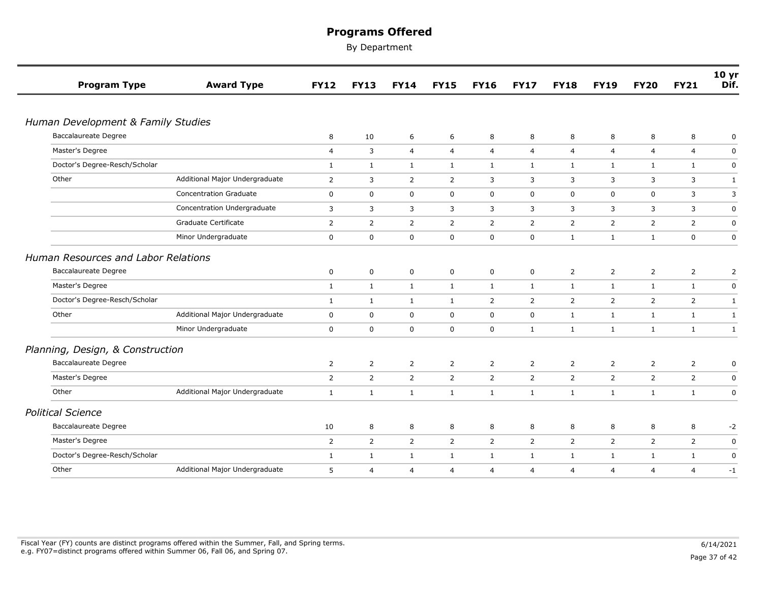| <b>Program Type</b>                 | <b>Award Type</b>              | <b>FY12</b>    | <b>FY13</b>    | <b>FY14</b>    | <b>FY15</b>    | <b>FY16</b>    | <b>FY17</b>    | <b>FY18</b>    | <b>FY19</b>    | <b>FY20</b>    | <b>FY21</b>    | 10 <sub>yr</sub><br>Dif. |
|-------------------------------------|--------------------------------|----------------|----------------|----------------|----------------|----------------|----------------|----------------|----------------|----------------|----------------|--------------------------|
|                                     |                                |                |                |                |                |                |                |                |                |                |                |                          |
| Human Development & Family Studies  |                                |                |                |                |                |                |                |                |                |                |                |                          |
| <b>Baccalaureate Degree</b>         |                                | 8              | 10             | 6              | 6              | 8              | 8              | 8              | 8              | 8              | 8              | 0                        |
| Master's Degree                     |                                | $\overline{4}$ | $\overline{3}$ | $\overline{4}$ | $\overline{4}$ | $\overline{4}$ | $\overline{4}$ | $\overline{4}$ | $\overline{4}$ | $\overline{4}$ | $\overline{4}$ | $\boldsymbol{0}$         |
| Doctor's Degree-Resch/Scholar       |                                | $\mathbf{1}$   | 1              | $\mathbf{1}$   | $\mathbf{1}$   | $\mathbf{1}$   | $\mathbf{1}$   | $\mathbf{1}$   | 1              | $\mathbf{1}$   | $\mathbf{1}$   | $\mathbf 0$              |
| Other                               | Additional Major Undergraduate | $\overline{2}$ | 3              | $\overline{2}$ | $\overline{2}$ | 3              | 3              | 3              | 3              | 3              | 3              | 1                        |
|                                     | <b>Concentration Graduate</b>  | $\mathbf 0$    | $\mathbf 0$    | $\mathbf 0$    | $\mathbf 0$    | 0              | 0              | 0              | $\mathbf 0$    | $\mathbf 0$    | 3              | 3                        |
|                                     | Concentration Undergraduate    | 3              | 3              | 3              | 3              | 3              | 3              | 3              | 3              | 3              | 3              | 0                        |
|                                     | Graduate Certificate           | $\overline{2}$ | $\overline{2}$ | $\overline{2}$ | 2              | $\overline{2}$ | $\overline{2}$ | $\overline{2}$ | 2              | 2              | $\overline{2}$ | 0                        |
|                                     | Minor Undergraduate            | $\mathbf 0$    | 0              | $\mathbf 0$    | $\overline{0}$ | $\mathbf 0$    | $\mathbf 0$    | $\mathbf{1}$   | $\mathbf{1}$   | $\mathbf{1}$   | $\mathbf 0$    | $\mathbf 0$              |
| Human Resources and Labor Relations |                                |                |                |                |                |                |                |                |                |                |                |                          |
| <b>Baccalaureate Degree</b>         |                                | 0              | 0              | $\mathbf 0$    | $\mathbf 0$    | 0              | 0              | $\overline{2}$ | $\overline{2}$ | $\overline{2}$ | $\overline{2}$ | $\overline{2}$           |
| Master's Degree                     |                                | $\mathbf{1}$   | $\mathbf{1}$   | $\mathbf{1}$   | $\mathbf{1}$   | $\mathbf{1}$   | $\mathbf{1}$   | $\mathbf{1}$   | $\mathbf{1}$   | 1              | $\mathbf{1}$   | 0                        |
| Doctor's Degree-Resch/Scholar       |                                | $\mathbf{1}$   | $\mathbf{1}$   | $\mathbf{1}$   | $\mathbf{1}$   | $\overline{2}$ | $\overline{2}$ | $\overline{2}$ | 2              | $\overline{2}$ | $\overline{2}$ | $\mathbf{1}$             |
| Other                               | Additional Major Undergraduate | $\mathbf 0$    | $\mathbf 0$    | $\mathbf 0$    | $\mathbf 0$    | $\mathbf 0$    | 0              | $\mathbf{1}$   | $\mathbf{1}$   | $\mathbf{1}$   | $\mathbf{1}$   | $\mathbf{1}$             |
|                                     | Minor Undergraduate            | 0              | $\mathbf 0$    | $\mathbf 0$    | $\mathbf 0$    | $\mathbf 0$    | $\mathbf{1}$   | $\mathbf{1}$   | $\mathbf{1}$   | $\mathbf{1}$   | $\mathbf{1}$   | $\mathbf{1}$             |
| Planning, Design, & Construction    |                                |                |                |                |                |                |                |                |                |                |                |                          |
| <b>Baccalaureate Degree</b>         |                                | $\overline{2}$ | $\overline{2}$ | $\overline{2}$ | $\overline{2}$ | $\overline{2}$ | $\overline{2}$ | $\overline{2}$ | 2              | 2              | $\overline{2}$ | 0                        |
| Master's Degree                     |                                | $\overline{2}$ | $\overline{2}$ | $\overline{2}$ | $\overline{2}$ | $\overline{2}$ | $\overline{2}$ | $\overline{2}$ | 2              | $\overline{2}$ | $\overline{2}$ | $\pmb{0}$                |
| Other                               | Additional Major Undergraduate | $\mathbf{1}$   | $\mathbf{1}$   | $\mathbf{1}$   | $\mathbf{1}$   | $\mathbf{1}$   | $\mathbf{1}$   | $\mathbf{1}$   | $\mathbf{1}$   | $\mathbf{1}$   | $\mathbf{1}$   | $\mathbf 0$              |
| <b>Political Science</b>            |                                |                |                |                |                |                |                |                |                |                |                |                          |
| <b>Baccalaureate Degree</b>         |                                | 10             | 8              | 8              | 8              | 8              | 8              | 8              | 8              | 8              | 8              | $-2$                     |
| Master's Degree                     |                                | $\overline{2}$ | $\overline{2}$ | $\overline{2}$ | $\overline{2}$ | $\overline{2}$ | $\overline{2}$ | $\overline{2}$ | 2              | $\overline{2}$ | $\overline{2}$ | 0                        |
| Doctor's Degree-Resch/Scholar       |                                | $\mathbf{1}$   | $\mathbf{1}$   | $\mathbf{1}$   | $\mathbf{1}$   | $\mathbf{1}$   | $\mathbf{1}$   | $\mathbf{1}$   | $\mathbf{1}$   | $\mathbf{1}$   | $\mathbf{1}$   | $\mathbf 0$              |
| Other                               | Additional Major Undergraduate | 5              | 4              | $\overline{4}$ | $\overline{4}$ | $\overline{4}$ | $\overline{4}$ | 4              | $\overline{4}$ | $\overline{4}$ | 4              | $-1$                     |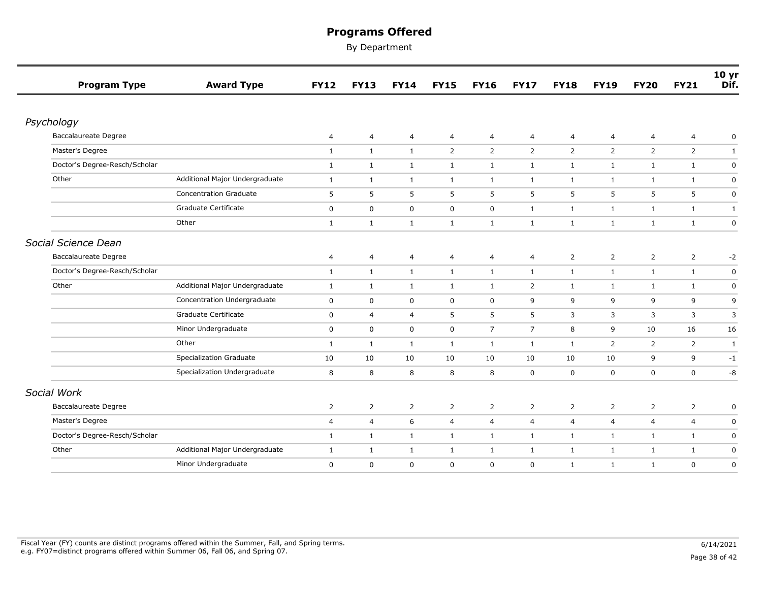| <b>Program Type</b>           | <b>Award Type</b>              | <b>FY12</b>    | <b>FY13</b>    | <b>FY14</b>    | <b>FY15</b>      | <b>FY16</b>     | <b>FY17</b>    | <b>FY18</b>    | <b>FY19</b>    | <b>FY20</b>    | <b>FY21</b>    | 10 <sub>yr</sub><br>Dif. |
|-------------------------------|--------------------------------|----------------|----------------|----------------|------------------|-----------------|----------------|----------------|----------------|----------------|----------------|--------------------------|
|                               |                                |                |                |                |                  |                 |                |                |                |                |                |                          |
| Psychology                    |                                |                |                |                |                  |                 |                |                |                |                |                |                          |
| <b>Baccalaureate Degree</b>   |                                | $\overline{4}$ | $\overline{a}$ | $\overline{4}$ | $\overline{4}$   | 4               | $\overline{4}$ | 4              | $\overline{4}$ | $\overline{4}$ | $\overline{4}$ | 0                        |
| Master's Degree               |                                | $\mathbf{1}$   | $\mathbf{1}$   | $\mathbf{1}$   | $\overline{2}$   | $\overline{2}$  | $\overline{2}$ | $\overline{2}$ | $\overline{2}$ | $\overline{2}$ | $\overline{2}$ | $\mathbf{1}$             |
| Doctor's Degree-Resch/Scholar |                                | $\mathbf{1}$   | $\mathbf{1}$   | $\mathbf{1}$   | $\mathbf{1}$     | $\mathbf{1}$    | $\mathbf{1}$   | $\mathbf{1}$   | $\mathbf{1}$   | $\mathbf{1}$   | $\mathbf{1}$   | $\pmb{0}$                |
| Other                         | Additional Major Undergraduate | $\mathbf{1}$   | $\mathbf{1}$   | $\mathbf{1}$   | $\mathbf{1}$     | $\mathbf{1}$    | $\mathbf{1}$   | $\mathbf{1}$   | $\mathbf{1}$   | $\mathbf{1}$   | $\mathbf{1}$   | $\pmb{0}$                |
|                               | <b>Concentration Graduate</b>  | 5              | 5              | 5              | 5                | 5               | 5              | 5              | 5              | 5              | 5              | $\mathbf 0$              |
|                               | Graduate Certificate           | $\mathbf 0$    | 0              | $\mathbf 0$    | $\mathbf 0$      | $\mathbf 0$     | $\mathbf{1}$   | $\mathbf{1}$   | $\mathbf{1}$   | $\mathbf{1}$   | $\mathbf{1}$   | $\mathbf{1}$             |
|                               | Other                          | $\mathbf{1}$   | $\mathbf{1}$   | $\mathbf{1}$   | $\mathbf{1}$     | $\mathbf{1}$    | $\mathbf{1}$   | $\mathbf{1}$   | $\mathbf{1}$   | $\mathbf{1}$   | $\mathbf{1}$   | $\pmb{0}$                |
| Social Science Dean           |                                |                |                |                |                  |                 |                |                |                |                |                |                          |
| <b>Baccalaureate Degree</b>   |                                | $\overline{a}$ | 4              | $\overline{4}$ | $\overline{4}$   | $\overline{4}$  | 4              | $\overline{2}$ | $\overline{2}$ | $\overline{2}$ | $\overline{2}$ | $-2$                     |
| Doctor's Degree-Resch/Scholar |                                | $\mathbf{1}$   | $\mathbf{1}$   | $\mathbf{1}$   | $\mathbf{1}$     | $\mathbf{1}$    | $\mathbf{1}$   | $\mathbf{1}$   | $\mathbf{1}$   | $\mathbf{1}$   | $\mathbf{1}$   | 0                        |
| Other                         | Additional Major Undergraduate | $\mathbf{1}$   | $\mathbf{1}$   | $\mathbf{1}$   | $\mathbf{1}$     | $\mathbf{1}$    | $\overline{2}$ | $\mathbf{1}$   | $\mathbf{1}$   | $\mathbf{1}$   | $\mathbf{1}$   | 0                        |
|                               | Concentration Undergraduate    | $\mathbf 0$    | 0              | $\mathbf 0$    | $\mathbf 0$      | $\mathbf 0$     | 9              | 9              | 9              | 9              | 9              | 9                        |
|                               | Graduate Certificate           | $\mathbf 0$    | $\overline{a}$ | 4              | 5                | 5               | 5              | 3              | 3              | 3              | 3              | 3                        |
|                               | Minor Undergraduate            | $\mathbf 0$    | $\mathsf{O}$   | $\mathsf 0$    | $\boldsymbol{0}$ | $7\overline{ }$ | $\overline{7}$ | 8              | 9              | 10             | 16             | 16                       |
|                               | Other                          | $\mathbf{1}$   | $\mathbf{1}$   | $\mathbf{1}$   | $\mathbf{1}$     | $\mathbf{1}$    | $\mathbf{1}$   | $\mathbf{1}$   | 2              | $\overline{2}$ | $\overline{2}$ | $\mathbf{1}$             |
|                               | <b>Specialization Graduate</b> | 10             | 10             | 10             | 10               | 10              | 10             | 10             | 10             | 9              | 9              | $-1$                     |
|                               | Specialization Undergraduate   | 8              | 8              | 8              | 8                | 8               | $\mathbf 0$    | $\mathbf 0$    | $\mathbf 0$    | $\mathsf 0$    | $\mathbf 0$    | -8                       |
| Social Work                   |                                |                |                |                |                  |                 |                |                |                |                |                |                          |
| <b>Baccalaureate Degree</b>   |                                | $\overline{2}$ | $\overline{2}$ | $\overline{2}$ | $\overline{2}$   | $\overline{2}$  | $\overline{2}$ | $\overline{2}$ | $\overline{2}$ | $\overline{2}$ | $\overline{2}$ | 0                        |
| Master's Degree               |                                | $\overline{4}$ | $\overline{a}$ | 6              | $\overline{4}$   | $\overline{4}$  | $\overline{4}$ | $\overline{4}$ | $\overline{4}$ | $\overline{4}$ | $\overline{4}$ | $\mathbf 0$              |
| Doctor's Degree-Resch/Scholar |                                | $\mathbf{1}$   | $\mathbf{1}$   | $\mathbf{1}$   | $\mathbf{1}$     | $\mathbf{1}$    | $\mathbf{1}$   | $\mathbf{1}$   | $\mathbf{1}$   | $\mathbf{1}$   | $\mathbf{1}$   | $\pmb{0}$                |
| Other                         | Additional Major Undergraduate | $\mathbf{1}$   | $\mathbf{1}$   | $\mathbf{1}$   | $\mathbf{1}$     | $\mathbf{1}$    | $\mathbf{1}$   | $\mathbf{1}$   | $\mathbf{1}$   | $\mathbf{1}$   | $\mathbf{1}$   | $\mathbf 0$              |
|                               | Minor Undergraduate            | 0              | 0              | 0              | $\mathbf 0$      | $\mathbf 0$     | $\mathbf 0$    | $\mathbf{1}$   | $\mathbf{1}$   | $\mathbf{1}$   | 0              | $\boldsymbol{0}$         |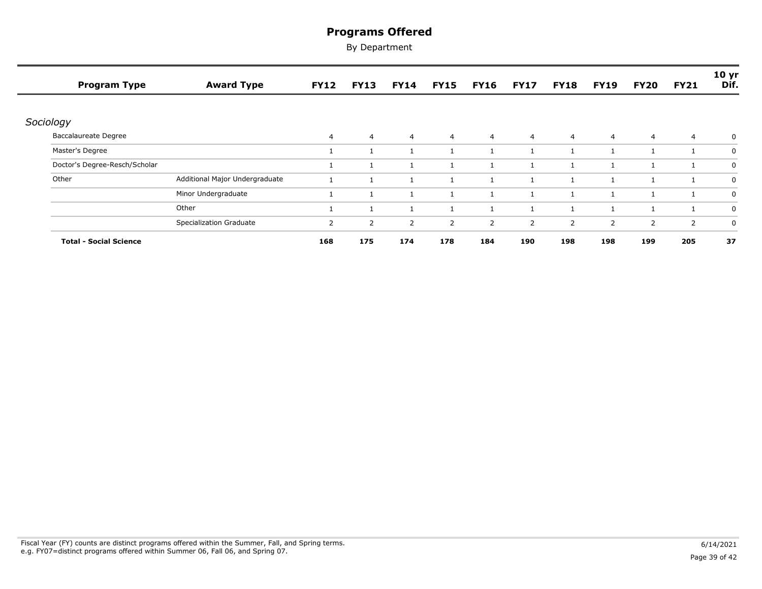| <b>Program Type</b>           | <b>Award Type</b>              | <b>FY12</b>           | <b>FY13</b>    | <b>FY14</b>    | <b>FY15</b>    | <b>FY16</b>    | <b>FY17</b>    | <b>FY18</b>    | <b>FY19</b>    | <b>FY20</b>    | <b>FY21</b>    | 10 <sub>yr</sub><br>Dif. |
|-------------------------------|--------------------------------|-----------------------|----------------|----------------|----------------|----------------|----------------|----------------|----------------|----------------|----------------|--------------------------|
| Sociology                     |                                |                       |                |                |                |                |                |                |                |                |                |                          |
| Baccalaureate Degree          |                                | 4                     | $\overline{4}$ | $\overline{4}$ | $\overline{4}$ | $\overline{4}$ | $\overline{4}$ | $\overline{4}$ | $\overline{4}$ | $\overline{4}$ | $\overline{4}$ | 0                        |
| Master's Degree               |                                |                       |                | $\mathbf{1}$   | -1             |                |                | 1              | -1             |                |                | 0                        |
| Doctor's Degree-Resch/Scholar |                                |                       |                | 1              | -1             |                |                |                | $\mathbf{1}$   |                |                | 0                        |
| Other                         | Additional Major Undergraduate |                       |                | $\mathbf{1}$   | -1             |                |                | 1              |                |                |                | 0                        |
|                               | Minor Undergraduate            |                       |                | $\mathbf{1}$   |                |                |                |                |                |                |                | 0                        |
|                               | Other                          |                       |                | $\mathbf{1}$   |                |                |                |                |                |                |                | 0                        |
|                               | <b>Specialization Graduate</b> | $\mathbf{2}^{\prime}$ | 2              | 2              | 2              | 2              | 2              | $\overline{2}$ | 2              | 2              | $\overline{2}$ | 0                        |
| <b>Total - Social Science</b> |                                | 168                   | 175            | 174            | 178            | 184            | 190            | 198            | 198            | 199            | 205            | 37                       |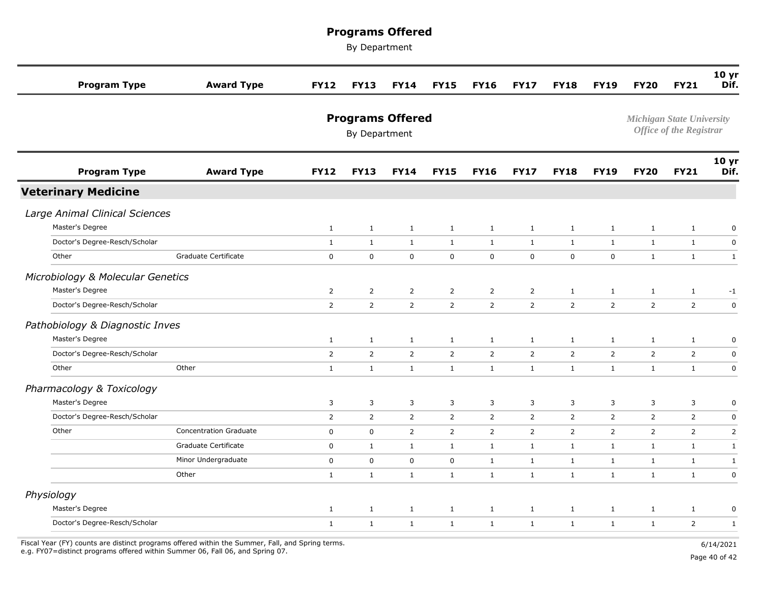By Department

| <b>Program Type</b>               | <b>Award Type</b>             | <b>FY12</b>                              | <b>FY13</b>    | <b>FY14</b>    | <b>FY15</b>    | <b>FY16</b>    | <b>FY17</b>    | <b>FY18</b>    | <b>FY19</b>                                                        | <b>FY20</b>    | <b>FY21</b>    | 10 <sub>yr</sub><br>Dif. |
|-----------------------------------|-------------------------------|------------------------------------------|----------------|----------------|----------------|----------------|----------------|----------------|--------------------------------------------------------------------|----------------|----------------|--------------------------|
|                                   |                               | <b>Programs Offered</b><br>By Department |                |                |                |                |                |                | <b>Michigan State University</b><br><b>Office of the Registrar</b> |                |                |                          |
| <b>Program Type</b>               | <b>Award Type</b>             | <b>FY12</b>                              | <b>FY13</b>    | <b>FY14</b>    | <b>FY15</b>    | <b>FY16</b>    | <b>FY17</b>    | <b>FY18</b>    | <b>FY19</b>                                                        | <b>FY20</b>    | <b>FY21</b>    | 10 <sub>yr</sub><br>Dif. |
| <b>Veterinary Medicine</b>        |                               |                                          |                |                |                |                |                |                |                                                                    |                |                |                          |
| Large Animal Clinical Sciences    |                               |                                          |                |                |                |                |                |                |                                                                    |                |                |                          |
| Master's Degree                   |                               | $\mathbf{1}$                             | $\mathbf{1}$   | $\mathbf{1}$   | $\mathbf{1}$   | $\mathbf{1}$   | $\mathbf{1}$   | $\mathbf{1}$   | $\mathbf{1}$                                                       | $\mathbf{1}$   | $\mathbf{1}$   | $\pmb{0}$                |
| Doctor's Degree-Resch/Scholar     |                               | $\mathbf{1}$                             | $\mathbf{1}$   | $\mathbf{1}$   | $\mathbf{1}$   | $\mathbf{1}$   | $\mathbf{1}$   | $\mathbf{1}$   | $\mathbf{1}$                                                       | $\mathbf{1}$   | $\mathbf{1}$   | $\pmb{0}$                |
| Other                             | Graduate Certificate          | $\mathsf 0$                              | $\pmb{0}$      | $\mathsf 0$    | $\mathbf 0$    | $\mathbf 0$    | $\mathbf 0$    | $\mathbf 0$    | $\pmb{0}$                                                          | $\mathbf{1}$   | $\mathbf{1}$   | $\mathbf{1}$             |
| Microbiology & Molecular Genetics |                               |                                          |                |                |                |                |                |                |                                                                    |                |                |                          |
| Master's Degree                   |                               | $\overline{2}$                           | $\overline{2}$ | $\overline{2}$ | $\overline{2}$ | 2              | $\overline{2}$ | $\mathbf{1}$   | $\mathbf{1}$                                                       | $\mathbf{1}$   | $\mathbf{1}$   | $-1$                     |
| Doctor's Degree-Resch/Scholar     |                               | $\overline{2}$                           | $\mathsf{2}$   | $\overline{2}$ | $\overline{2}$ | $\overline{2}$ | $\overline{2}$ | $\overline{2}$ | $\overline{2}$                                                     | $\overline{2}$ | $\overline{2}$ | $\pmb{0}$                |
| Pathobiology & Diagnostic Inves   |                               |                                          |                |                |                |                |                |                |                                                                    |                |                |                          |
| Master's Degree                   |                               | $\mathbf{1}$                             | $\mathbf{1}$   | $\mathbf{1}$   | $\mathbf{1}$   | $\mathbf{1}$   | $\mathbf{1}$   | $\mathbf{1}$   | $\mathbf{1}$                                                       | $\mathbf{1}$   | $\mathbf{1}$   | $\pmb{0}$                |
| Doctor's Degree-Resch/Scholar     |                               | $\overline{2}$                           | $\overline{2}$ | $\overline{2}$ | $\overline{2}$ | $\overline{2}$ | $\overline{2}$ | $\overline{2}$ | $\overline{2}$                                                     | $\overline{2}$ | $\overline{2}$ | $\pmb{0}$                |
| Other                             | Other                         | $\mathbf{1}$                             | $\mathbf{1}$   | $\mathbf{1}$   | $\mathbf{1}$   | $\mathbf{1}$   | $\mathbf{1}$   | $\mathbf{1}$   | $\mathbf{1}$                                                       | $\mathbf{1}$   | $\mathbf{1}$   | $\pmb{0}$                |
| Pharmacology & Toxicology         |                               |                                          |                |                |                |                |                |                |                                                                    |                |                |                          |
| Master's Degree                   |                               | 3                                        | 3              | $\overline{3}$ | 3              | 3              | 3              | 3              | 3                                                                  | 3              | 3              | $\pmb{0}$                |
| Doctor's Degree-Resch/Scholar     |                               | $\overline{2}$                           | $\overline{2}$ | $\overline{2}$ | $\overline{2}$ | $\overline{2}$ | $\overline{2}$ | $\overline{2}$ | $\mathbf 2$                                                        | $\overline{2}$ | $\overline{2}$ | $\mathbf 0$              |
| Other                             | <b>Concentration Graduate</b> | $\mathbf 0$                              | $\mathbf 0$    | $\overline{2}$ | $\overline{2}$ | $\overline{2}$ | $\overline{2}$ | $\overline{2}$ | 2                                                                  | $\overline{2}$ | $\overline{2}$ | $\overline{2}$           |
|                                   | Graduate Certificate          | $\mathbf 0$                              | $\mathbf{1}$   | $\mathbf{1}$   | $\mathbf{1}$   | $\mathbf{1}$   | $\mathbf{1}$   | $\mathbf{1}$   | $\mathbf{1}$                                                       | $\mathbf{1}$   | $\mathbf{1}$   | $\mathbf{1}$             |
|                                   | Minor Undergraduate           | $\mathbf 0$                              | $\pmb{0}$      | $\mathbf 0$    | $\mathbf 0$    | $\mathbf{1}$   | $\mathbf{1}$   | $\mathbf{1}$   | $\mathbf{1}$                                                       | $\mathbf{1}$   | $\mathbf{1}$   | $\mathbf{1}$             |
|                                   | Other                         | $\mathbf{1}$                             | $\mathbf{1}$   | $\mathbf{1}$   | $\mathbf{1}$   | $\mathbf{1}$   | $\mathbf{1}$   | $\mathbf{1}$   | $\mathbf{1}$                                                       | $\mathbf{1}$   | $\mathbf{1}$   | $\mathbf 0$              |
| Physiology                        |                               |                                          |                |                |                |                |                |                |                                                                    |                |                |                          |
| Master's Degree                   |                               | $\mathbf{1}$                             | $\mathbf{1}$   | $\mathbf{1}$   | $\mathbf{1}$   | $\mathbf{1}$   | $\mathbf{1}$   | $\mathbf{1}$   | $\mathbf{1}$                                                       | $\mathbf{1}$   | $\mathbf{1}$   | $\pmb{0}$                |
| Doctor's Degree-Resch/Scholar     |                               | $\mathbf{1}$                             | $\mathbf{1}$   | $\mathbf{1}$   | $\mathbf{1}$   | $\mathbf{1}$   | $\mathbf{1}$   | $\mathbf{1}$   | $\mathbf{1}$                                                       | $\mathbf{1}$   | $\overline{2}$ | $\mathbf{1}$             |
|                                   |                               |                                          |                |                |                |                |                |                |                                                                    |                |                |                          |

Fiscal Year (FY) counts are distinct programs offered within the Summer, Fall, and Spring terms.<br>e.g. FY07=distinct programs offered within Summer 06, Fall 06, and Spring 07. e.g. FY07=distinct programs offered within Summer 06, Fall 06, and Spring 07. Page 40 of 42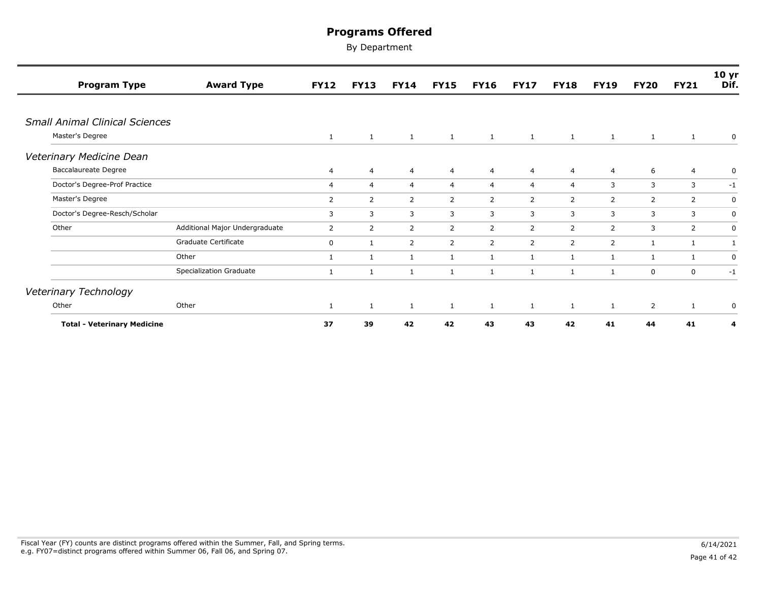| <b>Program Type</b>                   | <b>Award Type</b>              | <b>FY12</b>    | <b>FY13</b>    | <b>FY14</b>    | <b>FY15</b>    | <b>FY16</b>    | <b>FY17</b>    | <b>FY18</b>    | <b>FY19</b>    | <b>FY20</b>    | <b>FY21</b>    | 10 <sub>yr</sub><br>Dif. |
|---------------------------------------|--------------------------------|----------------|----------------|----------------|----------------|----------------|----------------|----------------|----------------|----------------|----------------|--------------------------|
|                                       |                                |                |                |                |                |                |                |                |                |                |                |                          |
| <b>Small Animal Clinical Sciences</b> |                                |                |                |                |                |                |                |                |                |                |                |                          |
| Master's Degree                       |                                | $\mathbf{1}$   | $\mathbf{1}$   | $\mathbf{1}$   | $\mathbf{1}$   | $\mathbf{1}$   | 1              | $\mathbf{1}$   | 1              | <sup>1</sup>   | 1              | 0                        |
| Veterinary Medicine Dean              |                                |                |                |                |                |                |                |                |                |                |                |                          |
| Baccalaureate Degree                  |                                | 4              | $\overline{4}$ | $\overline{4}$ | $\overline{4}$ | $\overline{4}$ | $\overline{4}$ | $\overline{4}$ | $\overline{4}$ | 6              | 4              | 0                        |
| Doctor's Degree-Prof Practice         |                                | $\overline{4}$ | $\overline{4}$ | $\overline{4}$ | $\overline{4}$ | $\overline{4}$ | $\overline{4}$ | $\overline{4}$ | 3              | 3              | 3              | $-1$                     |
| Master's Degree                       |                                | 2              | 2              | $\overline{2}$ | $\overline{2}$ | 2              | $\overline{2}$ | 2              | $\overline{2}$ | $\overline{2}$ | $\overline{2}$ | 0                        |
| Doctor's Degree-Resch/Scholar         |                                | 3              | 3              | 3              | 3              | 3              | 3              | 3              | 3              | 3              | 3              | 0                        |
| Other                                 | Additional Major Undergraduate | 2              | 2              | $\overline{2}$ | $\mathbf{2}$   | 2              | $\overline{2}$ | 2              | 2              | 3              | $\overline{2}$ | $\mathbf 0$              |
|                                       | Graduate Certificate           | 0              | 1              | $\overline{2}$ | $\overline{2}$ | $\overline{2}$ | $\overline{2}$ | 2              | $\overline{2}$ | 1              | 1              | 1                        |
|                                       | Other                          | 1              | 1              | $\mathbf{1}$   | 1              | $\mathbf{1}$   | 1              | 1              | 1              | 1              | 1              | $\mathbf 0$              |
|                                       | Specialization Graduate        | 1              | $\mathbf{1}$   | 1              | $\mathbf{1}$   | 1              | $\mathbf{1}$   | $\mathbf{1}$   | $\mathbf{1}$   | $\mathbf 0$    | 0              | $-1$                     |
| Veterinary Technology                 |                                |                |                |                |                |                |                |                |                |                |                |                          |
| Other                                 | Other                          | 1              | 1              | 1              | 1              | 1              | $\mathbf{1}$   | $\mathbf{1}$   | 1              | $\overline{2}$ | $\mathbf{1}$   | $\pmb{0}$                |
| <b>Total - Veterinary Medicine</b>    |                                | 37             | 39             | 42             | 42             | 43             | 43             | 42             | 41             | 44             | 41             | 4                        |